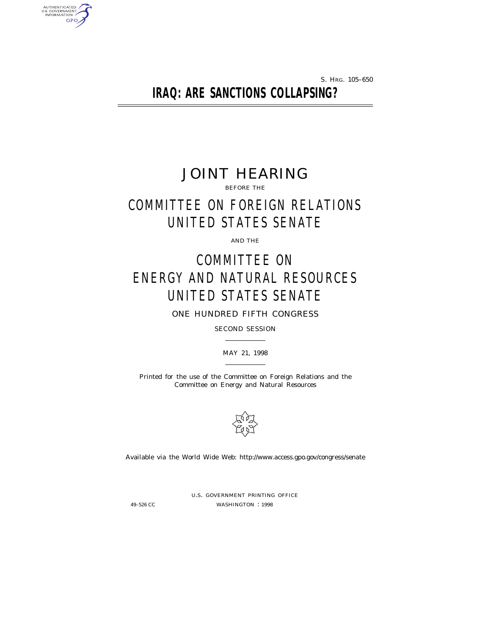S. HRG. 105–650

# **IRAQ: ARE SANCTIONS COLLAPSING?**

# JOINT HEARING

BEFORE THE

# COMMITTEE ON FOREIGN RELATIONS UNITED STATES SENATE

AND THE

# COMMITTEE ON ENERGY AND NATURAL RESOURCES UNITED STATES SENATE

ONE HUNDRED FIFTH CONGRESS

SECOND SESSION

MAY 21, 1998

Printed for the use of the Committee on Foreign Relations and the Committee on Energy and Natural Resources



Available via the World Wide Web: http://www.access.gpo.gov/congress/senate

AUTHENTICATED<br>U.S. GOVERNMENT<br>INFORMATION

U.S. GOVERNMENT PRINTING OFFICE 49-526 CC WASHINGTON : 1998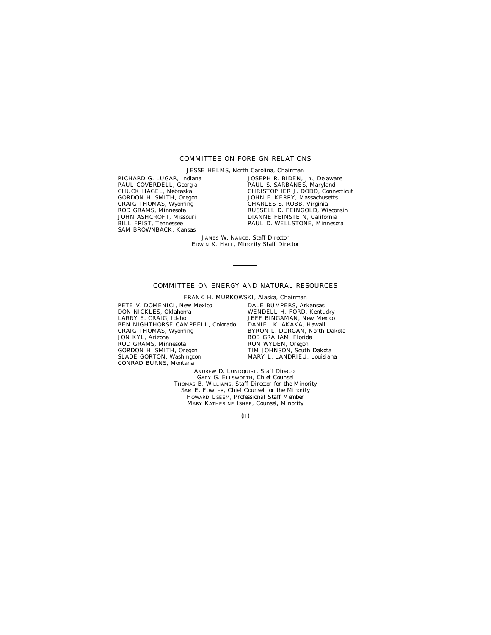#### COMMITTEE ON FOREIGN RELATIONS

JESSE HELMS, North Carolina, *Chairman*

RICHARD G. LUGAR, Indiana PAUL COVERDELL, Georgia CHUCK HAGEL, Nebraska GORDON H. SMITH, Oregon CRAIG THOMAS, Wyoming ROD GRAMS, Minnesota JOHN ASHCROFT, Missouri BILL FRIST, Tennessee SAM BROWNBACK, Kansas

JOSEPH R. BIDEN, JR., Delaware PAUL S. SARBANES, Maryland CHRISTOPHER J. DODD, Connecticut JOHN F. KERRY, Massachusetts CHARLES S. ROBB, Virginia RUSSELL D. FEINGOLD, Wisconsin DIANNE FEINSTEIN, California PAUL D. WELLSTONE, Minnesota

JAMES W. NANCE, *Staff Director* EDWIN K. HALL, *Minority Staff Director*

### COMMITTEE ON ENERGY AND NATURAL RESOURCES

FRANK H. MURKOWSKI, Alaska, *Chairman*

PETE V. DOMENICI, New Mexico DON NICKLES, Oklahoma LARRY E. CRAIG, Idaho BEN NIGHTHORSE CAMPBELL, Colorado CRAIG THOMAS, Wyoming JON KYL, Arizona ROD GRAMS, Minnesota GORDON H. SMITH, Oregon SLADE GORTON, Washington CONRAD BURNS, Montana

DALE BUMPERS, Arkansas WENDELL H. FORD, Kentucky JEFF BINGAMAN, New Mexico DANIEL K. AKAKA, Hawaii BYRON L. DORGAN, North Dakota BOB GRAHAM, Florida RON WYDEN, Oregon TIM JOHNSON, South Dakota MARY L. LANDRIEU, Louisiana

ANDREW D. LUNDQUIST, *Staff Director* GARY G. ELLSWORTH, *Chief Counsel* THOMAS B. WILLIAMS, *Staff Director for the Minority* SAM E. FOWLER, *Chief Counsel for the Minority* HOWARD USEEM, *Professional Staff Member* MARY KATHERINE ISHEE, *Counsel, Minority*

(II)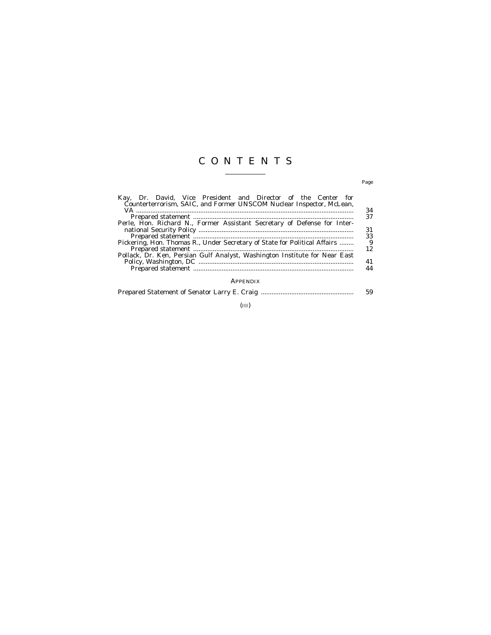# C O N T E N T S

 $\overline{\phantom{0}}$ 

 $\overline{\phantom{a}}$ 

Page

| Kay, Dr. David, Vice President and Director of the Center for<br>Counterterrorism, SAIC, and Former UNSCOM Nuclear Inspector, McLean, | 34 |
|---------------------------------------------------------------------------------------------------------------------------------------|----|
|                                                                                                                                       | 37 |
|                                                                                                                                       |    |
|                                                                                                                                       | 31 |
|                                                                                                                                       | 33 |
| Pickering, Hon. Thomas R., Under Secretary of State for Political Affairs                                                             | 9  |
|                                                                                                                                       | 12 |
| Pollack, Dr. Ken, Persian Gulf Analyst, Washington Institute for Near East                                                            |    |
|                                                                                                                                       | 41 |
|                                                                                                                                       | 44 |
| <b>APPENDIX</b>                                                                                                                       |    |
|                                                                                                                                       | 59 |

(III)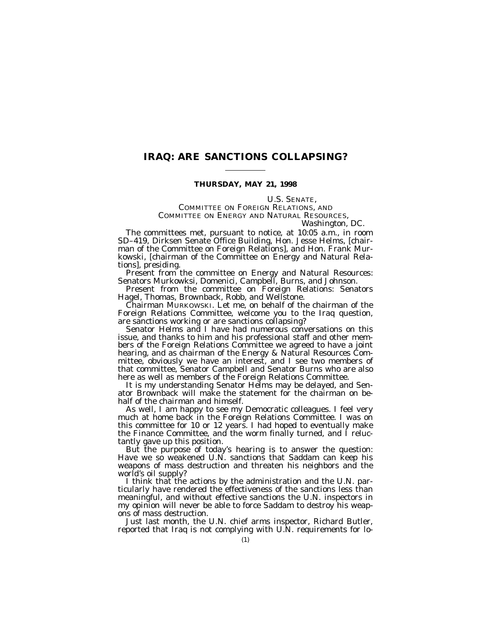## **IRAQ: ARE SANCTIONS COLLAPSING?**

### **THURSDAY, MAY 21, 1998**

U.S. SENATE, COMMITTEE ON FOREIGN RELATIONS, AND COMMITTEE ON ENERGY AND NATURAL RESOURCES, *Washington, DC.*

The committees met, pursuant to notice, at 10:05 a.m., in room SD–419, Dirksen Senate Office Building, Hon. Jesse Helms, [chairman of the Committee on Foreign Relations], and Hon. Frank Murkowski, [chairman of the Committee on Energy and Natural Relations], presiding.

Present from the committee on Energy and Natural Resources: Senators Murkowksi, Domenici, Campbell, Burns, and Johnson.

Present from the committee on Foreign Relations: Senators Hagel, Thomas, Brownback, Robb, and Wellstone.

Chairman MURKOWSKI. Let me, on behalf of the chairman of the Foreign Relations Committee, welcome you to the Iraq question, are sanctions working or are sanctions collapsing?

Senator Helms and I have had numerous conversations on this issue, and thanks to him and his professional staff and other members of the Foreign Relations Committee we agreed to have a joint hearing, and as chairman of the Energy & Natural Resources Committee, obviously we have an interest, and I see two members of that committee, Senator Campbell and Senator Burns who are also here as well as members of the Foreign Relations Committee.

It is my understanding Senator Helms may be delayed, and Senator Brownback will make the statement for the chairman on behalf of the chairman and himself.

As well, I am happy to see my Democratic colleagues. I feel very much at home back in the Foreign Relations Committee. I was on this committee for 10 or 12 years. I had hoped to eventually make the Finance Committee, and the worm finally turned, and I reluctantly gave up this position.

But the purpose of today's hearing is to answer the question: Have we so weakened U.N. sanctions that Saddam can keep his weapons of mass destruction and threaten his neighbors and the world's oil supply?

I think that the actions by the administration and the U.N. particularly have rendered the effectiveness of the sanctions less than meaningful, and without effective sanctions the U.N. inspectors in my opinion will never be able to force Saddam to destroy his weapons of mass destruction.

Just last month, the U.N. chief arms inspector, Richard Butler, reported that Iraq is not complying with U.N. requirements for lo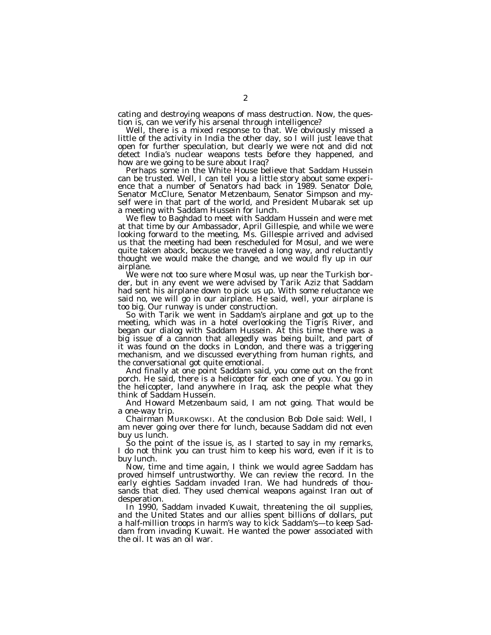cating and destroying weapons of mass destruction. Now, the question is, can we verify his arsenal through intelligence?

Well, there is a mixed response to that. We obviously missed a little of the activity in India the other day, so I will just leave that open for further speculation, but clearly we were not and did not detect India's nuclear weapons tests before they happened, and how are we going to be sure about Iraq?

Perhaps some in the White House believe that Saddam Hussein can be trusted. Well, I can tell you a little story about some experience that a number of Senators had back in 1989. Senator Dole, Senator McClure, Senator Metzenbaum, Senator Simpson and myself were in that part of the world, and President Mubarak set up a meeting with Saddam Hussein for lunch.

We flew to Baghdad to meet with Saddam Hussein and were met at that time by our Ambassador, April Gillespie, and while we were looking forward to the meeting, Ms. Gillespie arrived and advised us that the meeting had been rescheduled for Mosul, and we were quite taken aback, because we traveled a long way, and reluctantly thought we would make the change, and we would fly up in our airplane.

We were not too sure where Mosul was, up near the Turkish border, but in any event we were advised by Tarik Aziz that Saddam had sent his airplane down to pick us up. With some reluctance we said no, we will go in our airplane. He said, well, your airplane is too big. Our runway is under construction.

So with Tarik we went in Saddam's airplane and got up to the meeting, which was in a hotel overlooking the Tigris River, and began our dialog with Saddam Hussein. At this time there was a big issue of a cannon that allegedly was being built, and part of it was found on the docks in London, and there was a triggering mechanism, and we discussed everything from human rights, and the conversational got quite emotional.

And finally at one point Saddam said, you come out on the front porch. He said, there is a helicopter for each one of you. You go in the helicopter, land anywhere in Iraq, ask the people what they think of Saddam Hussein.

And Howard Metzenbaum said, I am not going. That would be a one-way trip.

Chairman MURKOWSKI. At the conclusion Bob Dole said: Well, I am never going over there for lunch, because Saddam did not even buy us lunch.

So the point of the issue is, as I started to say in my remarks, I do not think you can trust him to keep his word, even if it is to buy lunch.

Now, time and time again, I think we would agree Saddam has proved himself untrustworthy. We can review the record. In the early eighties Saddam invaded Iran. We had hundreds of thousands that died. They used chemical weapons against Iran out of desperation.

In 1990, Saddam invaded Kuwait, threatening the oil supplies, and the United States and our allies spent billions of dollars, put a half-million troops in harm's way to kick Saddam's—to keep Saddam from invading Kuwait. He wanted the power associated with the oil. It was an oil war.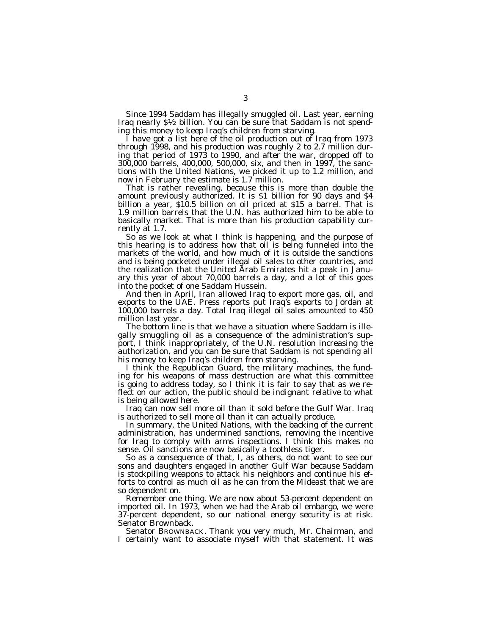Since 1994 Saddam has illegally smuggled oil. Last year, earning Iraq nearly \$1⁄2 billion. You can be sure that Saddam is not spending this money to keep Iraq's children from starving.

I have got a list here of the oil production out of Iraq from 1973 through 1998, and his production was roughly 2 to 2.7 million during that period of 1973 to 1990, and after the war, dropped off to 300,000 barrels, 400,000, 500,000, six, and then in 1997, the sanctions with the United Nations, we picked it up to 1.2 million, and now in February the estimate is 1.7 million.

That is rather revealing, because this is more than double the amount previously authorized. It is \$1 billion for 90 days and \$4 billion a year, \$10.5 billion on oil priced at \$15 a barrel. That is 1.9 million barrels that the U.N. has authorized him to be able to basically market. That is more than his production capability currently at 1.7.

So as we look at what I think is happening, and the purpose of this hearing is to address how that oil is being funneled into the markets of the world, and how much of it is outside the sanctions and is being pocketed under illegal oil sales to other countries, and the realization that the United Arab Emirates hit a peak in January this year of about 70,000 barrels a day, and a lot of this goes into the pocket of one Saddam Hussein.

And then in April, Iran allowed Iraq to export more gas, oil, and exports to the UAE. Press reports put Iraq's exports to Jordan at 100,000 barrels a day. Total Iraq illegal oil sales amounted to 450 million last year.

The bottom line is that we have a situation where Saddam is illegally smuggling oil as a consequence of the administration's support, I think inappropriately, of the U.N. resolution increasing the authorization, and you can be sure that Saddam is not spending all his money to keep Iraq's children from starving.

I think the Republican Guard, the military machines, the funding for his weapons of mass destruction are what this committee is going to address today, so I think it is fair to say that as we reflect on our action, the public should be indignant relative to what is being allowed here.

Iraq can now sell more oil than it sold before the Gulf War. Iraq is authorized to sell more oil than it can actually produce.

In summary, the United Nations, with the backing of the current administration, has undermined sanctions, removing the incentive for Iraq to comply with arms inspections. I think this makes no sense. Oil sanctions are now basically a toothless tiger.

So as a consequence of that, I, as others, do not want to see our sons and daughters engaged in another Gulf War because Saddam is stockpiling weapons to attack his neighbors and continue his efforts to control as much oil as he can from the Mideast that we are so dependent on.

Remember one thing. We are now about 53-percent dependent on imported oil. In 1973, when we had the Arab oil embargo, we were 37-percent dependent, so our national energy security is at risk. Senator Brownback.

Senator BROWNBACK. Thank you very much, Mr. Chairman, and I certainly want to associate myself with that statement. It was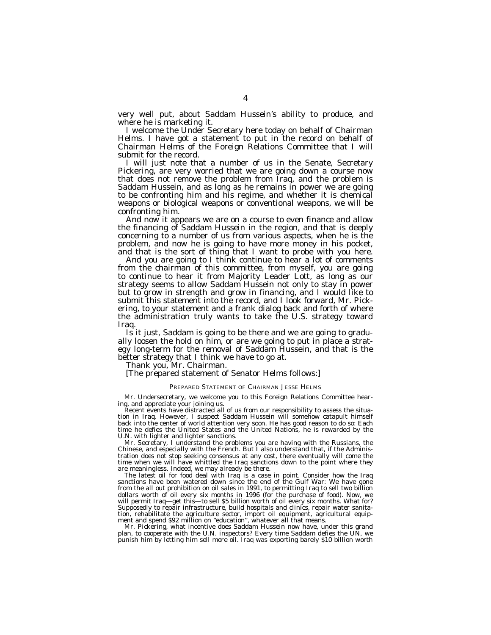very well put, about Saddam Hussein's ability to produce, and where he is marketing it.

I welcome the Under Secretary here today on behalf of Chairman Helms. I have got a statement to put in the record on behalf of Chairman Helms of the Foreign Relations Committee that I will submit for the record.

I will just note that a number of us in the Senate, Secretary Pickering, are very worried that we are going down a course now that does not remove the problem from Iraq, and the problem is Saddam Hussein, and as long as he remains in power we are going to be confronting him and his regime, and whether it is chemical weapons or biological weapons or conventional weapons, we will be confronting him.

And now it appears we are on a course to even finance and allow the financing of Saddam Hussein in the region, and that is deeply concerning to a number of us from various aspects, when he is the problem, and now he is going to have more money in his pocket, and that is the sort of thing that I want to probe with you here.

And you are going to I think continue to hear a lot of comments from the chairman of this committee, from myself, you are going to continue to hear it from Majority Leader Lott, as long as our strategy seems to allow Saddam Hussein not only to stay in power but to grow in strength and grow in financing, and I would like to submit this statement into the record, and I look forward, Mr. Pickering, to your statement and a frank dialog back and forth of where the administration truly wants to take the U.S. strategy toward Iraq.

Is it just, Saddam is going to be there and we are going to gradually loosen the hold on him, or are we going to put in place a strategy long-term for the removal of Saddam Hussein, and that is the better strategy that I think we have to go at.

Thank you, Mr. Chairman.

[The prepared statement of Senator Helms follows:]

#### PREPARED STATEMENT OF CHAIRMAN JESSE HELMS

Mr. Undersecretary, we welcome you to this Foreign Relations Committee hearing, and appreciate your joining us.

Recent events have distracted all of us from our responsibility to assess the situation in Iraq. However, I suspect Saddam Hussein will somehow catapult himself back into the center of world attention very soon. He has good reason to do so: Each time he defies the United States and the United Nations, he is rewarded by the U.N. with lighter and lighter sanctions.

Mr. Secretary, I understand the problems you are having with the Russians, the Chinese, and especially with the French. But I also understand that, if the Administration does not stop seeking consensus at any cost, there eventually will come the time when we will have whittled the Iraq sanctions down to the point where they are meaningless. Indeed, we may already be there.

The latest oil for food deal with Iraq is a case in point. Consider how the Iraq sanctions have been watered down since the end of the Gulf War: We have gone from the all out prohibition on oil sales in 1991, to permitting Iraq to sell two billion dollars worth of oil every six months in 1996 (for the purchase of food). Now, we will permit Iraq—get this—to sell \$5 billion worth of oil every six months. What for? Supposedly to repair infrastructure, build hospitals and clinics, repair water sanitation, rehabilitate the agriculture sector, import oil equipment, agricultural equipment and spend \$92 million on ''education'', whatever all that means.

Mr. Pickering, what incentive does Saddam Hussein now have, under this grand plan, to cooperate with the U.N. inspectors? Every time Saddam defies the UN, we punish him by letting him sell more oil. Iraq was exporting barely \$10 billion worth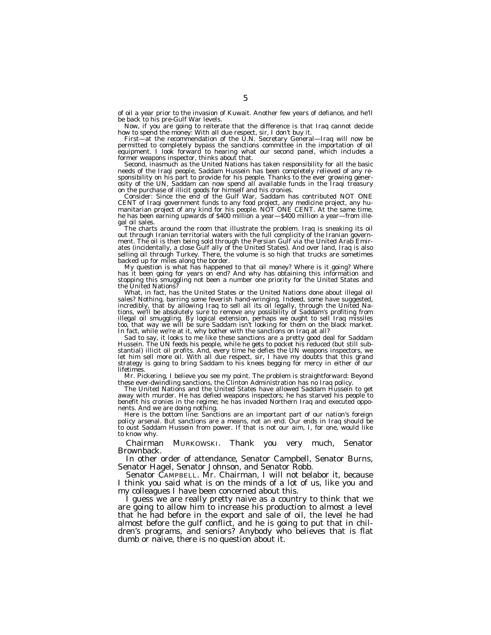of oil a year prior to the invasion of Kuwait. Another few years of defiance, and he'll be back to his pre-Gulf War levels.

Now, if you are going to reiterate that the difference is that Iraq cannot decide how to spend the money: With all due respect, sir, I don't buy it.

First—at the recommendation of the U.N. Secretary General—Iraq will now be permitted to completely bypass the sanctions committee in the importation of oil equipment. I look forward to hearing what our second panel, which includes a former weapons inspector, thinks about that.

Second, inasmuch as the United Nations has taken responsibility for all the basic needs of the Iraqi people, Saddam Hussein has been completely relieved of any responsibility on his part to provide for his people. Thanks to the ever growing generosity of the UN, Saddam can now spend all available funds in the Iraqi treasury on the purchase of illicit goods for himself and his cronies.

Consider: Since the end of the Gulf War, Saddam has contributed NOT ONE CENT of Iraqi government funds to any food project, any medicine project, any humanitarian project of any kind for his people. NOT ONE CENT. At the same time, he has been earning upwards of \$400 million a year—\$400 million a year—from illegal oil sales.

The charts around the room that illustrate the problem. Iraq is sneaking its oil out through Iranian territorial waters with the full complicity of the Iranian government. The oil is then being sold through the Persian Gulf via the United Arab Emirates (incidentally, a close Gulf ally of the United States). And over land, Iraq is also selling oil through Turkey. There, the volume is so high that trucks are sometimes backed up for miles along the border.

My question is what has happened to that oil money? Where is it going? Where has it been going for years on end? And why has obtaining this information and stopping this smuggling not been a number one priority for the United States and the United Nations?

What, in fact, has the United States or the United Nations done about illegal oil sales? Nothing, barring some feverish hand-wringing. Indeed, some have suggested, incredibly, that by allowing Iraq to sell all its oil legally, through the United Nations, we'll be absolutely sure to remove any possibility of Saddam's profiting from illegal oil smuggling. By logical extension, perhaps we ought to sell Iraq missiles too, that way we will be sure Saddam isn't looking for them on the black market. In fact, while we're at it, why bother with the sanctions on Iraq at all?

Sad to say, it looks to me like these sanctions are a pretty good deal for Saddam Hussein. The UN feeds his people, while he gets to pocket his reduced (but still substantial) illicit oil profits. And, every time he defies the UN weapons inspectors, we let him sell more oil. With all due respect, sir, I have my doubts that this grand strategy is going to bring Saddam to his knees begging for mercy in either of our lifetimes

Mr. Pickering, I believe you see my point. The problem is straightforward: Beyond these ever-dwindling sanctions, the Clinton Administration has no Iraq policy.

The United Nations and the United States have allowed Saddam Hussein to get away with murder. He has defied weapons inspectors; he has starved his people to benefit his cronies in the regime; he has invaded Northern Iraq and executed opponents. And we are doing nothing.

Here is the bottom line: Sanctions are an important part of our nation's foreign policy arsenal. But sanctions are a means, not an end. Our ends in Iraq should be to oust Saddam Hussein from power. If that is not our aim, I, for one, would like to know why.

Chairman MURKOWSKI. Thank you very much, Senator Brownback.

In other order of attendance, Senator Campbell, Senator Burns, Senator Hagel, Senator Johnson, and Senator Robb.

Senator CAMPBELL. Mr. Chairman, I will not belabor it, because I think you said what is on the minds of a lot of us, like you and my colleagues I have been concerned about this.

I guess we are really pretty naive as a country to think that we are going to allow him to increase his production to almost a level that he had before in the export and sale of oil, the level he had almost before the gulf conflict, and he is going to put that in children's programs, and seniors? Anybody who believes that is flat dumb or naive, there is no question about it.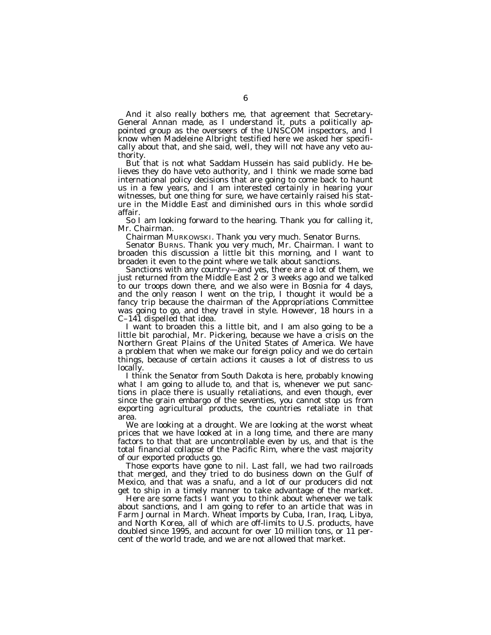And it also really bothers me, that agreement that Secretary-General Annan made, as I understand it, puts a politically appointed group as the overseers of the UNSCOM inspectors, and I know when Madeleine Albright testified here we asked her specifically about that, and she said, well, they will not have any veto authority.

But that is not what Saddam Hussein has said publicly. He believes they do have veto authority, and I think we made some bad international policy decisions that are going to come back to haunt us in a few years, and I am interested certainly in hearing your witnesses, but one thing for sure, we have certainly raised his stature in the Middle East and diminished ours in this whole sordid affair.

So I am looking forward to the hearing. Thank you for calling it, Mr. Chairman.

Chairman MURKOWSKI. Thank you very much. Senator Burns.

Senator BURNS. Thank you very much, Mr. Chairman. I want to broaden this discussion a little bit this morning, and I want to broaden it even to the point where we talk about sanctions.

Sanctions with any country—and yes, there are a lot of them, we just returned from the Middle East 2 or 3 weeks ago and we talked to our troops down there, and we also were in Bosnia for 4 days, and the only reason I went on the trip, I thought it would be a fancy trip because the chairman of the Appropriations Committee was going to go, and they travel in style. However, 18 hours in a C–141 dispelled that idea.

I want to broaden this a little bit, and I am also going to be a little bit parochial, Mr. Pickering, because we have a crisis on the Northern Great Plains of the United States of America. We have a problem that when we make our foreign policy and we do certain things, because of certain actions it causes a lot of distress to us locally.

I think the Senator from South Dakota is here, probably knowing what I am going to allude to, and that is, whenever we put sanctions in place there is usually retaliations, and even though, ever since the grain embargo of the seventies, you cannot stop us from exporting agricultural products, the countries retaliate in that area.

We are looking at a drought. We are looking at the worst wheat prices that we have looked at in a long time, and there are many factors to that that are uncontrollable even by us, and that is the total financial collapse of the Pacific Rim, where the vast majority of our exported products go.

Those exports have gone to nil. Last fall, we had two railroads that merged, and they tried to do business down on the Gulf of Mexico, and that was a snafu, and a lot of our producers did not get to ship in a timely manner to take advantage of the market.

Here are some facts I want you to think about whenever we talk about sanctions, and I am going to refer to an article that was in Farm Journal in March. Wheat imports by Cuba, Iran, Iraq, Libya, and North Korea, all of which are off-limits to U.S. products, have doubled since 1995, and account for over 10 million tons, or 11 percent of the world trade, and we are not allowed that market.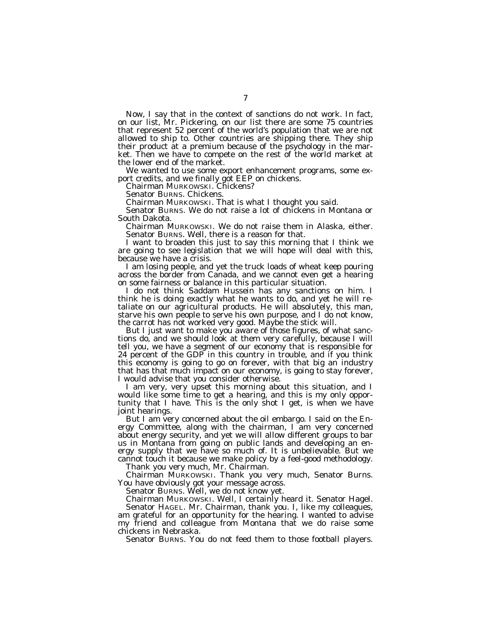Now, I say that in the context of sanctions do not work. In fact, on our list, Mr. Pickering, on our list there are some 75 countries that represent 52 percent of the world's population that we are not allowed to ship to. Other countries are shipping there. They ship their product at a premium because of the psychology in the market. Then we have to compete on the rest of the world market at the lower end of the market.

We wanted to use some export enhancement programs, some export credits, and we finally got EEP on chickens.

Chairman MURKOWSKI. Chickens?

Senator BURNS. Chickens.

Chairman MURKOWSKI. That is what I thought you said.

Senator BURNS. We do not raise a lot of chickens in Montana or South Dakota.

Chairman MURKOWSKI. We do not raise them in Alaska, either. Senator BURNS. Well, there is a reason for that.

I want to broaden this just to say this morning that I think we are going to see legislation that we will hope will deal with this, because we have a crisis.

I am losing people, and yet the truck loads of wheat keep pouring across the border from Canada, and we cannot even get a hearing on some fairness or balance in this particular situation.

I do not think Saddam Hussein has any sanctions on him. I think he is doing exactly what he wants to do, and yet he will retaliate on our agricultural products. He will absolutely, this man, starve his own people to serve his own purpose, and I do not know, the carrot has not worked very good. Maybe the stick will.

But I just want to make you aware of those figures, of what sanctions do, and we should look at them very carefully, because I will tell you, we have a segment of our economy that is responsible for 24 percent of the GDP in this country in trouble, and if you think this economy is going to go on forever, with that big an industry that has that much impact on our economy, is going to stay forever, I would advise that you consider otherwise.

I am very, very upset this morning about this situation, and I would like some time to get a hearing, and this is my only opportunity that I have. This is the only shot I get, is when we have joint hearings.

But I am very concerned about the oil embargo. I said on the Energy Committee, along with the chairman, I am very concerned about energy security, and yet we will allow different groups to bar us in Montana from going on public lands and developing an energy supply that we have so much of. It is unbelievable. But we cannot touch it because we make policy by a feel-good methodology.

Thank you very much, Mr. Chairman.

Chairman MURKOWSKI. Thank you very much, Senator Burns. You have obviously got your message across.

Senator BURNS. Well, we do not know yet.

Chairman MURKOWSKI. Well, I certainly heard it. Senator Hagel. Senator HAGEL. Mr. Chairman, thank you. I, like my colleagues,

am grateful for an opportunity for the hearing. I wanted to advise my friend and colleague from Montana that we do raise some chickens in Nebraska.

Senator BURNS. You do not feed them to those football players.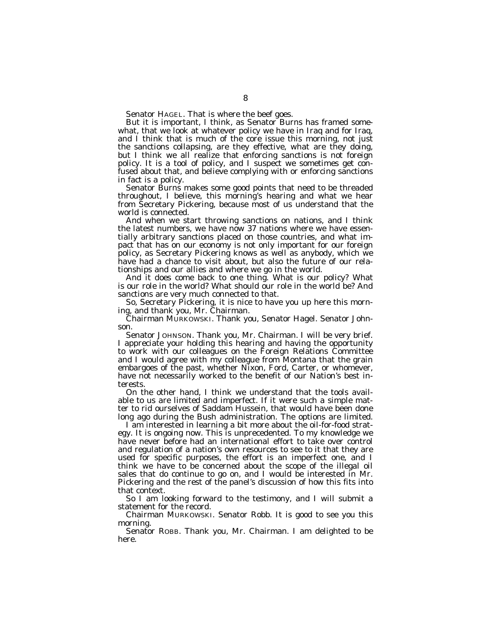Senator HAGEL. That is where the beef goes.

But it is important, I think, as Senator Burns has framed somewhat, that we look at whatever policy we have in Iraq and for Iraq, and I think that is much of the core issue this morning, not just the sanctions collapsing, are they effective, what are they doing, but I think we all realize that enforcing sanctions is not foreign policy. It is a tool of policy, and I suspect we sometimes get confused about that, and believe complying with or enforcing sanctions in fact is a policy.

Senator Burns makes some good points that need to be threaded throughout, I believe, this morning's hearing and what we hear from Secretary Pickering, because most of us understand that the world is connected.

And when we start throwing sanctions on nations, and I think the latest numbers, we have now 37 nations where we have essentially arbitrary sanctions placed on those countries, and what impact that has on our economy is not only important for our foreign policy, as Secretary Pickering knows as well as anybody, which we have had a chance to visit about, but also the future of our relationships and our allies and where we go in the world.

And it does come back to one thing. What is our policy? What is our role in the world? What should our role in the world be? And sanctions are very much connected to that.

So, Secretary Pickering, it is nice to have you up here this morning, and thank you, Mr. Chairman.

Chairman MURKOWSKI. Thank you, Senator Hagel. Senator Johnson.

Senator JOHNSON. Thank you, Mr. Chairman. I will be very brief. I appreciate your holding this hearing and having the opportunity to work with our colleagues on the Foreign Relations Committee and I would agree with my colleague from Montana that the grain embargoes of the past, whether Nixon, Ford, Carter, or whomever, have not necessarily worked to the benefit of our Nation's best interests.

On the other hand, I think we understand that the tools available to us are limited and imperfect. If it were such a simple matter to rid ourselves of Saddam Hussein, that would have been done long ago during the Bush administration. The options are limited.

I am interested in learning a bit more about the oil-for-food strategy. It is ongoing now. This is unprecedented. To my knowledge we have never before had an international effort to take over control and regulation of a nation's own resources to see to it that they are used for specific purposes, the effort is an imperfect one, and I think we have to be concerned about the scope of the illegal oil sales that do continue to go on, and I would be interested in Mr. Pickering and the rest of the panel's discussion of how this fits into that context.

So I am looking forward to the testimony, and I will submit a statement for the record.

Chairman MURKOWSKI. Senator Robb. It is good to see you this morning.

Senator ROBB. Thank you, Mr. Chairman. I am delighted to be here.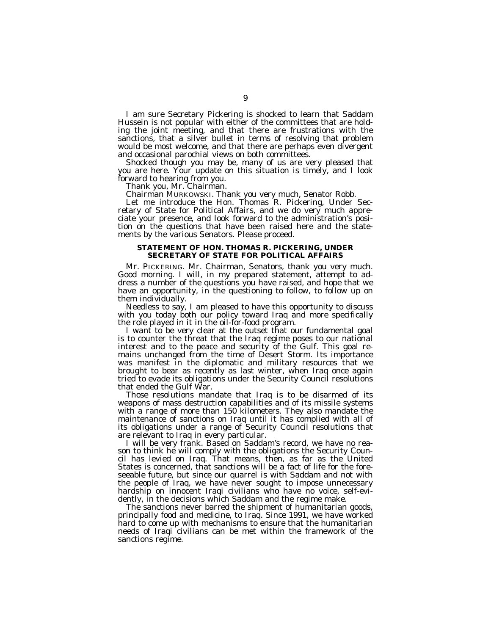I am sure Secretary Pickering is shocked to learn that Saddam Hussein is not popular with either of the committees that are holding the joint meeting, and that there are frustrations with the sanctions, that a silver bullet in terms of resolving that problem would be most welcome, and that there are perhaps even divergent and occasional parochial views on both committees.

Shocked though you may be, many of us are very pleased that you are here. Your update on this situation is timely, and I look forward to hearing from you.

Thank you, Mr. Chairman.

Chairman MURKOWSKI. Thank you very much, Senator Robb.

Let me introduce the Hon. Thomas R. Pickering, Under Secretary of State for Political Affairs, and we do very much appreciate your presence, and look forward to the administration's position on the questions that have been raised here and the statements by the various Senators. Please proceed.

### **STATEMENT OF HON. THOMAS R. PICKERING, UNDER SECRETARY OF STATE FOR POLITICAL AFFAIRS**

Mr. PICKERING. Mr. Chairman, Senators, thank you very much. Good morning. I will, in my prepared statement, attempt to address a number of the questions you have raised, and hope that we have an opportunity, in the questioning to follow, to follow up on them individually.

Needless to say, I am pleased to have this opportunity to discuss with you today both our policy toward Iraq and more specifically the role played in it in the oil-for-food program.

I want to be very clear at the outset that our fundamental goal is to counter the threat that the Iraq regime poses to our national interest and to the peace and security of the Gulf. This goal remains unchanged from the time of Desert Storm. Its importance was manifest in the diplomatic and military resources that we brought to bear as recently as last winter, when Iraq once again tried to evade its obligations under the Security Council resolutions that ended the Gulf War.

Those resolutions mandate that Iraq is to be disarmed of its weapons of mass destruction capabilities and of its missile systems with a range of more than 150 kilometers. They also mandate the maintenance of sanctions on Iraq until it has complied with all of its obligations under a range of Security Council resolutions that are relevant to Iraq in every particular.

I will be very frank. Based on Saddam's record, we have no reason to think he will comply with the obligations the Security Council has levied on Iraq. That means, then, as far as the United States is concerned, that sanctions will be a fact of life for the foreseeable future, but since our quarrel is with Saddam and not with the people of Iraq, we have never sought to impose unnecessary hardship on innocent Iraqi civilians who have no voice, self-evidently, in the decisions which Saddam and the regime make.

The sanctions never barred the shipment of humanitarian goods, principally food and medicine, to Iraq. Since 1991, we have worked hard to come up with mechanisms to ensure that the humanitarian needs of Iraqi civilians can be met within the framework of the sanctions regime.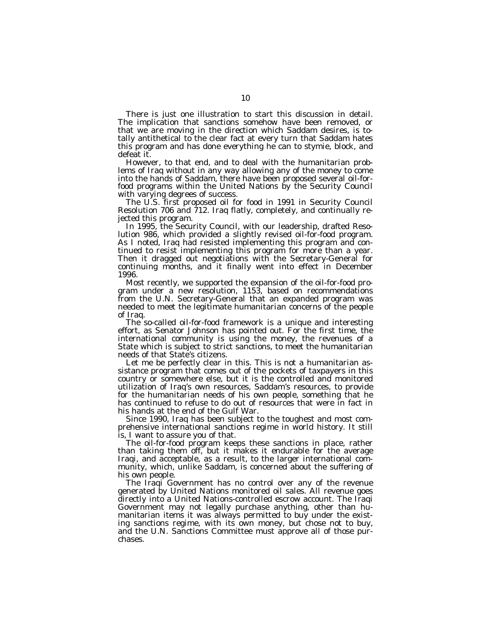There is just one illustration to start this discussion in detail. The implication that sanctions somehow have been removed, or that we are moving in the direction which Saddam desires, is totally antithetical to the clear fact at every turn that Saddam hates this program and has done everything he can to stymie, block, and defeat it.

However, to that end, and to deal with the humanitarian problems of Iraq without in any way allowing any of the money to come into the hands of Saddam, there have been proposed several oil-forfood programs within the United Nations by the Security Council with varying degrees of success.

The U.S. first proposed oil for food in 1991 in Security Council Resolution 706 and 712. Iraq flatly, completely, and continually rejected this program.

In 1995, the Security Council, with our leadership, drafted Resolution 986, which provided a slightly revised oil-for-food program. As I noted, Iraq had resisted implementing this program and continued to resist implementing this program for more than a year. Then it dragged out negotiations with the Secretary-General for continuing months, and it finally went into effect in December 1996.

Most recently, we supported the expansion of the oil-for-food program under a new resolution, 1153, based on recommendations from the U.N. Secretary-General that an expanded program was needed to meet the legitimate humanitarian concerns of the people of Iraq.

The so-called oil-for-food framework is a unique and interesting effort, as Senator Johnson has pointed out. For the first time, the international community is using the money, the revenues of a State which is subject to strict sanctions, to meet the humanitarian needs of that State's citizens.

Let me be perfectly clear in this. This is not a humanitarian assistance program that comes out of the pockets of taxpayers in this country or somewhere else, but it is the controlled and monitored utilization of Iraq's own resources, Saddam's resources, to provide for the humanitarian needs of his own people, something that he has continued to refuse to do out of resources that were in fact in his hands at the end of the Gulf War.

Since 1990, Iraq has been subject to the toughest and most comprehensive international sanctions regime in world history. It still is, I want to assure you of that.

The oil-for-food program keeps these sanctions in place, rather than taking them off, but it makes it endurable for the average Iraqi, and acceptable, as a result, to the larger international community, which, unlike Saddam, is concerned about the suffering of his own people.

The Iraqi Government has no control over any of the revenue generated by United Nations monitored oil sales. All revenue goes directly into a United Nations-controlled escrow account. The Iraqi Government may not legally purchase anything, other than humanitarian items it was always permitted to buy under the existing sanctions regime, with its own money, but chose not to buy, and the U.N. Sanctions Committee must approve all of those purchases.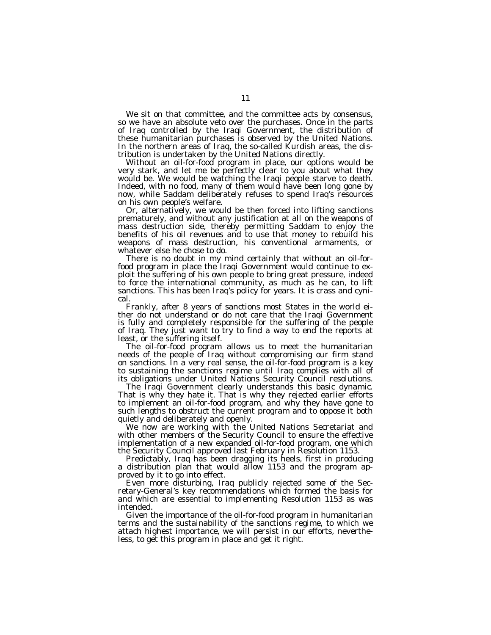We sit on that committee, and the committee acts by consensus, so we have an absolute veto over the purchases. Once in the parts of Iraq controlled by the Iraqi Government, the distribution of these humanitarian purchases is observed by the United Nations. In the northern areas of Iraq, the so-called Kurdish areas, the distribution is undertaken by the United Nations directly.

Without an oil-for-food program in place, our options would be very stark, and let me be perfectly clear to you about what they would be. We would be watching the Iraqi people starve to death. Indeed, with no food, many of them would have been long gone by now, while Saddam deliberately refuses to spend Iraq's resources on his own people's welfare.

Or, alternatively, we would be then forced into lifting sanctions prematurely, and without any justification at all on the weapons of mass destruction side, thereby permitting Saddam to enjoy the benefits of his oil revenues and to use that money to rebuild his weapons of mass destruction, his conventional armaments, or whatever else he chose to do.

There is no doubt in my mind certainly that without an oil-forfood program in place the Iraqi Government would continue to exploit the suffering of his own people to bring great pressure, indeed to force the international community, as much as he can, to lift sanctions. This has been Iraq's policy for years. It is crass and cynical.

Frankly, after 8 years of sanctions most States in the world either do not understand or do not care that the Iraqi Government is fully and completely responsible for the suffering of the people of Iraq. They just want to try to find a way to end the reports at least, or the suffering itself.

The oil-for-food program allows us to meet the humanitarian needs of the people of Iraq without compromising our firm stand on sanctions. In a very real sense, the oil-for-food program is a key to sustaining the sanctions regime until Iraq complies with all of its obligations under United Nations Security Council resolutions.

The Iraqi Government clearly understands this basic dynamic. That is why they hate it. That is why they rejected earlier efforts to implement an oil-for-food program, and why they have gone to such lengths to obstruct the current program and to oppose it both quietly and deliberately and openly.

We now are working with the United Nations Secretariat and with other members of the Security Council to ensure the effective implementation of a new expanded oil-for-food program, one which the Security Council approved last February in Resolution 1153.

Predictably, Iraq has been dragging its heels, first in producing a distribution plan that would allow 1153 and the program approved by it to go into effect.

Even more disturbing, Iraq publicly rejected some of the Secretary-General's key recommendations which formed the basis for and which are essential to implementing Resolution 1153 as was intended.

Given the importance of the oil-for-food program in humanitarian terms and the sustainability of the sanctions regime, to which we attach highest importance, we will persist in our efforts, nevertheless, to get this program in place and get it right.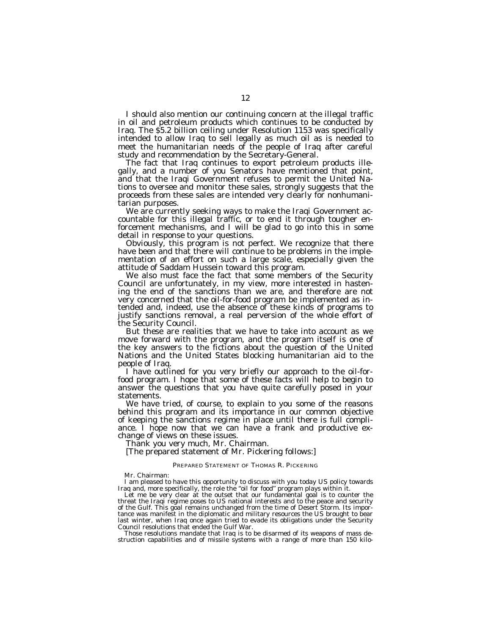I should also mention our continuing concern at the illegal traffic in oil and petroleum products which continues to be conducted by Iraq. The \$5.2 billion ceiling under Resolution 1153 was specifically intended to allow Iraq to sell legally as much oil as is needed to meet the humanitarian needs of the people of Iraq after careful study and recommendation by the Secretary-General.

The fact that Iraq continues to export petroleum products illegally, and a number of you Senators have mentioned that point, and that the Iraqi Government refuses to permit the United Nations to oversee and monitor these sales, strongly suggests that the proceeds from these sales are intended very clearly for nonhumanitarian purposes.

We are currently seeking ways to make the Iraqi Government accountable for this illegal traffic, or to end it through tougher enforcement mechanisms, and I will be glad to go into this in some detail in response to your questions.

Obviously, this program is not perfect. We recognize that there have been and that there will continue to be problems in the implementation of an effort on such a large scale, especially given the attitude of Saddam Hussein toward this program.

We also must face the fact that some members of the Security Council are unfortunately, in my view, more interested in hastening the end of the sanctions than we are, and therefore are not very concerned that the oil-for-food program be implemented as intended and, indeed, use the absence of these kinds of programs to justify sanctions removal, a real perversion of the whole effort of the Security Council.

But these are realities that we have to take into account as we move forward with the program, and the program itself is one of the key answers to the fictions about the question of the United Nations and the United States blocking humanitarian aid to the people of Iraq.

I have outlined for you very briefly our approach to the oil-forfood program. I hope that some of these facts will help to begin to answer the questions that you have quite carefully posed in your statements.

We have tried, of course, to explain to you some of the reasons behind this program and its importance in our common objective of keeping the sanctions regime in place until there is full compliance. I hope now that we can have a frank and productive exchange of views on these issues.

Thank you very much, Mr. Chairman.

[The prepared statement of Mr. Pickering follows:]

#### PREPARED STATEMENT OF THOMAS R. PICKERING

Mr. Chairman:

I am pleased to have this opportunity to discuss with you today US policy towards Iraq and, more specifically, the role the ''oil for food'' program plays within it.

Let me be very clear at the outset that our fundamental goal is to counter the threat the Iraqi regime poses to US national interests and to the peace and security of the Gulf. This goal remains unchanged from the time of Desert Storm. Its importance was manifest in the diplomatic and military resources the US brought to bear last winter, when Iraq once again tried to evade its obligations under the Security Council resolutions that ended the Gulf War.

Those resolutions mandate that Iraq is to be disarmed of its weapons of mass de-struction capabilities and of missile systems with a range of more than 150 kilo-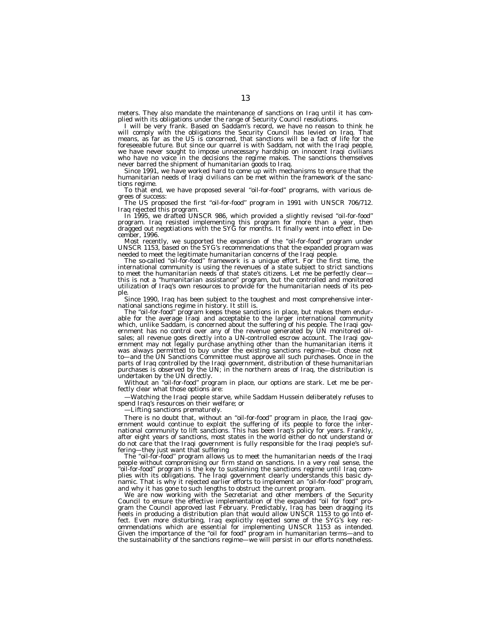meters. They also mandate the maintenance of sanctions on Iraq until it has complied with its obligations under the range of Security Council resolutions.

I will be very frank. Based on Saddam's record, we have no reason to think he will comply with the obligations the Security Council has levied on Iraq. That means, as far as the US is concerned, that sanctions will be a fact of life for the foreseeable future. But since our quarrel is with Saddam, not with the Iraqi people, we have never sought to impose unnecessary hardship on innocent Iraqi civilians who have no voice in the decisions the regime makes. The sanctions themselves never barred the shipment of humanitarian goods to Iraq.

Since 1991, we have worked hard to come up with mechanisms to ensure that the humanitarian needs of Iraqi civilians can be met within the framework of the sanctions regime.

To that end, we have proposed several ''oil-for-food'' programs, with various degrees of success:

The US proposed the first ''oil-for-food'' program in 1991 with UNSCR 706/712. Iraq rejected this program.

In 1995, we drafted UNSCR 986, which provided a slightly revised ''oil-for-food'' program. Iraq resisted implementing this program for more than a year, then dragged out negotiations with the SYG for months. It finally went into effect in December, 1996.

Most recently, we supported the expansion of the ''oil-for-food'' program under UNSCR 1153, based on the SYG's recommendations that the expanded program was needed to meet the legitimate humanitarian concerns of the Iraqi people.

The so-called ''oil-for-food'' framework is a unique effort. For the first time, the international community is using the revenues of a state subject to strict sanctions to meet the humanitarian needs of that state's citizens. Let me be perfectly clear this is not a ''humanitarian assistance'' program, but the controlled and monitored utilization of Iraq's own resources to provide for the humanitarian needs of its people.

Since 1990, Iraq has been subject to the toughest and most comprehensive international sanctions regime in history. It still is.

The ''oil-for-food'' program keeps these sanctions in place, but makes them endurable for the average Iraqi and acceptable to the larger international community which, unlike Saddam, is concerned about the suffering of his people. The Iraqi government has no control over any of the revenue generated by UN monitored oilsales; all revenue goes directly into a UN-controlled escrow account. The Iraqi government may not legally purchase anything other than the humanitarian items it was always permitted to buy under the existing sanctions regime—but chose not to—and the UN Sanctions Committee must approve all such purchases. Once in the parts of Iraq controlled by the Iraqi government, distribution of these humanitarian purchases is observed by the UN; in the northern areas of Iraq, the distribution is undertaken by the UN directly.

Without an ''oil-for-food'' program in place, our options are stark. Let me be perfectly clear what those options are:

—Watching the Iraqi people starve, while Saddam Hussein deliberately refuses to spend Iraq's resources on their welfare; or

—Lifting sanctions prematurely.

There is no doubt that, without an ''oil-for-food'' program in place, the Iraqi government would continue to exploit the suffering of its people to force the international community to lift sanctions. This has been Iraq's policy for years. Frankly, after eight years of sanctions, most states in the world either do not understand or do not care that the Iraqi government is fully responsible for the Iraqi people's suffering—they just want that suffering

The ''oil-for-food'' program allows us to meet the humanitarian needs of the Iraqi people without compromising our firm stand on sanctions. In a very real sense, the ''oil-for-food'' program is the key to sustaining the sanctions regime until Iraq complies with its obligations. The Iraqi government clearly understands this basic dynamic. That is why it rejected earlier efforts to implement an ''oil-for-food'' program, and why it has gone to such lengths to obstruct the current program.

We are now working with the Secretariat and other members of the Security Council to ensure the effective implementation of the expanded "oil for food" program the Council approved last February. Predictably, Iraq has been dragging its heels in producing a distribution plan that would allow UNSCR 1153 to go into effect. Even more disturbing, Iraq explicitly rejected some of the SYG's key recommendations which are essential for implementing UNSCR 1153 as intended. Given the importance of the "oil for food" program in humanitarian terms—and to<br>the sustainability of the sanctions regime—we will persist in our efforts nonetheless.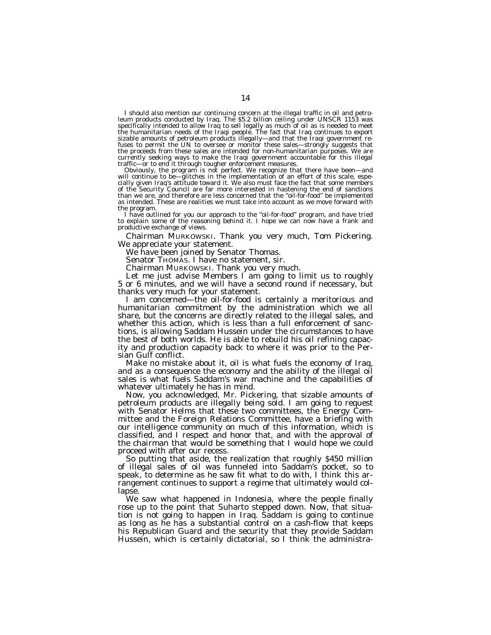I should also mention our continuing concern at the illegal traffic in oil and petro-<br>leum products conducted by Iraq. The \$5.2 billion ceiling under UNSCR 1153 was<br>specifically intended to allow Iraq to sell legally as mu the humanitarian needs of the Iraqi people. The fact that Iraq continues to export sizable amounts of petroleum products illegally—and that the Iraqi government refuses to permit the UN to oversee or monitor these sales—strongly suggests that the proceeds from these sales are intended for non-humanitarian purposes. We are currently seeking ways to make the Iraqi government accountable for this illegal

traffic—or to end it through tougher enforcement measures. Obviously, the program is not perfect. We recognize that there have been—and will continue to be—glitches in the implementation of an effort of this scale, especially given Iraq's attitude toward it. We also must face the fact that some members of the Security Council are far more interested in hastening the end of sanctions than we are, and therefore are less concerned that the ''oil-for-food'' be implemented as intended. These are realities we must take into account as we move forward with

the program. I have outlined for you our approach to the ''oil-for-food'' program, and have tried to explain some of the reasoning behind it. I hope we can now have a frank and productive exchange of views.

Chairman MURKOWSKI. Thank you very much, Tom Pickering.

We appreciate your statement. We have been joined by Senator Thomas.

Senator THOMAS. I have no statement, sir.<br>Chairman MURKOWSKI. Thank you very much.

Let me just advise Members I am going to limit us to roughly 5 or 6 minutes, and we will have a second round if necessary, but thanks very much for your statement.

I am concerned—the oil-for-food is certainly a meritorious and humanitarian commitment by the administration which we all share, but the concerns are directly related to the illegal sales, and whether this action, which is less than a full enforcement of sanctions, is allowing Saddam Hussein under the circumstances to have the best of both worlds. He is able to rebuild his oil refining capacity and production capacity back to where it was prior to the Persian Gulf conflict.

Make no mistake about it, oil is what fuels the economy of Iraq, and as a consequence the economy and the ability of the illegal oil sales is what fuels Saddam's war machine and the capabilities of whatever ultimately he has in mind.

Now, you acknowledged, Mr. Pickering, that sizable amounts of petroleum products are illegally being sold. I am going to request with Senator Helms that these two committees, the Energy Committee and the Foreign Relations Committee, have a briefing with our intelligence community on much of this information, which is classified, and I respect and honor that, and with the approval of the chairman that would be something that I would hope we could proceed with after our recess.

So putting that aside, the realization that roughly \$450 million of illegal sales of oil was funneled into Saddam's pocket, so to speak, to determine as he saw fit what to do with, I think this arrangement continues to support a regime that ultimately would collapse.

We saw what happened in Indonesia, where the people finally rose up to the point that Suharto stepped down. Now, that situation is not going to happen in Iraq. Saddam is going to continue as long as he has a substantial control on a cash-flow that keeps his Republican Guard and the security that they provide Saddam Hussein, which is certainly dictatorial, so I think the administra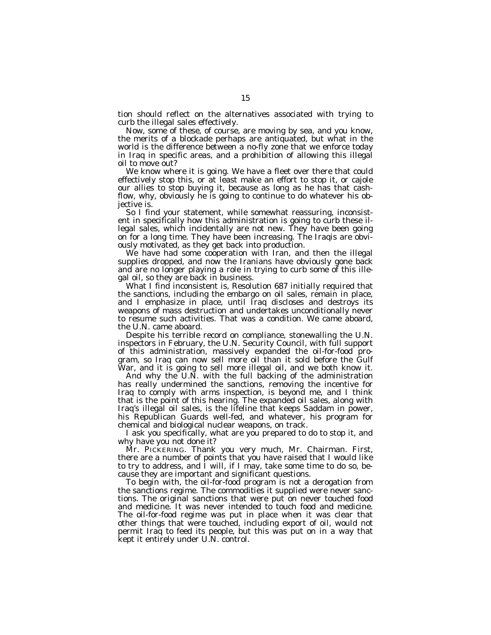tion should reflect on the alternatives associated with trying to curb the illegal sales effectively.

Now, some of these, of course, are moving by sea, and you know, the merits of a blockade perhaps are antiquated, but what in the world is the difference between a no-fly zone that we enforce today in Iraq in specific areas, and a prohibition of allowing this illegal oil to move out?

We know where it is going. We have a fleet over there that could effectively stop this, or at least make an effort to stop it, or cajole our allies to stop buying it, because as long as he has that cashflow, why, obviously he is going to continue to do whatever his objective is.

So I find your statement, while somewhat reassuring, inconsistent in specifically how this administration is going to curb these illegal sales, which incidentally are not new. They have been going on for a long time. They have been increasing. The Iraqis are obviously motivated, as they get back into production.

We have had some cooperation with Iran, and then the illegal supplies dropped, and now the Iranians have obviously gone back and are no longer playing a role in trying to curb some of this illegal oil, so they are back in business.

What I find inconsistent is, Resolution 687 initially required that the sanctions, including the embargo on oil sales, remain in place, and I emphasize in place, until Iraq discloses and destroys its weapons of mass destruction and undertakes unconditionally never to resume such activities. That was a condition. We came aboard, the U.N. came aboard.

Despite his terrible record on compliance, stonewalling the U.N. inspectors in February, the U.N. Security Council, with full support of this administration, massively expanded the oil-for-food program, so Iraq can now sell more oil than it sold before the Gulf War, and it is going to sell more illegal oil, and we both know it.

And why the U.N. with the full backing of the administration has really undermined the sanctions, removing the incentive for Iraq to comply with arms inspection, is beyond me, and I think that is the point of this hearing. The expanded oil sales, along with Iraq's illegal oil sales, is the lifeline that keeps Saddam in power, his Republican Guards well-fed, and whatever, his program for chemical and biological nuclear weapons, on track.

I ask you specifically, what are you prepared to do to stop it, and why have you not done it?

Mr. PICKERING. Thank you very much, Mr. Chairman. First, there are a number of points that you have raised that I would like to try to address, and I will, if I may, take some time to do so, because they are important and significant questions.

To begin with, the oil-for-food program is not a derogation from the sanctions regime. The commodities it supplied were never sanctions. The original sanctions that were put on never touched food and medicine. It was never intended to touch food and medicine. The oil-for-food regime was put in place when it was clear that other things that were touched, including export of oil, would not permit Iraq to feed its people, but this was put on in a way that kept it entirely under U.N. control.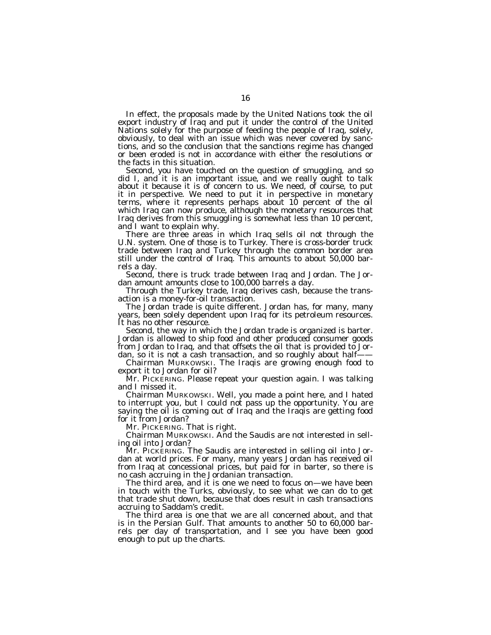In effect, the proposals made by the United Nations took the oil export industry of Iraq and put it under the control of the United Nations solely for the purpose of feeding the people of Iraq, solely, obviously, to deal with an issue which was never covered by sanctions, and so the conclusion that the sanctions regime has changed or been eroded is not in accordance with either the resolutions or the facts in this situation.

Second, you have touched on the question of smuggling, and so did I, and it is an important issue, and we really ought to talk about it because it is of concern to us. We need, of course, to put it in perspective. We need to put it in perspective in monetary terms, where it represents perhaps about 10 percent of the oil which Iraq can now produce, although the monetary resources that Iraq derives from this smuggling is somewhat less than 10 percent, and I want to explain why.

There are three areas in which Iraq sells oil not through the U.N. system. One of those is to Turkey. There is cross-border truck trade between Iraq and Turkey through the common border area still under the control of Iraq. This amounts to about 50,000 barrels a day.

Second, there is truck trade between Iraq and Jordan. The Jordan amount amounts close to 100,000 barrels a day.

Through the Turkey trade, Iraq derives cash, because the transaction is a money-for-oil transaction.

The Jordan trade is quite different. Jordan has, for many, many years, been solely dependent upon Iraq for its petroleum resources. It has no other resource.

Second, the way in which the Jordan trade is organized is barter. Jordan is allowed to ship food and other produced consumer goods from Jordan to Iraq, and that offsets the oil that is provided to Jordan, so it is not a cash transaction, and so roughly about half——

Chairman MURKOWSKI. The Iraqis are growing enough food to export it to Jordan for oil?

Mr. PICKERING. Please repeat your question again. I was talking and I missed it.

Chairman MURKOWSKI. Well, you made a point here, and I hated to interrupt you, but I could not pass up the opportunity. You are saying the oil is coming out of Iraq and the Iraqis are getting food for it from Jordan?

Mr. PICKERING. That is right.

Chairman MURKOWSKI. And the Saudis are not interested in selling oil into Jordan?

Mr. PICKERING. The Saudis are interested in selling oil into Jordan at world prices. For many, many years Jordan has received oil from Iraq at concessional prices, but paid for in barter, so there is no cash accruing in the Jordanian transaction.

The third area, and it is one we need to focus on—we have been in touch with the Turks, obviously, to see what we can do to get that trade shut down, because that does result in cash transactions accruing to Saddam's credit.

The third area is one that we are all concerned about, and that is in the Persian Gulf. That amounts to another 50 to 60,000 barrels per day of transportation, and I see you have been good enough to put up the charts.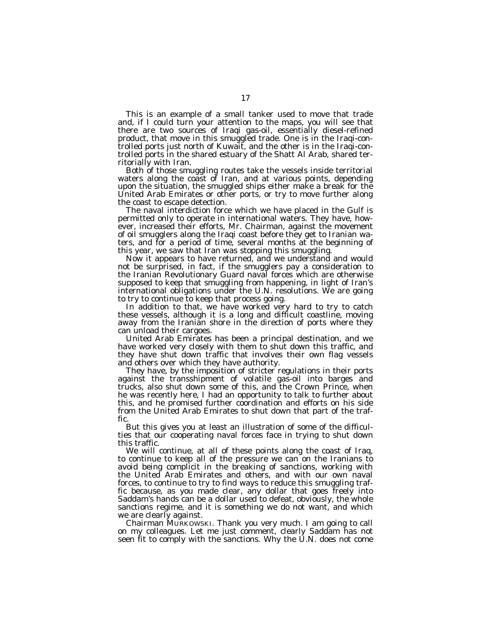This is an example of a small tanker used to move that trade and, if I could turn your attention to the maps, you will see that there are two sources of Iraqi gas-oil, essentially diesel-refined product, that move in this smuggled trade. One is in the Iraqi-controlled ports just north of Kuwait, and the other is in the Iraqi-controlled ports in the shared estuary of the Shatt Al Arab, shared territorially with Iran.

Both of those smuggling routes take the vessels inside territorial waters along the coast of Iran, and at various points, depending upon the situation, the smuggled ships either make a break for the United Arab Emirates or other ports, or try to move further along the coast to escape detection.

The naval interdiction force which we have placed in the Gulf is permitted only to operate in international waters. They have, however, increased their efforts, Mr. Chairman, against the movement of oil smugglers along the Iraqi coast before they get to Iranian waters, and for a period of time, several months at the beginning of this year, we saw that Iran was stopping this smuggling.

Now it appears to have returned, and we understand and would not be surprised, in fact, if the smugglers pay a consideration to the Iranian Revolutionary Guard naval forces which are otherwise supposed to keep that smuggling from happening, in light of Iran's international obligations under the U.N. resolutions. We are going to try to continue to keep that process going.

In addition to that, we have worked very hard to try to catch these vessels, although it is a long and difficult coastline, moving away from the Iranian shore in the direction of ports where they can unload their cargoes.

United Arab Emirates has been a principal destination, and we have worked very closely with them to shut down this traffic, and they have shut down traffic that involves their own flag vessels and others over which they have authority.

They have, by the imposition of stricter regulations in their ports against the transshipment of volatile gas-oil into barges and trucks, also shut down some of this, and the Crown Prince, when he was recently here, I had an opportunity to talk to further about this, and he promised further coordination and efforts on his side from the United Arab Emirates to shut down that part of the traffic.

But this gives you at least an illustration of some of the difficulties that our cooperating naval forces face in trying to shut down this traffic.

We will continue, at all of these points along the coast of Iraq, to continue to keep all of the pressure we can on the Iranians to avoid being complicit in the breaking of sanctions, working with the United Arab Emirates and others, and with our own naval forces, to continue to try to find ways to reduce this smuggling traffic because, as you made clear, any dollar that goes freely into Saddam's hands can be a dollar used to defeat, obviously, the whole sanctions regime, and it is something we do not want, and which we are clearly against.

Chairman MURKOWSKI. Thank you very much. I am going to call on my colleagues. Let me just comment, clearly Saddam has not seen fit to comply with the sanctions. Why the U.N. does not come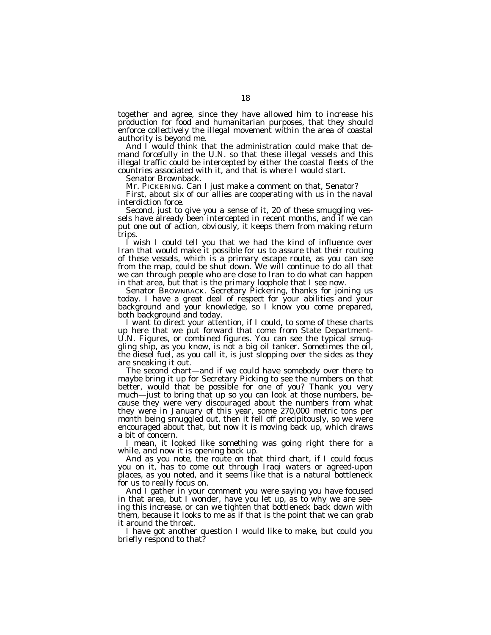together and agree, since they have allowed him to increase his production for food and humanitarian purposes, that they should enforce collectively the illegal movement within the area of coastal authority is beyond me.

And I would think that the administration could make that demand forcefully in the U.N. so that these illegal vessels and this illegal traffic could be intercepted by either the coastal fleets of the countries associated with it, and that is where I would start.

Senator Brownback.

Mr. PICKERING. Can I just make a comment on that, Senator?

First, about six of our allies are cooperating with us in the naval interdiction force.

Second, just to give you a sense of it, 20 of these smuggling vessels have already been intercepted in recent months, and if we can put one out of action, obviously, it keeps them from making return trips.

I wish I could tell you that we had the kind of influence over Iran that would make it possible for us to assure that their routing of these vessels, which is a primary escape route, as you can see from the map, could be shut down. We will continue to do all that we can through people who are close to Iran to do what can happen in that area, but that is the primary loophole that I see now.

Senator BROWNBACK. Secretary Pickering, thanks for joining us today. I have a great deal of respect for your abilities and your background and your knowledge, so I know you come prepared, both background and today.

I want to direct your attention, if I could, to some of these charts up here that we put forward that come from State Department-U.N. Figures, or combined figures. You can see the typical smuggling ship, as you know, is not a big oil tanker. Sometimes the oil, the diesel fuel, as you call it, is just slopping over the sides as they are sneaking it out.

The second chart—and if we could have somebody over there to maybe bring it up for Secretary Picking to see the numbers on that better, would that be possible for one of you? Thank you very much—just to bring that up so you can look at those numbers, because they were very discouraged about the numbers from what they were in January of this year, some 270,000 metric tons per month being smuggled out, then it fell off precipitously, so we were encouraged about that, but now it is moving back up, which draws a bit of concern.

I mean, it looked like something was going right there for a while, and now it is opening back up.

And as you note, the route on that third chart, if I could focus you on it, has to come out through Iraqi waters or agreed-upon places, as you noted, and it seems like that is a natural bottleneck for us to really focus on.

And I gather in your comment you were saying you have focused in that area, but I wonder, have you let up, as to why we are seeing this increase, or can we tighten that bottleneck back down with them, because it looks to me as if that is the point that we can grab it around the throat.

I have got another question I would like to make, but could you briefly respond to that?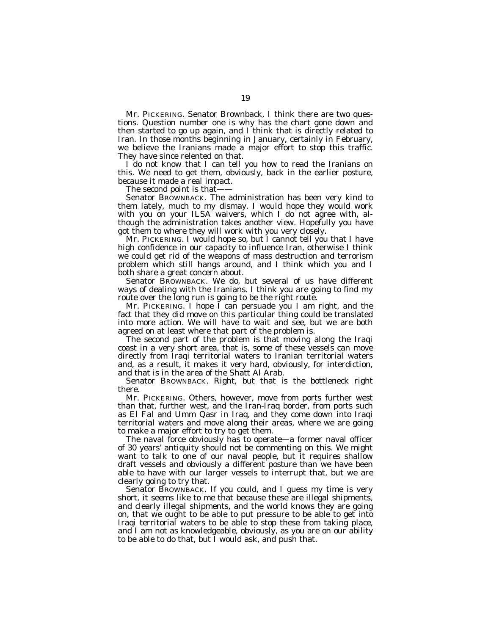Mr. PICKERING. Senator Brownback, I think there are two questions. Question number one is why has the chart gone down and then started to go up again, and I think that is directly related to Iran. In those months beginning in January, certainly in February, we believe the Iranians made a major effort to stop this traffic. They have since relented on that.

I do not know that I can tell you how to read the Iranians on this. We need to get them, obviously, back in the earlier posture, because it made a real impact.

The second point is that

Senator BROWNBACK. The administration has been very kind to them lately, much to my dismay. I would hope they would work with you on your ILSA waivers, which I do not agree with, although the administration takes another view. Hopefully you have got them to where they will work with you very closely.

Mr. PICKERING. I would hope so, but I cannot tell you that I have high confidence in our capacity to influence Iran, otherwise I think we could get rid of the weapons of mass destruction and terrorism problem which still hangs around, and I think which you and I both share a great concern about.

Senator BROWNBACK. We do, but several of us have different ways of dealing with the Iranians. I think you are going to find my route over the long run is going to be the right route.

Mr. PICKERING. I hope I can persuade you I am right, and the fact that they did move on this particular thing could be translated into more action. We will have to wait and see, but we are both agreed on at least where that part of the problem is.

The second part of the problem is that moving along the Iraqi coast in a very short area, that is, some of these vessels can move directly from Iraqi territorial waters to Iranian territorial waters and, as a result, it makes it very hard, obviously, for interdiction, and that is in the area of the Shatt Al Arab.

Senator BROWNBACK. Right, but that is the bottleneck right there.

Mr. PICKERING. Others, however, move from ports further west than that, further west, and the Iran-Iraq border, from ports such as El Fal and Umm Qasr in Iraq, and they come down into Iraqi territorial waters and move along their areas, where we are going to make a major effort to try to get them.

The naval force obviously has to operate—a former naval officer of 30 years' antiquity should not be commenting on this. We might want to talk to one of our naval people, but it requires shallow draft vessels and obviously a different posture than we have been able to have with our larger vessels to interrupt that, but we are clearly going to try that.

Senator BROWNBACK. If you could, and I guess my time is very short, it seems like to me that because these are illegal shipments, and clearly illegal shipments, and the world knows they are going on, that we ought to be able to put pressure to be able to get into Iraqi territorial waters to be able to stop these from taking place, and I am not as knowledgeable, obviously, as you are on our ability to be able to do that, but I would ask, and push that.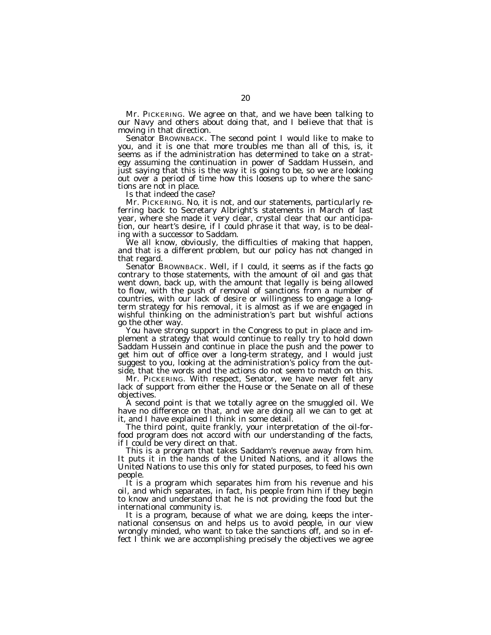Mr. PICKERING. We agree on that, and we have been talking to our Navy and others about doing that, and I believe that that is moving in that direction.

Senator BROWNBACK. The second point I would like to make to you, and it is one that more troubles me than all of this, is, it seems as if the administration has determined to take on a strategy assuming the continuation in power of Saddam Hussein, and just saying that this is the way it is going to be, so we are looking out over a period of time how this loosens up to where the sanctions are not in place.

Is that indeed the case?

Mr. PICKERING. No, it is not, and our statements, particularly referring back to Secretary Albright's statements in March of last year, where she made it very clear, crystal clear that our anticipation, our heart's desire, if I could phrase it that way, is to be dealing with a successor to Saddam.

We all know, obviously, the difficulties of making that happen, and that is a different problem, but our policy has not changed in that regard.

Senator BROWNBACK. Well, if I could, it seems as if the facts go contrary to those statements, with the amount of oil and gas that went down, back up, with the amount that legally is being allowed to flow, with the push of removal of sanctions from a number of countries, with our lack of desire or willingness to engage a longterm strategy for his removal, it is almost as if we are engaged in wishful thinking on the administration's part but wishful actions go the other way.

You have strong support in the Congress to put in place and implement a strategy that would continue to really try to hold down Saddam Hussein and continue in place the push and the power to get him out of office over a long-term strategy, and I would just suggest to you, looking at the administration's policy from the outside, that the words and the actions do not seem to match on this.

Mr. PICKERING. With respect, Senator, we have never felt any lack of support from either the House or the Senate on all of these objectives.

A second point is that we totally agree on the smuggled oil. We have no difference on that, and we are doing all we can to get at it, and I have explained I think in some detail.

The third point, quite frankly, your interpretation of the oil-forfood program does not accord with our understanding of the facts, if I could be very direct on that.

This is a program that takes Saddam's revenue away from him. It puts it in the hands of the United Nations, and it allows the United Nations to use this only for stated purposes, to feed his own people.

It is a program which separates him from his revenue and his oil, and which separates, in fact, his people from him if they begin to know and understand that he is not providing the food but the international community is.

It is a program, because of what we are doing, keeps the international consensus on and helps us to avoid people, in our view wrongly minded, who want to take the sanctions off, and so in effect I think we are accomplishing precisely the objectives we agree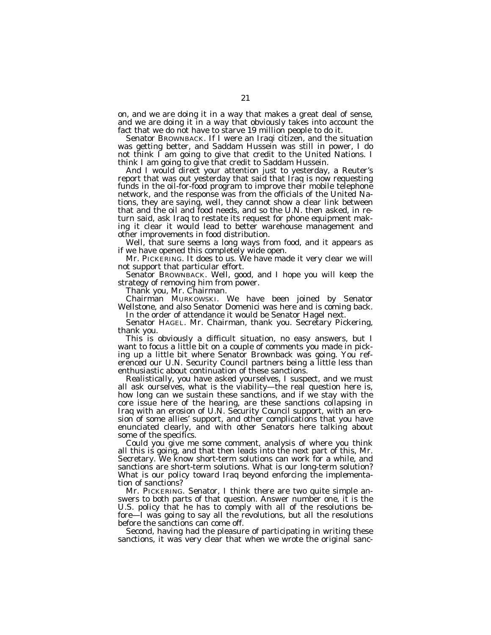on, and we are doing it in a way that makes a great deal of sense, and we are doing it in a way that obviously takes into account the fact that we do not have to starve 19 million people to do it.

Senator BROWNBACK. If I were an Iraqi citizen, and the situation was getting better, and Saddam Hussein was still in power, I do not think I am going to give that credit to the United Nations. I think I am going to give that credit to Saddam Hussein.

And I would direct your attention just to yesterday, a Reuter's report that was out yesterday that said that Iraq is now requesting funds in the oil-for-food program to improve their mobile telephone network, and the response was from the officials of the United Nations, they are saying, well, they cannot show a clear link between that and the oil and food needs, and so the U.N. then asked, in return said, ask Iraq to restate its request for phone equipment making it clear it would lead to better warehouse management and other improvements in food distribution.

Well, that sure seems a long ways from food, and it appears as if we have opened this completely wide open.

Mr. PICKERING. It does to us. We have made it very clear we will not support that particular effort.

Senator BROWNBACK. Well, good, and I hope you will keep the strategy of removing him from power.

Thank you, Mr. Chairman.

Chairman MURKOWSKI. We have been joined by Senator Wellstone, and also Senator Domenici was here and is coming back. In the order of attendance it would be Senator Hagel next.

Senator HAGEL. Mr. Chairman, thank you. Secretary Pickering, thank you.

This is obviously a difficult situation, no easy answers, but I want to focus a little bit on a couple of comments you made in picking up a little bit where Senator Brownback was going. You referenced our U.N. Security Council partners being a little less than enthusiastic about continuation of these sanctions.

Realistically, you have asked yourselves, I suspect, and we must all ask ourselves, what is the viability—the real question here is, how long can we sustain these sanctions, and if we stay with the core issue here of the hearing, are these sanctions collapsing in Iraq with an erosion of U.N. Security Council support, with an erosion of some allies' support, and other complications that you have enunciated clearly, and with other Senators here talking about some of the specifics.

Could you give me some comment, analysis of where you think all this is going, and that then leads into the next part of this, Mr. Secretary. We know short-term solutions can work for a while, and sanctions are short-term solutions. What is our long-term solution? What is our policy toward Iraq beyond enforcing the implementation of sanctions?

Mr. PICKERING. Senator, I think there are two quite simple answers to both parts of that question. Answer number one, it is the U.S. policy that he has to comply with all of the resolutions before—I was going to say all the revolutions, but all the resolutions before the sanctions can come off.

Second, having had the pleasure of participating in writing these sanctions, it was very clear that when we wrote the original sanc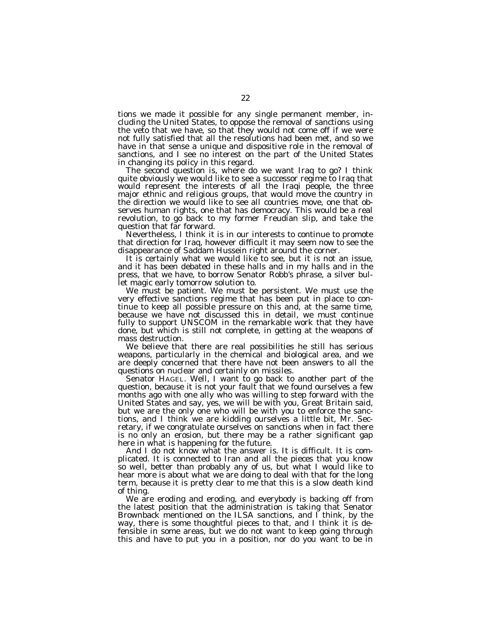tions we made it possible for any single permanent member, including the United States, to oppose the removal of sanctions using the veto that we have, so that they would not come off if we were not fully satisfied that all the resolutions had been met, and so we have in that sense a unique and dispositive role in the removal of sanctions, and I see no interest on the part of the United States in changing its policy in this regard.

The second question is, where do we want Iraq to go? I think quite obviously we would like to see a successor regime to Iraq that would represent the interests of all the Iraqi people, the three major ethnic and religious groups, that would move the country in the direction we would like to see all countries move, one that observes human rights, one that has democracy. This would be a real revolution, to go back to my former Freudian slip, and take the question that far forward.

Nevertheless, I think it is in our interests to continue to promote that direction for Iraq, however difficult it may seem now to see the disappearance of Saddam Hussein right around the corner.

It is certainly what we would like to see, but it is not an issue, and it has been debated in these halls and in my halls and in the press, that we have, to borrow Senator Robb's phrase, a silver bullet magic early tomorrow solution to.

We must be patient. We must be persistent. We must use the very effective sanctions regime that has been put in place to continue to keep all possible pressure on this and, at the same time, because we have not discussed this in detail, we must continue fully to support UNSCOM in the remarkable work that they have done, but which is still not complete, in getting at the weapons of mass destruction.

We believe that there are real possibilities he still has serious weapons, particularly in the chemical and biological area, and we are deeply concerned that there have not been answers to all the questions on nuclear and certainly on missiles.

Senator HAGEL. Well, I want to go back to another part of the question, because it is not your fault that we found ourselves a few months ago with one ally who was willing to step forward with the United States and say, yes, we will be with you, Great Britain said, but we are the only one who will be with you to enforce the sanctions, and I think we are kidding ourselves a little bit, Mr. Secretary, if we congratulate ourselves on sanctions when in fact there is no only an erosion, but there may be a rather significant gap here in what is happening for the future.

And I do not know what the answer is. It is difficult. It is complicated. It is connected to Iran and all the pieces that you know so well, better than probably any of us, but what I would like to hear more is about what we are doing to deal with that for the long term, because it is pretty clear to me that this is a slow death kind of thing.

We are eroding and eroding, and everybody is backing off from the latest position that the administration is taking that Senator Brownback mentioned on the ILSA sanctions, and I think, by the way, there is some thoughtful pieces to that, and I think it is defensible in some areas, but we do not want to keep going through this and have to put you in a position, nor do you want to be in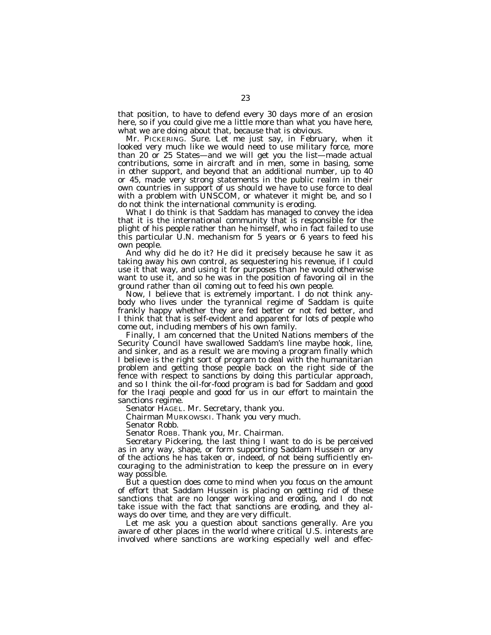that position, to have to defend every 30 days more of an erosion here, so if you could give me a little more than what you have here, what we are doing about that, because that is obvious.

Mr. PICKERING. Sure. Let me just say, in February, when it looked very much like we would need to use military force, more than 20 or 25 States—and we will get you the list—made actual contributions, some in aircraft and in men, some in basing, some in other support, and beyond that an additional number, up to 40 or 45, made very strong statements in the public realm in their own countries in support of us should we have to use force to deal with a problem with UNSCOM, or whatever it might be, and so I do not think the international community is eroding.

What I do think is that Saddam has managed to convey the idea that it is the international community that is responsible for the plight of his people rather than he himself, who in fact failed to use this particular U.N. mechanism for 5 years or 6 years to feed his own people.

And why did he do it? He did it precisely because he saw it as taking away his own control, as sequestering his revenue, if I could use it that way, and using it for purposes than he would otherwise want to use it, and so he was in the position of favoring oil in the ground rather than oil coming out to feed his own people.

Now, I believe that is extremely important. I do not think anybody who lives under the tyrannical regime of Saddam is quite frankly happy whether they are fed better or not fed better, and I think that that is self-evident and apparent for lots of people who come out, including members of his own family.

Finally, I am concerned that the United Nations members of the Security Council have swallowed Saddam's line maybe hook, line, and sinker, and as a result we are moving a program finally which I believe is the right sort of program to deal with the humanitarian problem and getting those people back on the right side of the fence with respect to sanctions by doing this particular approach, and so I think the oil-for-food program is bad for Saddam and good for the Iraqi people and good for us in our effort to maintain the sanctions regime.

Senator HAGEL. Mr. Secretary, thank you.

Chairman MURKOWSKI. Thank you very much.

Senator Robb.

Senator ROBB. Thank you, Mr. Chairman.

Secretary Pickering, the last thing I want to do is be perceived as in any way, shape, or form supporting Saddam Hussein or any of the actions he has taken or, indeed, of not being sufficiently encouraging to the administration to keep the pressure on in every way possible.

But a question does come to mind when you focus on the amount of effort that Saddam Hussein is placing on getting rid of these sanctions that are no longer working and eroding, and I do not take issue with the fact that sanctions are eroding, and they always do over time, and they are very difficult.

Let me ask you a question about sanctions generally. Are you aware of other places in the world where critical U.S. interests are involved where sanctions are working especially well and effec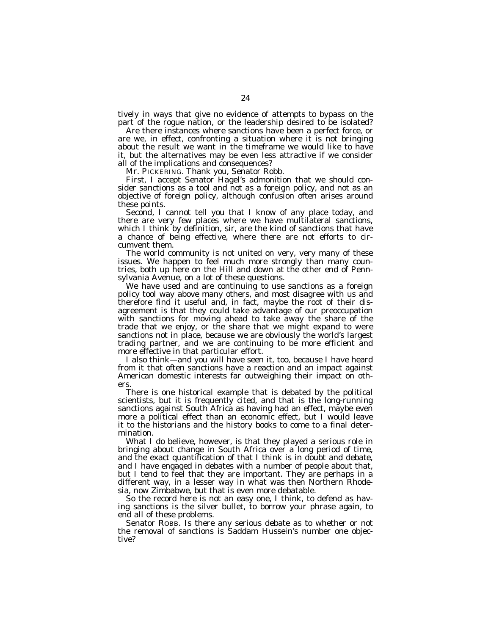tively in ways that give no evidence of attempts to bypass on the part of the rogue nation, or the leadership desired to be isolated?

Are there instances where sanctions have been a perfect force, or are we, in effect, confronting a situation where it is not bringing about the result we want in the timeframe we would like to have it, but the alternatives may be even less attractive if we consider all of the implications and consequences?

Mr. PICKERING. Thank you, Senator Robb.

First, I accept Senator Hagel's admonition that we should consider sanctions as a tool and not as a foreign policy, and not as an objective of foreign policy, although confusion often arises around these points.

Second, I cannot tell you that I know of any place today, and there are very few places where we have multilateral sanctions, which I think by definition, sir, are the kind of sanctions that have a chance of being effective, where there are not efforts to circumvent them.

The world community is not united on very, very many of these issues. We happen to feel much more strongly than many countries, both up here on the Hill and down at the other end of Pennsylvania Avenue, on a lot of these questions.

We have used and are continuing to use sanctions as a foreign policy tool way above many others, and most disagree with us and therefore find it useful and, in fact, maybe the root of their disagreement is that they could take advantage of our preoccupation with sanctions for moving ahead to take away the share of the trade that we enjoy, or the share that we might expand to were sanctions not in place, because we are obviously the world's largest trading partner, and we are continuing to be more efficient and more effective in that particular effort.

I also think—and you will have seen it, too, because I have heard from it that often sanctions have a reaction and an impact against American domestic interests far outweighing their impact on others.

There is one historical example that is debated by the political scientists, but it is frequently cited, and that is the long-running sanctions against South Africa as having had an effect, maybe even more a political effect than an economic effect, but I would leave it to the historians and the history books to come to a final determination.

What I do believe, however, is that they played a serious role in bringing about change in South Africa over a long period of time, and the exact quantification of that I think is in doubt and debate, and I have engaged in debates with a number of people about that, but I tend to feel that they are important. They are perhaps in a different way, in a lesser way in what was then Northern Rhodesia, now Zimbabwe, but that is even more debatable.

So the record here is not an easy one, I think, to defend as having sanctions is the silver bullet, to borrow your phrase again, to end all of these problems.

Senator ROBB. Is there any serious debate as to whether or not the removal of sanctions is Saddam Hussein's number one objective?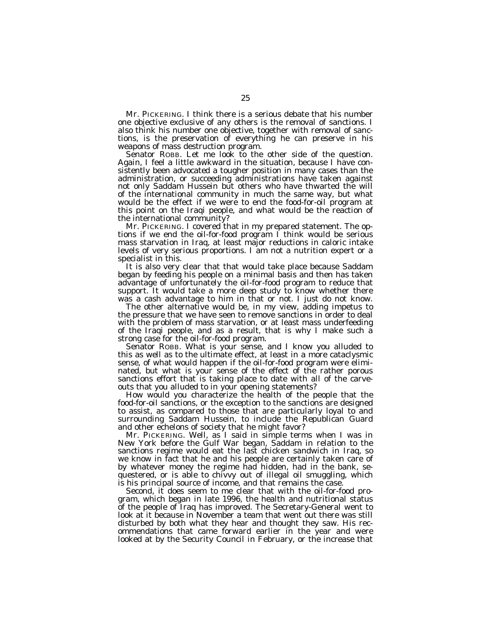Mr. PICKERING. I think there is a serious debate that his number one objective exclusive of any others is the removal of sanctions. I also think his number one objective, together with removal of sanctions, is the preservation of everything he can preserve in his weapons of mass destruction program.

Senator ROBB. Let me look to the other side of the question. Again, I feel a little awkward in the situation, because I have consistently been advocated a tougher position in many cases than the administration, or succeeding administrations have taken against not only Saddam Hussein but others who have thwarted the will of the international community in much the same way, but what would be the effect if we were to end the food-for-oil program at this point on the Iraqi people, and what would be the reaction of the international community?

Mr. PICKERING. I covered that in my prepared statement. The options if we end the oil-for-food program I think would be serious mass starvation in Iraq, at least major reductions in caloric intake levels of very serious proportions. I am not a nutrition expert or a specialist in this.

It is also very clear that that would take place because Saddam began by feeding his people on a minimal basis and then has taken advantage of unfortunately the oil-for-food program to reduce that support. It would take a more deep study to know whether there was a cash advantage to him in that or not. I just do not know.

The other alternative would be, in my view, adding impetus to the pressure that we have seen to remove sanctions in order to deal with the problem of mass starvation, or at least mass underfeeding of the Iraqi people, and as a result, that is why I make such a strong case for the oil-for-food program.

Senator ROBB. What is your sense, and I know you alluded to this as well as to the ultimate effect, at least in a more cataclysmic sense, of what would happen if the oil-for-food program were eliminated, but what is your sense of the effect of the rather porous sanctions effort that is taking place to date with all of the carveouts that you alluded to in your opening statements?

How would you characterize the health of the people that the food-for-oil sanctions, or the exception to the sanctions are designed to assist, as compared to those that are particularly loyal to and surrounding Saddam Hussein, to include the Republican Guard and other echelons of society that he might favor?

Mr. PICKERING. Well, as I said in simple terms when I was in New York before the Gulf War began, Saddam in relation to the sanctions regime would eat the last chicken sandwich in Iraq, so we know in fact that he and his people are certainly taken care of by whatever money the regime had hidden, had in the bank, sequestered, or is able to chivvy out of illegal oil smuggling, which is his principal source of income, and that remains the case.

Second, it does seem to me clear that with the oil-for-food program, which began in late 1996, the health and nutritional status of the people of Iraq has improved. The Secretary-General went to look at it because in November a team that went out there was still disturbed by both what they hear and thought they saw. His recommendations that came forward earlier in the year and were looked at by the Security Council in February, or the increase that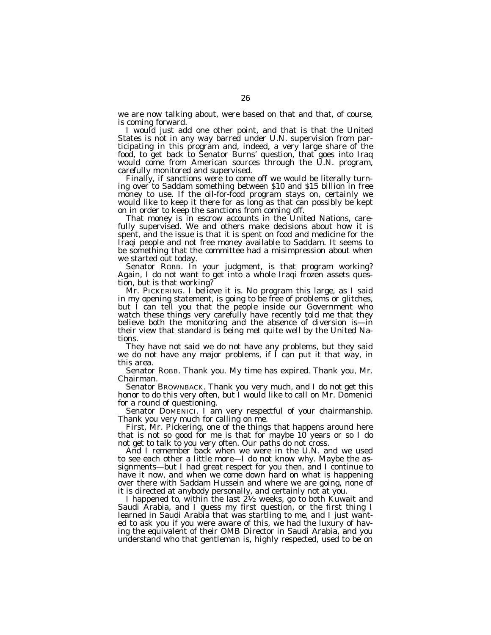we are now talking about, were based on that and that, of course, is coming forward.

I would just add one other point, and that is that the United States is not in any way barred under U.N. supervision from participating in this program and, indeed, a very large share of the food, to get back to Senator Burns' question, that goes into Iraq would come from American sources through the U.N. program, carefully monitored and supervised.

Finally, if sanctions were to come off we would be literally turning over to Saddam something between \$10 and \$15 billion in free money to use. If the oil-for-food program stays on, certainly we would like to keep it there for as long as that can possibly be kept on in order to keep the sanctions from coming off.

That money is in escrow accounts in the United Nations, carefully supervised. We and others make decisions about how it is spent, and the issue is that it is spent on food and medicine for the Iraqi people and not free money available to Saddam. It seems to be something that the committee had a misimpression about when we started out today.

Senator ROBB. In your judgment, is that program working? Again, I do not want to get into a whole Iraqi frozen assets question, but is that working?

Mr. PICKERING. I believe it is. No program this large, as I said in my opening statement, is going to be free of problems or glitches, but I can tell you that the people inside our Government who watch these things very carefully have recently told me that they believe both the monitoring and the absence of diversion is—in their view that standard is being met quite well by the United Nations.

They have not said we do not have any problems, but they said we do not have any major problems, if I can put it that way, in this area.

Senator ROBB. Thank you. My time has expired. Thank you, Mr. Chairman.

Senator BROWNBACK. Thank you very much, and I do not get this honor to do this very often, but I would like to call on Mr. Domenici for a round of questioning.

Senator DOMENICI. I am very respectful of your chairmanship. Thank you very much for calling on me.

First, Mr. Pickering, one of the things that happens around here that is not so good for me is that for maybe  $10$  years or so I do not get to talk to you very often. Our paths do not cross.

And I remember back when we were in the U.N. and we used to see each other a little more—I do not know why. Maybe the assignments—but I had great respect for you then, and I continue to have it now, and when we come down hard on what is happening over there with Saddam Hussein and where we are going, none of it is directed at anybody personally, and certainly not at you.

I happened to, within the last  $2\frac{1}{2}$  weeks, go to both Kuwait and Saudi Arabia, and I guess my first question, or the first thing I learned in Saudi Arabia that was startling to me, and I just wanted to ask you if you were aware of this, we had the luxury of having the equivalent of their OMB Director in Saudi Arabia, and you understand who that gentleman is, highly respected, used to be on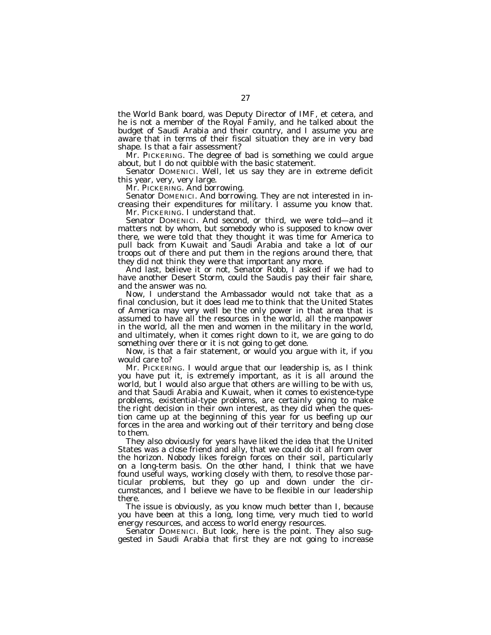the World Bank board, was Deputy Director of IMF, et cetera, and he is not a member of the Royal Family, and he talked about the budget of Saudi Arabia and their country, and I assume you are aware that in terms of their fiscal situation they are in very bad shape. Is that a fair assessment?

Mr. PICKERING. The degree of bad is something we could argue about, but I do not quibble with the basic statement.

Senator DOMENICI. Well, let us say they are in extreme deficit this year, very, very large.

Mr. PICKERING. And borrowing.

Senator DOMENICI. And borrowing. They are not interested in increasing their expenditures for military. I assume you know that. Mr. PICKERING. I understand that.

Senator DOMENICI. And second, or third, we were told—and it matters not by whom, but somebody who is supposed to know over there, we were told that they thought it was time for America to pull back from Kuwait and Saudi Arabia and take a lot of our troops out of there and put them in the regions around there, that they did not think they were that important any more.

And last, believe it or not, Senator Robb, I asked if we had to have another Desert Storm, could the Saudis pay their fair share, and the answer was no.

Now, I understand the Ambassador would not take that as a final conclusion, but it does lead me to think that the United States of America may very well be the only power in that area that is assumed to have all the resources in the world, all the manpower in the world, all the men and women in the military in the world, and ultimately, when it comes right down to it, we are going to do something over there or it is not going to get done.

Now, is that a fair statement, or would you argue with it, if you would care to?

Mr. PICKERING. I would argue that our leadership is, as I think you have put it, is extremely important, as it is all around the world, but I would also argue that others are willing to be with us, and that Saudi Arabia and Kuwait, when it comes to existence-type problems, existential-type problems, are certainly going to make the right decision in their own interest, as they did when the question came up at the beginning of this year for us beefing up our forces in the area and working out of their territory and being close to them.

They also obviously for years have liked the idea that the United States was a close friend and ally, that we could do it all from over the horizon. Nobody likes foreign forces on their soil, particularly on a long-term basis. On the other hand, I think that we have found useful ways, working closely with them, to resolve those particular problems, but they go up and down under the circumstances, and I believe we have to be flexible in our leadership there.

The issue is obviously, as you know much better than I, because you have been at this a long, long time, very much tied to world energy resources, and access to world energy resources.

Senator DOMENICI. But look, here is the point. They also suggested in Saudi Arabia that first they are not going to increase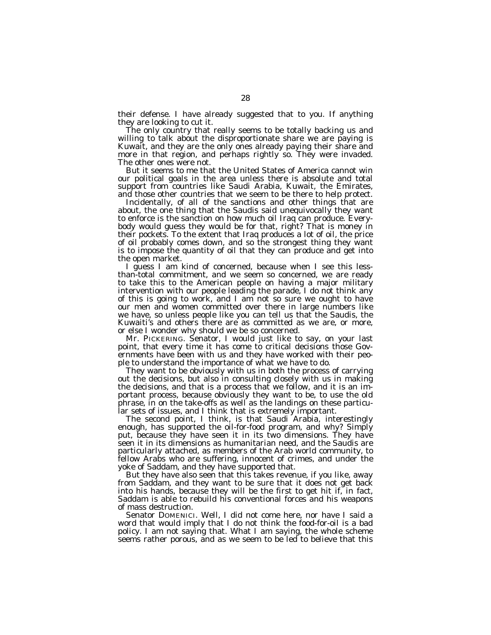their defense. I have already suggested that to you. If anything they are looking to cut it.

The only country that really seems to be totally backing us and willing to talk about the disproportionate share we are paying is Kuwait, and they are the only ones already paying their share and more in that region, and perhaps rightly so. They were invaded. The other ones were not.

But it seems to me that the United States of America cannot win our political goals in the area unless there is absolute and total support from countries like Saudi Arabia, Kuwait, the Emirates, and those other countries that we seem to be there to help protect.

Incidentally, of all of the sanctions and other things that are about, the one thing that the Saudis said unequivocally they want to enforce is the sanction on how much oil Iraq can produce. Everybody would guess they would be for that, right? That is money in their pockets. To the extent that Iraq produces a lot of oil, the price of oil probably comes down, and so the strongest thing they want is to impose the quantity of oil that they can produce and get into the open market.

I guess I am kind of concerned, because when I see this lessthan-total commitment, and we seem so concerned, we are ready to take this to the American people on having a major military intervention with our people leading the parade, I do not think any of this is going to work, and I am not so sure we ought to have our men and women committed over there in large numbers like we have, so unless people like you can tell us that the Saudis, the Kuwaiti's and others there are as committed as we are, or more, or else I wonder why should we be so concerned.

Mr. PICKERING. Senator, I would just like to say, on your last point, that every time it has come to critical decisions those Governments have been with us and they have worked with their people to understand the importance of what we have to do.

They want to be obviously with us in both the process of carrying out the decisions, but also in consulting closely with us in making the decisions, and that is a process that we follow, and it is an important process, because obviously they want to be, to use the old phrase, in on the take-offs as well as the landings on these particular sets of issues, and I think that is extremely important.

The second point, I think, is that Saudi Arabia, interestingly enough, has supported the oil-for-food program, and why? Simply put, because they have seen it in its two dimensions. They have seen it in its dimensions as humanitarian need, and the Saudis are particularly attached, as members of the Arab world community, to fellow Arabs who are suffering, innocent of crimes, and under the yoke of Saddam, and they have supported that.

But they have also seen that this takes revenue, if you like, away from Saddam, and they want to be sure that it does not get back into his hands, because they will be the first to get hit if, in fact, Saddam is able to rebuild his conventional forces and his weapons of mass destruction.

Senator DOMENICI. Well, I did not come here, nor have I said a word that would imply that I do not think the food-for-oil is a bad policy. I am not saying that. What I am saying, the whole scheme seems rather porous, and as we seem to be led to believe that this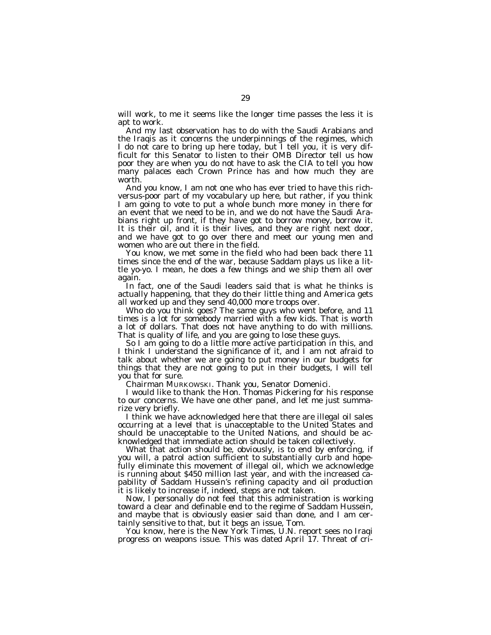will work, to me it seems like the longer time passes the less it is apt to work.

And my last observation has to do with the Saudi Arabians and the Iraqis as it concerns the underpinnings of the regimes, which I do not care to bring up here today, but I tell you, it is very difficult for this Senator to listen to their OMB Director tell us how poor they are when you do not have to ask the CIA to tell you how many palaces each Crown Prince has and how much they are worth.

And you know, I am not one who has ever tried to have this richversus-poor part of my vocabulary up here, but rather, if you think I am going to vote to put a whole bunch more money in there for an event that we need to be in, and we do not have the Saudi Arabians right up front, if they have got to borrow money, borrow it. It is their oil, and it is their lives, and they are right next door, and we have got to go over there and meet our young men and women who are out there in the field.

You know, we met some in the field who had been back there 11 times since the end of the war, because Saddam plays us like a little yo-yo. I mean, he does a few things and we ship them all over again.

In fact, one of the Saudi leaders said that is what he thinks is actually happening, that they do their little thing and America gets all worked up and they send 40,000 more troops over.

Who do you think goes? The same guys who went before, and 11 times is a lot for somebody married with a few kids. That is worth a lot of dollars. That does not have anything to do with millions. That is quality of life, and you are going to lose these guys.

So I am going to do a little more active participation in this, and I think I understand the significance of it, and I am not afraid to talk about whether we are going to put money in our budgets for things that they are not going to put in their budgets, I will tell you that for sure.

Chairman MURKOWSKI. Thank you, Senator Domenici.

I would like to thank the Hon. Thomas Pickering for his response to our concerns. We have one other panel, and let me just summarize very briefly.

I think we have acknowledged here that there are illegal oil sales occurring at a level that is unacceptable to the United States and should be unacceptable to the United Nations, and should be acknowledged that immediate action should be taken collectively.

What that action should be, obviously, is to end by enforcing, if you will, a patrol action sufficient to substantially curb and hopefully eliminate this movement of illegal oil, which we acknowledge is running about \$450 million last year, and with the increased capability of Saddam Hussein's refining capacity and oil production it is likely to increase if, indeed, steps are not taken.

Now, I personally do not feel that this administration is working toward a clear and definable end to the regime of Saddam Hussein, and maybe that is obviously easier said than done, and I am certainly sensitive to that, but it begs an issue, Tom.

You know, here is the *New York Times*, U.N. report sees no Iraqi progress on weapons issue. This was dated April 17. Threat of cri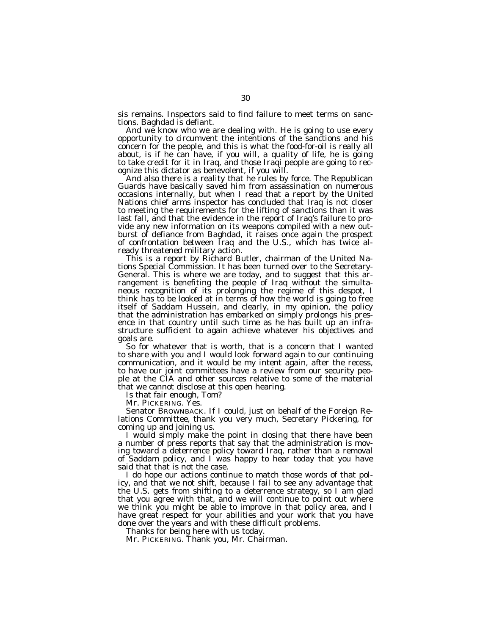sis remains. Inspectors said to find failure to meet terms on sanctions. Baghdad is defiant.

And we know who we are dealing with. He is going to use every opportunity to circumvent the intentions of the sanctions and his concern for the people, and this is what the food-for-oil is really all about, is if he can have, if you will, a quality of life, he is going to take credit for it in Iraq, and those Iraqi people are going to recognize this dictator as benevolent, if you will.

And also there is a reality that he rules by force. The Republican Guards have basically saved him from assassination on numerous occasions internally, but when I read that a report by the United Nations chief arms inspector has concluded that Iraq is not closer to meeting the requirements for the lifting of sanctions than it was last fall, and that the evidence in the report of Iraq's failure to provide any new information on its weapons compiled with a new outburst of defiance from Baghdad, it raises once again the prospect of confrontation between Iraq and the U.S., which has twice already threatened military action.

This is a report by Richard Butler, chairman of the United Nations Special Commission. It has been turned over to the Secretary-General. This is where we are today, and to suggest that this arrangement is benefiting the people of Iraq without the simultaneous recognition of its prolonging the regime of this despot, I think has to be looked at in terms of how the world is going to free itself of Saddam Hussein, and clearly, in my opinion, the policy that the administration has embarked on simply prolongs his presence in that country until such time as he has built up an infrastructure sufficient to again achieve whatever his objectives and goals are.

So for whatever that is worth, that is a concern that I wanted to share with you and I would look forward again to our continuing communication, and it would be my intent again, after the recess, to have our joint committees have a review from our security people at the CIA and other sources relative to some of the material that we cannot disclose at this open hearing.

Is that fair enough, Tom?

Mr. PICKERING. Yes.

Senator BROWNBACK. If I could, just on behalf of the Foreign Relations Committee, thank you very much, Secretary Pickering, for coming up and joining us.

I would simply make the point in closing that there have been a number of press reports that say that the administration is moving toward a deterrence policy toward Iraq, rather than a removal of Saddam policy, and I was happy to hear today that you have said that that is not the case.

I do hope our actions continue to match those words of that policy, and that we not shift, because I fail to see any advantage that the U.S. gets from shifting to a deterrence strategy, so I am glad that you agree with that, and we will continue to point out where we think you might be able to improve in that policy area, and I have great respect for your abilities and your work that you have done over the years and with these difficult problems.

Thanks for being here with us today.

Mr. PICKERING. Thank you, Mr. Chairman.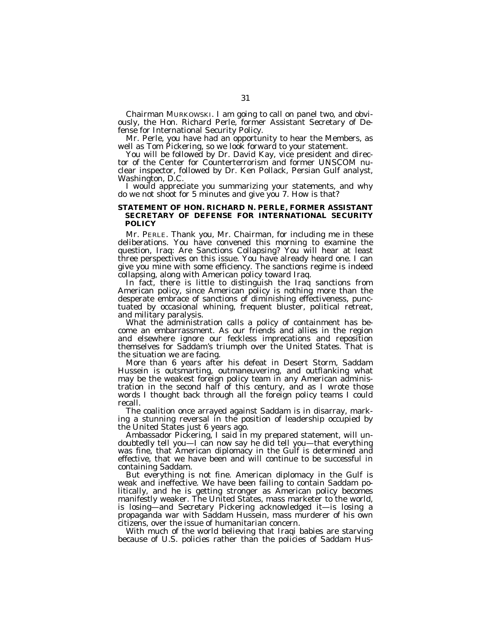Chairman MURKOWSKI. I am going to call on panel two, and obviously, the Hon. Richard Perle, former Assistant Secretary of Defense for International Security Policy.

Mr. Perle, you have had an opportunity to hear the Members, as well as Tom Pickering, so we look forward to your statement.

You will be followed by Dr. David Kay, vice president and director of the Center for Counterterrorism and former UNSCOM nuclear inspector, followed by Dr. Ken Pollack, Persian Gulf analyst, Washington, D.C.

I would appreciate you summarizing your statements, and why do we not shoot for 5 minutes and give you 7. How is that?

### **STATEMENT OF HON. RICHARD N. PERLE, FORMER ASSISTANT SECRETARY OF DEFENSE FOR INTERNATIONAL SECURITY POLICY**

Mr. PERLE. Thank you, Mr. Chairman, for including me in these deliberations. You have convened this morning to examine the question, Iraq: Are Sanctions Collapsing? You will hear at least three perspectives on this issue. You have already heard one. I can give you mine with some efficiency. The sanctions regime is indeed collapsing, along with American policy toward Iraq.

In fact, there is little to distinguish the Iraq sanctions from American policy, since American policy is nothing more than the desperate embrace of sanctions of diminishing effectiveness, punctuated by occasional whining, frequent bluster, political retreat, and military paralysis.

What the administration calls a policy of containment has become an embarrassment. As our friends and allies in the region and elsewhere ignore our feckless imprecations and reposition themselves for Saddam's triumph over the United States. That is the situation we are facing.

More than 6 years after his defeat in Desert Storm, Saddam Hussein is outsmarting, outmaneuvering, and outflanking what may be the weakest foreign policy team in any American administration in the second half of this century, and as I wrote those words I thought back through all the foreign policy teams I could recall.

The coalition once arrayed against Saddam is in disarray, marking a stunning reversal in the position of leadership occupied by the United States just 6 years ago.

Ambassador Pickering, I said in my prepared statement, will undoubtedly tell you—I can now say he did tell you—that everything was fine, that American diplomacy in the Gulf is determined and effective, that we have been and will continue to be successful in containing Saddam.

But everything is not fine. American diplomacy in the Gulf is weak and ineffective. We have been failing to contain Saddam politically, and he is getting stronger as American policy becomes manifestly weaker. The United States, mass marketer to the world, is losing—and Secretary Pickering acknowledged it—is losing a propaganda war with Saddam Hussein, mass murderer of his own citizens, over the issue of humanitarian concern.

With much of the world believing that Iraqi babies are starving because of U.S. policies rather than the policies of Saddam Hus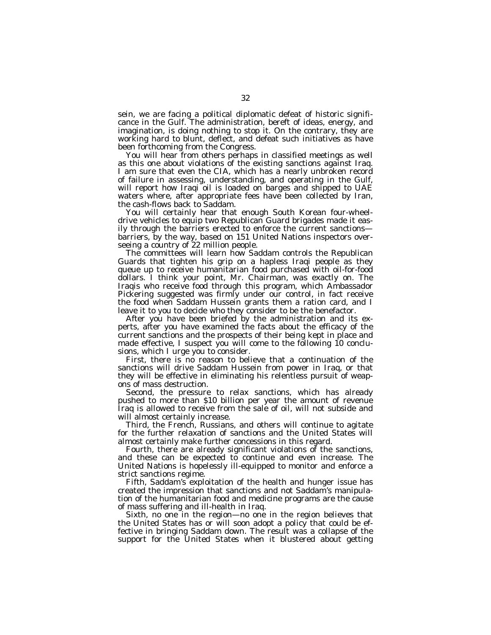sein, we are facing a political diplomatic defeat of historic significance in the Gulf. The administration, bereft of ideas, energy, and imagination, is doing nothing to stop it. On the contrary, they are working hard to blunt, deflect, and defeat such initiatives as have been forthcoming from the Congress.

You will hear from others perhaps in classified meetings as well as this one about violations of the existing sanctions against Iraq. I am sure that even the CIA, which has a nearly unbroken record of failure in assessing, understanding, and operating in the Gulf, will report how Iraqi oil is loaded on barges and shipped to UAE waters where, after appropriate fees have been collected by Iran, the cash-flows back to Saddam.

You will certainly hear that enough South Korean four-wheeldrive vehicles to equip two Republican Guard brigades made it easily through the barriers erected to enforce the current sanctions barriers, by the way, based on 151 United Nations inspectors overseeing a country of 22 million people.

The committees will learn how Saddam controls the Republican Guards that tighten his grip on a hapless Iraqi people as they queue up to receive humanitarian food purchased with oil-for-food dollars. I think your point, Mr. Chairman, was exactly on. The Iraqis who receive food through this program, which Ambassador Pickering suggested was firmly under our control, in fact receive the food when Saddam Hussein grants them a ration card, and I leave it to you to decide who they consider to be the benefactor.

After you have been briefed by the administration and its experts, after you have examined the facts about the efficacy of the current sanctions and the prospects of their being kept in place and made effective, I suspect you will come to the following 10 conclusions, which I urge you to consider.

First, there is no reason to believe that a continuation of the sanctions will drive Saddam Hussein from power in Iraq, or that they will be effective in eliminating his relentless pursuit of weapons of mass destruction.

Second, the pressure to relax sanctions, which has already pushed to more than \$10 billion per year the amount of revenue Iraq is allowed to receive from the sale of oil, will not subside and will almost certainly increase.

Third, the French, Russians, and others will continue to agitate for the further relaxation of sanctions and the United States will almost certainly make further concessions in this regard.

Fourth, there are already significant violations of the sanctions, and these can be expected to continue and even increase. The United Nations is hopelessly ill-equipped to monitor and enforce a strict sanctions regime.

Fifth, Saddam's exploitation of the health and hunger issue has created the impression that sanctions and not Saddam's manipulation of the humanitarian food and medicine programs are the cause of mass suffering and ill-health in Iraq.

Sixth, no one in the region—no one in the region believes that the United States has or will soon adopt a policy that could be effective in bringing Saddam down. The result was a collapse of the support for the United States when it blustered about getting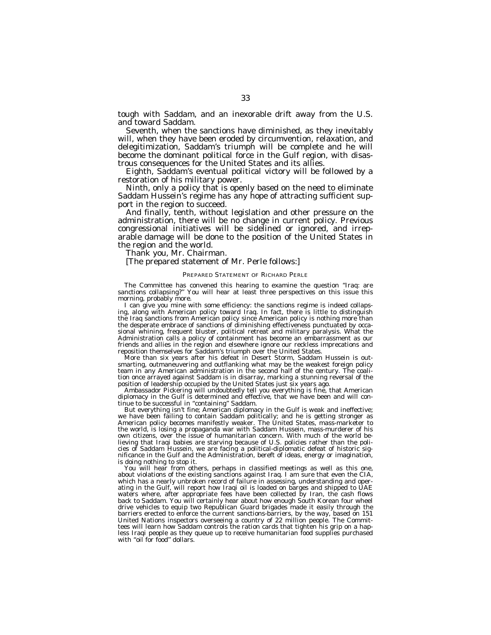tough with Saddam, and an inexorable drift away from the U.S. and toward Saddam.

Seventh, when the sanctions have diminished, as they inevitably will, when they have been eroded by circumvention, relaxation, and delegitimization, Saddam's triumph will be complete and he will become the dominant political force in the Gulf region, with disastrous consequences for the United States and its allies.

Eighth, Saddam's eventual political victory will be followed by a restoration of his military power.

Ninth, only a policy that is openly based on the need to eliminate Saddam Hussein's regime has any hope of attracting sufficient support in the region to succeed.

And finally, tenth, without legislation and other pressure on the administration, there will be no change in current policy. Previous congressional initiatives will be sidelined or ignored, and irreparable damage will be done to the position of the United States in the region and the world.

Thank you, Mr. Chairman.

[The prepared statement of Mr. Perle follows:]

#### PREPARED STATEMENT OF RICHARD PERLE

The Committee has convened this hearing to examine the question ''Iraq: are sanctions collapsing?" You will hear at least three perspectives on this issue this morning, probably more.

I can give you mine with some efficiency: the sanctions regime is indeed collapsing, along with American policy toward Iraq. In fact, there is little to distinguish the Iraq sanctions from American policy since American policy is nothing more than the desperate embrace of sanctions of diminishing effectiveness punctuated by occasional whining, frequent bluster, political retreat and military paralysis. What the Administration calls a policy of containment has become an embarrassment as our friends and allies in the region and elsewhere ignore our reckless imprecations and reposition themselves for Saddam's triumph over the United States.

More than six years after his defeat in Desert Storm, Saddam Hussein is outsmarting, outmaneuvering and outflanking what may be the weakest foreign policy team in any American administration in the second half of the century. The coalition once arrayed against Saddam is in disarray, marking a stunning reversal of the position of leadership occupied by the United States just six years ago.

Ambassador Pickering will undoubtedly tell you everything is fine, that American diplomacy in the Gulf is determined and effective, that we have been and will continue to be successful in ''containing'' Saddam.

But everything isn't fine; American diplomacy in the Gulf is weak and ineffective; we have been failing to contain Saddam politically; and he is getting stronger as American policy becomes manifestly weaker. The United States, mass-marketer to the world, is losing a propaganda war with Saddam Hussein, mass-murderer of his own citizens, over the issue of humanitarian concern. With much of the world believing that Iraqi babies are starving because of U.S. policies rather than the policies of Saddam Hussein, we are facing a political-diplomatic defeat of historic significance in the Gulf and the Administration, bereft of ideas, energy or imagination, is doing nothing to stop it.

You will hear from others, perhaps in classified meetings as well as this one, about violations of the existing sanctions against Iraq. I am sure that even the CIA, which has a nearly unbroken record of failure in assessing, understanding and operating in the Gulf, will report how Iraqi oil is loaded on barges and shipped to UAE waters where, after appropriate fees have been collected by Iran, the cash flows back to Saddam. You will certainly hear about how enough South Korean four wheel drive vehicles to equip two Republican Guard brigades made it easily through the barriers erected to enforce the current sanctions-barriers, by the way, based on 151 United Nations inspectors overseeing a country of 22 million people. The Committees will learn how Saddam controls the ration cards that tighten his grip on a hapless Iraqi people as they queue up to receive humanitarian food supplies purchased with ''oil for food'' dollars.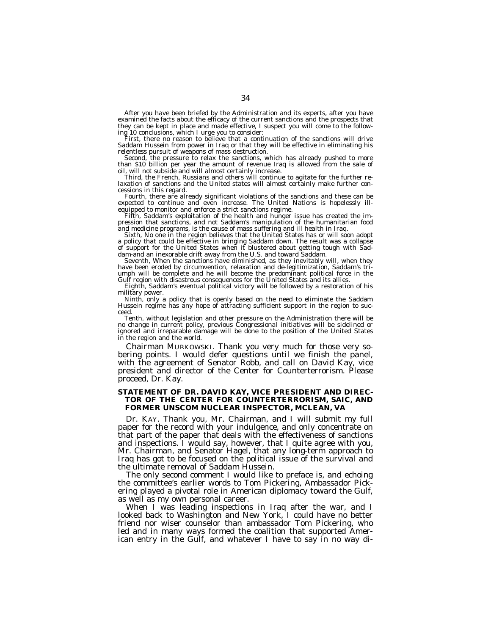After you have been briefed by the Administration and its experts, after you have examined the facts about the efficacy of the current sanctions and the prospects that they can be kept in place and made effective, I suspect you will come to the following 10 conclusions, which I urge you to consider:

First, there no reason to believe that a continuation of the sanctions will drive Saddam Hussein from power in Iraq or that they will be effective in eliminating his relentless pursuit of weapons of mass destruction.

Second, the pressure to relax the sanctions, which has already pushed to more than \$10 billion per year the amount of revenue Iraq is allowed from the sale of oil, will not subside and will almost certainly increase.

Third, the French, Russians and others will continue to agitate for the further relaxation of sanctions and the United states will almost certainly make further concessions in this regard.

Fourth, there are already significant violations of the sanctions and these can be expected to continue and even increase. The United Nations is hopelessly illequipped to monitor and enforce a strict sanctions regime.

Fifth, Saddam's exploitation of the health and hunger issue has created the impression that sanctions, and not Saddam's manipulation of the humanitarian food and medicine programs, is the cause of mass suffering and ill health in Iraq.

Sixth, No one in the region believes that the United States has or will soon adopt a policy that could be effective in bringing Saddam down. The result was a collapse of support for the United States when it blustered about getting tough with Saddam-and an inexorable drift away from the U.S. and toward Saddam.

Seventh, When the sanctions have diminished, as they inevitably will, when they have been eroded by circumvention, relaxation and de-legitimization, Saddam's triumph will be complete and he will become the predominant political force in the Gulf region with disastrous consequences for the United States and its allies.

Eighth, Saddam's eventual political victory will be followed by a restoration of his military power.

Ninth, only a policy that is openly based on the need to eliminate the Saddam Hussein regime has any hope of attracting sufficient support in the region to succeed.

Tenth, without legislation and other pressure on the Administration there will be no change in current policy, previous Congressional initiatives will be sidelined or ignored and irreparable damage will be done to the position of the United States in the region and the world.

Chairman MURKOWSKI. Thank you very much for those very sobering points. I would defer questions until we finish the panel, with the agreement of Senator Robb, and call on David Kay, vice president and director of the Center for Counterterrorism. Please proceed, Dr. Kay.

### **STATEMENT OF DR. DAVID KAY, VICE PRESIDENT AND DIREC-TOR OF THE CENTER FOR COUNTERTERRORISM, SAIC, AND FORMER UNSCOM NUCLEAR INSPECTOR, MCLEAN, VA**

Dr. KAY. Thank you, Mr. Chairman, and I will submit my full paper for the record with your indulgence, and only concentrate on that part of the paper that deals with the effectiveness of sanctions and inspections. I would say, however, that I quite agree with you, Mr. Chairman, and Senator Hagel, that any long-term approach to Iraq has got to be focused on the political issue of the survival and the ultimate removal of Saddam Hussein.

The only second comment I would like to preface is, and echoing the committee's earlier words to Tom Pickering, Ambassador Pickering played a pivotal role in American diplomacy toward the Gulf, as well as my own personal career.

When I was leading inspections in Iraq after the war, and I looked back to Washington and New York, I could have no better friend nor wiser counselor than ambassador Tom Pickering, who led and in many ways formed the coalition that supported American entry in the Gulf, and whatever I have to say in no way di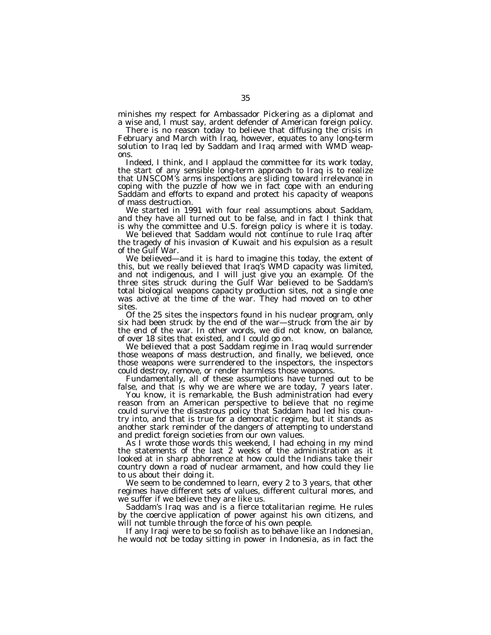minishes my respect for Ambassador Pickering as a diplomat and a wise and, I must say, ardent defender of American foreign policy.

There is no reason today to believe that diffusing the crisis in February and March with Iraq, however, equates to any long-term solution to Iraq led by Saddam and Iraq armed with WMD weapons.

Indeed, I think, and I applaud the committee for its work today, the start of any sensible long-term approach to Iraq is to realize that UNSCOM's arms inspections are sliding toward irrelevance in coping with the puzzle of how we in fact cope with an enduring Saddam and efforts to expand and protect his capacity of weapons of mass destruction.

We started in 1991 with four real assumptions about Saddam, and they have all turned out to be false, and in fact I think that is why the committee and U.S. foreign policy is where it is today.

We believed that Saddam would not continue to rule Iraq after the tragedy of his invasion of Kuwait and his expulsion as a result of the Gulf War.

We believed—and it is hard to imagine this today, the extent of this, but we really believed that Iraq's WMD capacity was limited, and not indigenous, and I will just give you an example. Of the three sites struck during the Gulf War believed to be Saddam's total biological weapons capacity production sites, not a single one was active at the time of the war. They had moved on to other sites

Of the 25 sites the inspectors found in his nuclear program, only six had been struck by the end of the war—struck from the air by the end of the war. In other words, we did not know, on balance, of over 18 sites that existed, and I could go on.

We believed that a post Saddam regime in Iraq would surrender those weapons of mass destruction, and finally, we believed, once those weapons were surrendered to the inspectors, the inspectors could destroy, remove, or render harmless those weapons.

Fundamentally, all of these assumptions have turned out to be false, and that is why we are where we are today, 7 years later.

You know, it is remarkable, the Bush administration had every reason from an American perspective to believe that no regime could survive the disastrous policy that Saddam had led his country into, and that is true for a democratic regime, but it stands as another stark reminder of the dangers of attempting to understand and predict foreign societies from our own values.

As I wrote those words this weekend, I had echoing in my mind the statements of the last 2 weeks of the administration as it looked at in sharp abhorrence at how could the Indians take their country down a road of nuclear armament, and how could they lie to us about their doing it.

We seem to be condemned to learn, every 2 to 3 years, that other regimes have different sets of values, different cultural mores, and we suffer if we believe they are like us.

Saddam's Iraq was and is a fierce totalitarian regime. He rules by the coercive application of power against his own citizens, and will not tumble through the force of his own people.

If any Iraqi were to be so foolish as to behave like an Indonesian, he would not be today sitting in power in Indonesia, as in fact the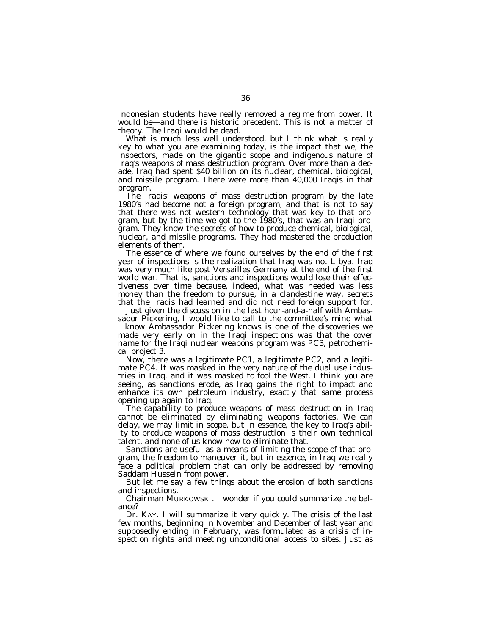Indonesian students have really removed a regime from power. It would be—and there is historic precedent. This is not a matter of theory. The Iraqi would be dead.

What is much less well understood, but I think what is really key to what you are examining today, is the impact that we, the inspectors, made on the gigantic scope and indigenous nature of Iraq's weapons of mass destruction program. Over more than a decade, Iraq had spent \$40 billion on its nuclear, chemical, biological, and missile program. There were more than 40,000 Iraqis in that program.

The Iraqis' weapons of mass destruction program by the late 1980's had become not a foreign program, and that is not to say that there was not western technology that was key to that program, but by the time we got to the 1980's, that was an Iraqi program. They know the secrets of how to produce chemical, biological, nuclear, and missile programs. They had mastered the production elements of them.

The essence of where we found ourselves by the end of the first year of inspections is the realization that Iraq was not Libya. Iraq was very much like post Versailles Germany at the end of the first world war. That is, sanctions and inspections would lose their effectiveness over time because, indeed, what was needed was less money than the freedom to pursue, in a clandestine way, secrets that the Iraqis had learned and did not need foreign support for.

Just given the discussion in the last hour-and-a-half with Ambassador Pickering, I would like to call to the committee's mind what I know Ambassador Pickering knows is one of the discoveries we made very early on in the Iraqi inspections was that the cover name for the Iraqi nuclear weapons program was PC3, petrochemical project 3.

Now, there was a legitimate PC1, a legitimate PC2, and a legitimate PC4. It was masked in the very nature of the dual use industries in Iraq, and it was masked to fool the West. I think you are seeing, as sanctions erode, as Iraq gains the right to impact and enhance its own petroleum industry, exactly that same process opening up again to Iraq.

The capability to produce weapons of mass destruction in Iraq cannot be eliminated by eliminating weapons factories. We can delay, we may limit in scope, but in essence, the key to Iraq's ability to produce weapons of mass destruction is their own technical talent, and none of us know how to eliminate that.

Sanctions are useful as a means of limiting the scope of that program, the freedom to maneuver it, but in essence, in Iraq we really face a political problem that can only be addressed by removing Saddam Hussein from power.

But let me say a few things about the erosion of both sanctions and inspections.

Chairman MURKOWSKI. I wonder if you could summarize the balance?

Dr. KAY. I will summarize it very quickly. The crisis of the last few months, beginning in November and December of last year and supposedly ending in February, was formulated as a crisis of inspection rights and meeting unconditional access to sites. Just as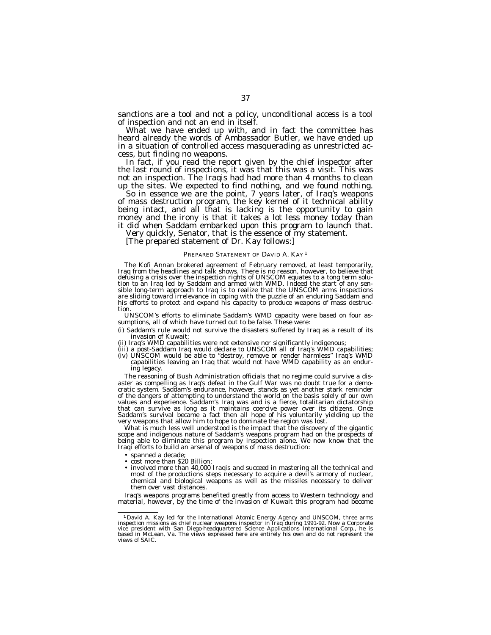sanctions are a tool and not a policy, unconditional access is a tool of inspection and not an end in itself.

What we have ended up with, and in fact the committee has heard already the words of Ambassador Butler, we have ended up in a situation of controlled access masquerading as unrestricted access, but finding no weapons.

In fact, if you read the report given by the chief inspector after the last round of inspections, it was that this was a visit. This was not an inspection. The Iraqis had had more than 4 months to clean up the sites. We expected to find nothing, and we found nothing.

up the sites. We expected to find nothing, and we found nothing. So in essence we are the point, 7 years later, of Iraq's weapons of mass destruction program, the key kernel of it technical ability being intact, and all that is lacking is the opportunity to gain money and the irony is that it takes a lot less money today than it did when Saddam embarked upon this program to launch that. Very quickly, Senator, that is the essence of my statement.

[The prepared statement of Dr. Kay follows:]

#### PREPARED STATEMENT OF DAVID A. KAY 1

The Kofi Annan brokered agreement of February removed, at least temporarily,<br>Iraq from the headlines and talk shows. There is no reason, however, to believe that<br>defusing a crisis over the inspection rights of UNSCOM equat tion to an Iraq led by Saddam and armed with WMD. Indeed the start of any sen-sible long-term approach to Iraq is to realize that the UNSCOM arms inspections are sliding toward irrelevance in coping with the puzzle of an enduring Saddam and his efforts to protect and expand his capacity to produce weapons of mass destruction.

UNSCOM's efforts to eliminate Saddam's WMD capacity were based on four assumptions, all of which have turned out to be false. These were:

(i) Saddam's rule would not survive the disasters suffered by Iraq as a result of its invasion of Kuwait;

(ii) Iraq's WMD capabilities were not extensive nor significantly indigenous;

(iii) a post-Saddam Iraq would declare to UNSCOM all of Iraq's WMD capabilities; (iv) UNSCOM would be able to ''destroy, remove or render harmless'' Iraq's WMD capabilities leaving an Iraq that would not have WMD capability as an enduring legacy.

The reasoning of Bush Administration officials that no regime could survive a disaster as compelling as Iraq's defeat in the Gulf War was no doubt true for a democratic system. Saddam's endurance, however, stands as yet another stark reminder of the dangers of attempting to understand the world on the basis solely of our own values and experience. Saddam's Iraq was and is a fierce, totalitarian dictatorship that can survive as long as it maintains coercive power over its citizens. Once Saddam's survival became a fact then all hope of his voluntarily yielding up the very weapons that allow him to hope to dominate the region was lost.

What is much less well understood is the impact that the discovery of the gigantic scope and indigenous nature of Saddam's weapons program had on the prospects of being able to eliminate this program by inspection alone. We now know that the Iraqi efforts to build an arsenal of weapons of mass destruction:

- spanned a decade;
- cost more than \$20 Billion;
- involved more than 40,000 Iraqis and succeed in mastering all the technical and most of the productions steps necessary to acquire a devil's armory of nuclear, chemical and biological weapons as well as the missiles necessary to deliver them over vast distances.

Iraq's weapons programs benefited greatly from access to Western technology and material, however, by the time of the invasion of Kuwait this program had become

 $^1$  David A. Kay led for the International Atomic Energy Agency and UNSCOM, three arms inspection missions as chief nuclear weapons inspector in Iraq during 1991-92. Now a Corporate president with San Diego-headquartered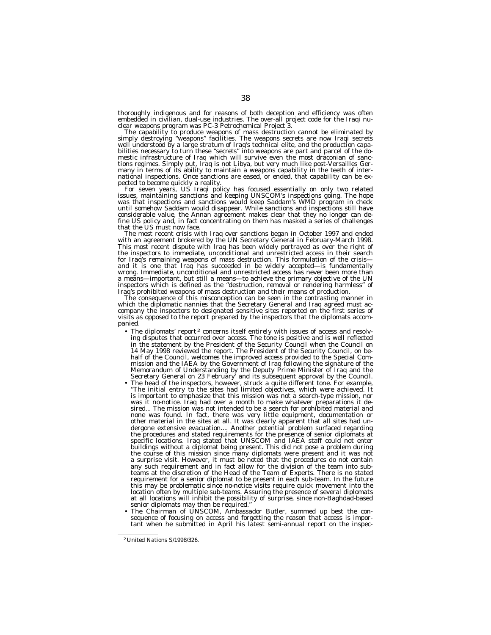thoroughly indigenous and for reasons of both deception and efficiency was often embedded in civilian, dual-use industries. The over-all project code for the Iraqi nu-

clear weapons program was PC-3 Petrochemical Project<sup>3</sup>.<br>The capability to produce weapons of mass destruction cannot be eliminated by<br>simply destroying "weapons" facilities. The weapons secrets are now Iraqi secrets<br>well mestic infrastructure of Iraq which will survive even the most draconian of sanc-tions regimes. Simply put, Iraq is not Libya, but very much like post-Versailles Germany in terms of its ability to maintain a weapons capability in the teeth of inter-national inspections. Once sanctions are eased, or ended, that capability can be ex-

pected to become quickly a reality.<br>For seven years, US Iraqi policy has focused essentially on only two related<br>issues, maintaining sanctions and keeping UNSCOM's inspections going. The hope<br>was that inspections and sanct until somehow Saddam would disappear. While sanctions and inspections still have considerable value, the Annan agreement makes clear that they no longer can define US policy and, in fact concentrating on them has masked a series of challenges that the US must now face.

The most recent crisis with Iraq over sanctions began in October 1997 and ended with an agreement brokered by the UN Secretary General in February-March 1998. This most recent dispute with Iraq has been widely portrayed as over the right of the inspectors to immediate, unconditional and unrestricted access in their search for Iraq's remaining weapons of mass destruction. This formulation of the crisis and it is one that Iraq has succeeded in be widely accepted—is fundamentally wrong. Immediate, unconditional and unrestricted access has never been more than a means—important, but still a means—to achieve the primary objective of the UN inspectors which is defined as the ''destruction, removal or rendering harmless'' of Iraq's prohibited weapons of mass destruction and their means of production.

The consequence of this misconception can be seen in the contrasting manner in which the diplomatic nannies that the Secretary General and Iraq agreed must accompany the inspectors to designated sensitive sites reported on the first series of visits as opposed to the report prepared by the inspectors that the diplomats accompanied.

- The diplomats' report<sup>2</sup> concerns itself entirely with issues of access and resolving disputes that occurred over access. The tone is positive and is well reflected in the statement by the President of the Security Council when the Council on 14 May 1998 reviewed the report. The President of the Security Council, on behalf of the Council, welcomes the improved access provided to the Special Commission and the IAEA by the Government of Iraq following the signature of the Memorandum of Understanding by the Deputy Prime Minister of Iraq and the Secretary General on 23 February' and its subsequent approval by the Council.
- The head of the inspectors, however, struck a quite different tone. For example, ''The initial entry to the sites had limited objectives, which were achieved. It is important to emphasize that this mission was not a search-type mission, nor was it no-notice. Iraq had over a month to make whatever preparations it desired... The mission was not intended to be a search for prohibited material and none was found. In fact, there was very little equipment, documentation or other material in the sites at all. It was clearly apparent that all sites had undergone extensive evacuation.... Another potential problem surfaced regarding the procedures and stated requirements for the presence of senior diplomats at specific locations. Iraq stated that UNSCOM and IAEA staff could not enter buildings without a diplomat being present. This did not pose a problem during the course of this mission since many diplomats were present and it was not a surprise visit. However, it must be noted that the procedures do not contain any such requirement and in fact allow for the division of the team into subteams at the discretion of the Head of the Team of Experts. There is no stated requirement for a senior diplomat to be present in each sub-team. In the future this may be problematic since no-notice visits require quick movement into the location often by multiple sub-teams. Assuring the presence of several diplomats at all locations will inhibit the possibility of surprise, since non-Baghdad-based senior diplomats may then be required.''
- The Chairman of UNSCOM, Ambassador Butler, summed up best the consequence of focusing on access and forgetting the reason that access is important when he submitted in April his latest semi-annual report on the inspec-

<sup>2</sup> United Nations S/1998/326.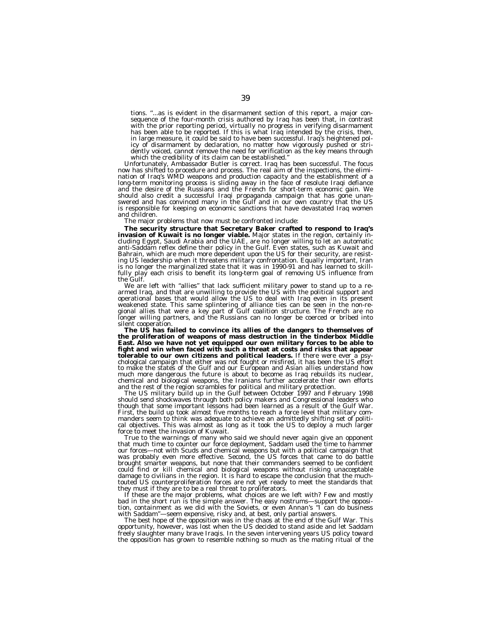tions. ''...as is evident in the disarmament section of this report, a major consequence of the four-month crisis authored by Iraq has been that, in contrast with the prior reporting period, virtually no progress in verifying disarmament has been able to be reported. If this is what Iraq intended by the crisis, then, in large measure, it could be said to have been successful. Iraq's heightened policy of disarmament by declaration, no matter how vigorously pushed or stridently voiced, cannot remove the need for verification as the key means through which the credibility of its claim can be established."

which the credibility of its claim can be established."<br>Unfortunately, Ambassador Butler is correct. Iraq has been successful. The focus<br>now has shifted to procedure and process. The real aim of the inspections, the elimilong-term monitoring process is sliding away in the face of resolute Iraqi defiance and the desire of the Russians and the French for short-term economic gain. We should also credit a successful Iraqi propaganda campaign that has gone unan-swered and has convinced many in the Gulf and in our own country that the US is responsible for keeping on economic sanctions that have devastated Iraq women and children.

The major problems that now must be confronted include:

The security structure that Secretary Baker crafted to respond to Iraq's invasion of Kuwait is no longer viable. Major states in the region, certainly including Egypt, Saudi Arabia and the UAE, are no longer willing to let anti-Saddam reflex define their policy in the Gulf. Even states, such as Kuwait and Bahrain, which are much more dependent upon the US for their security, are resisting US leadership when it threatens military confrontation. Equally important, Iran is no longer the marginalized state that it was in 1990-91 and has learned to skillfully play each crisis to benefit its long-term goal of removing US influence from the Gulf.<br>We are left with "allies" that lack sufficient military power to stand up to a re-

We are left with "allies" that lack sufficient military power to stand up to a re-<br>armed Iraq, and that are unwilling to provide the US with the political support and<br>operational bases that would allow the US to deal with weakened state. This same splintering of alliance ties can be seen in the non-re-gional allies that were a key part of Gulf coalition structure. The French are no longer willing partners, and the Russians can no longer be coerced or bribed into silent cooperation.<br>The US has failed to convince its allies of the dangers to themselves of

the proliferation of weapons of mass destruction in the tinderbox Middle **East. Also we have not yet equipped our own military forces to be able to fight and win when faced with such a threat at costs and risks that appear tolerable to our own citizens and political leaders.** If there were ever a psy- chological campaign that either was not fought or misfired, it has been the US effort to make the states of the Gulf and our European and Asian allies understand how much more dangerous the future is about to become as Iraq rebuilds its nuclear, chemical and biological weapons, the Iranians further accelerate their own efforts

Each discussional weakers and the rest of the region scrambles for political and military protection.<br>The US military build up in the Gulf between October 1997 and February 1998<br>should send shockwaves through both policy m though that some important lessons had been learned as a result of the Gulf War. First, the build up took almost five months to reach a force level that military commanders seem to think was adequate to achieve an admittedly shifting set of political objectives. This was almost as long as it took the US to deploy a much larger force to meet the invasion of Kuwait.

True to the warnings of many who said we should never again give an opponent that much time to counter our force deployment, Saddam used the time to hammer our forces—not with Scuds and chemical weapons but with a political campaign that was probably even more effective. Second, the US forces that came to do battle brought smarter weapons, but none that their commanders seemed to be confident could find or kill chemical and biological weapons without risking unacceptable damage to civilians in the region. It is hard to escape the conclusion that the muchtouted US counterproliferation forces are not yet ready to meet the standards that they must if they are to be a real threat to proliferators.

these are the major problems, what choices are we left with? Few and mostly bad in the short run is the simple answer. The easy nostrums—support the opposition, containment as we did with the Soviets, or even Annan's "I can do business with Saddam''—seem expensive, risky and, at best, only partial answers.

The best hope of the opposition was in the chaos at the end of the Gulf War. This opportunity, however, was lost when the US decided to stand aside and let Saddam freely slaughter many brave Iraqis. In the seven intervening years US policy toward the opposition has grown to resemble nothing so much as the mating ritual of the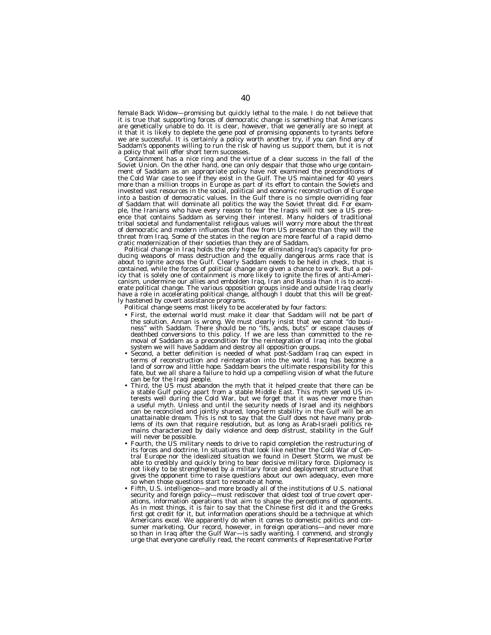female Back Widow—promising but quickly lethal to the male. I do not believe that it is true that supporting forces of democratic change is something that Americans are genetically unable to do. It is clear, however, that we generally are so inept at it that it is likely to deplete the gene pool of promising opponents to tyrants before we are successful. It is certainly a policy worth another try, if you can find any of Saddam's opponents willing to run the risk of having us support them, but it is not a policy that will offer short term successes.

Containment has a nice ring and the virtue of a clear success in the fall of the Soviet Union. On the other hand, one can only despair that those who urge containment of Saddam as an appropriate policy have not examined the preconditions of the Cold War case to see if they exist in the Gulf. The US maintained for 40 years more than a million troops in Europe as part of its effort to contain the Soviets and invested vast resources in the social, political and economic reconstruction of Europe into a bastion of democratic values. In the Gulf there is no simple overriding fear of Saddam that will dominate all politics the way the Soviet threat did. For example, the Iranians who have every reason to fear the Iraqis will not see a US presence that contains Saddam as serving their interest. Many holders of traditional tribal societal and fundamentalist religious values will worry more about the threat of democratic and modern influences that flow from US presence than they will the threat from Iraq. Some of the states in the region are more fearful of a rapid democratic modernization of their societies than they are of Saddam.

Political change in Iraq holds the only hope for eliminating Iraq's capacity for producing weapons of mass destruction and the equally dangerous arms race that is about to ignite across the Gulf. Clearly Saddam needs to be held in check, that is contained, while the forces of political change are given a chance to work. But a policy that is solely one of containment is more likely to ignite the fires of anti-Americanism, undermine our allies and embolden Iraq, Iran and Russia than it is to accelerate political change. The various opposition groups inside and outside Iraq clearly have a role in accelerating political change, although I doubt that this will be greatly hastened by covert assistance programs.

Political change seems most likely to be accelerated by four factors:

- First, the external world must make it clear that Saddam will not be part of the solution. Annan is wrong. We must clearly insist that we cannot ''do business'' with Saddam. There should be no ''ifs, ands, buts'' or escape clauses of deathbed conversions to this policy. If we are less than committed to the removal of Saddam as a precondition for the reintegration of Iraq into the global system we will have Saddam and destroy all opposition groups.
- Second, a better definition is needed of what post-Saddam Iraq can expect in terms of reconstruction and reintegration into the world. Iraq has become a land of sorrow and little hope. Saddam bears the ultimate responsibility for this fate, but we all share a failure to hold up a compelling vision of what the future can be for the Iraqi people.
- Third, the US must abandon the myth that it helped create that there can be a stable Gulf policy apart from a stable Middle East. This myth served US interests well during the Cold War, but we forget that it was never more than a useful myth. Unless and until the security needs of Israel and its neighbors can be reconciled and jointly shared, long-term stability in the Gulf will be an unattainable dream. This is not to say that the Gulf does not have many problems of its own that require resolution, but as long as Arab-Israeli politics remains characterized by daily violence and deep distrust, stability in the Gulf will never be possible.
- Fourth, the US military needs to drive to rapid completion the restructuring of its forces and doctrine. In situations that look like neither the Cold War of Central Europe nor the idealized situation we found in Desert Storm, we must be able to credibly and quickly bring to bear decisive military force. Diplomacy is not likely to be strengthened by a military force and deployment structure that gives the opponent time to raise questions about our own adequacy, even more o when those questions start to resonate at home.
- Fifth, U.S. intelligence—and more broadly all of the institutions of U.S. national security and foreign policy—must rediscover that oldest tool of true covert operations, information operations that aim to shape the perceptions of opponents. As in most things, it is fair to say that the Chinese first did it and the Greeks first got credit for it, but information operations should be a technique at which Americans excel. We apparently do when it comes to domestic politics and consumer marketing. Our record, however, in foreign operations—and never more so than in Iraq after the Gulf War—is sadly wanting. I commend, and strongly urge that everyone carefully read, the recent comments of Representative Porter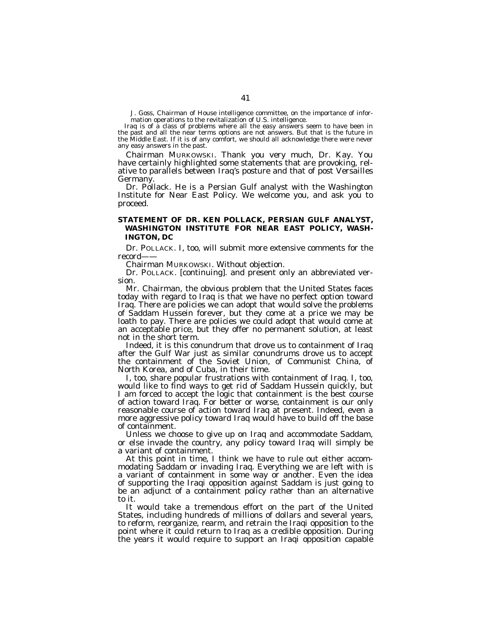J. Goss, Chairman of House intelligence committee, on the importance of information operations to the revitalization of U.S. intelligence.

Iraq is of a class of problems where all the easy answers seem to have been in the past and all the near terms options are not answers. But that is the future in the Middle East. If it is of any comfort, we should all acknowledge there were never any easy answers in the past.

Chairman MURKOWSKI. Thank you very much, Dr. Kay. You have certainly highlighted some statements that are provoking, relative to parallels between Iraq's posture and that of post Versailles Germany.

Dr. Pollack. He is a Persian Gulf analyst with the Washington Institute for Near East Policy. We welcome you, and ask you to proceed.

## **STATEMENT OF DR. KEN POLLACK, PERSIAN GULF ANALYST, WASHINGTON INSTITUTE FOR NEAR EAST POLICY, WASH-INGTON, DC**

Dr. POLLACK. I, too, will submit more extensive comments for the record——

Chairman MURKOWSKI. Without objection.

Dr. POLLACK. [continuing]. and present only an abbreviated version.

Mr. Chairman, the obvious problem that the United States faces today with regard to Iraq is that we have no perfect option toward Iraq. There are policies we can adopt that would solve the problems of Saddam Hussein forever, but they come at a price we may be loath to pay. There are policies we could adopt that would come at an acceptable price, but they offer no permanent solution, at least not in the short term.

Indeed, it is this conundrum that drove us to containment of Iraq after the Gulf War just as similar conundrums drove us to accept the containment of the Soviet Union, of Communist China, of North Korea, and of Cuba, in their time.

I, too, share popular frustrations with containment of Iraq. I, too, would like to find ways to get rid of Saddam Hussein quickly, but I am forced to accept the logic that containment is the best course of action toward Iraq. For better or worse, containment is our only reasonable course of action toward Iraq at present. Indeed, even a more aggressive policy toward Iraq would have to build off the base of containment.

Unless we choose to give up on Iraq and accommodate Saddam, or else invade the country, any policy toward Iraq will simply be a variant of containment.

At this point in time, I think we have to rule out either accommodating Saddam or invading Iraq. Everything we are left with is a variant of containment in some way or another. Even the idea of supporting the Iraqi opposition against Saddam is just going to be an adjunct of a containment policy rather than an alternative to it.

It would take a tremendous effort on the part of the United States, including hundreds of millions of dollars and several years, to reform, reorganize, rearm, and retrain the Iraqi opposition to the point where it could return to Iraq as a credible opposition. During the years it would require to support an Iraqi opposition capable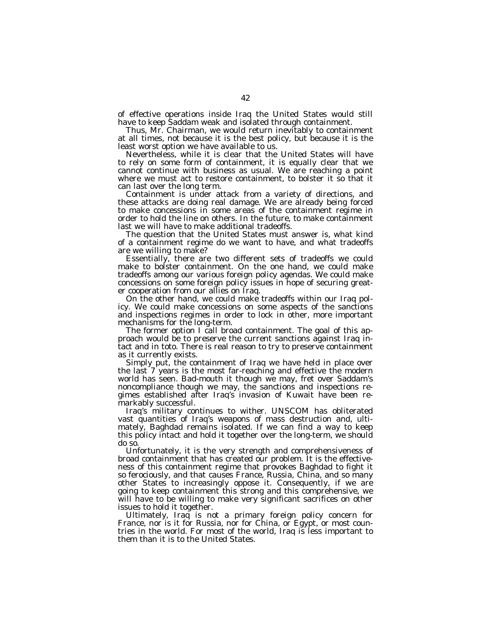of effective operations inside Iraq the United States would still have to keep Saddam weak and isolated through containment.

Thus, Mr. Chairman, we would return inevitably to containment at all times, not because it is the best policy, but because it is the least worst option we have available to us.

Nevertheless, while it is clear that the United States will have to rely on some form of containment, it is equally clear that we cannot continue with business as usual. We are reaching a point where we must act to restore containment, to bolster it so that it can last over the long term.

Containment is under attack from a variety of directions, and these attacks are doing real damage. We are already being forced to make concessions in some areas of the containment regime in order to hold the line on others. In the future, to make containment last we will have to make additional tradeoffs.

The question that the United States must answer is, what kind of a containment regime do we want to have, and what tradeoffs are we willing to make?

Essentially, there are two different sets of tradeoffs we could make to bolster containment. On the one hand, we could make tradeoffs among our various foreign policy agendas. We could make concessions on some foreign policy issues in hope of securing greater cooperation from our allies on Iraq.

On the other hand, we could make tradeoffs within our Iraq policy. We could make concessions on some aspects of the sanctions and inspections regimes in order to lock in other, more important mechanisms for the long-term.

The former option I call broad containment. The goal of this approach would be to preserve the current sanctions against Iraq intact and in toto. There is real reason to try to preserve containment as it currently exists.

Simply put, the containment of Iraq we have held in place over the last 7 years is the most far-reaching and effective the modern world has seen. Bad-mouth it though we may, fret over Saddam's noncompliance though we may, the sanctions and inspections regimes established after Iraq's invasion of Kuwait have been remarkably successful.

Iraq's military continues to wither. UNSCOM has obliterated vast quantities of Iraq's weapons of mass destruction and, ultimately, Baghdad remains isolated. If we can find a way to keep this policy intact and hold it together over the long-term, we should do so.

Unfortunately, it is the very strength and comprehensiveness of broad containment that has created our problem. It is the effectiveness of this containment regime that provokes Baghdad to fight it so ferociously, and that causes France, Russia, China, and so many other States to increasingly oppose it. Consequently, if we are going to keep containment this strong and this comprehensive, we will have to be willing to make very significant sacrifices on other issues to hold it together.

Ultimately, Iraq is not a primary foreign policy concern for France, nor is it for Russia, nor for China, or Egypt, or most countries in the world. For most of the world, Iraq is less important to them than it is to the United States.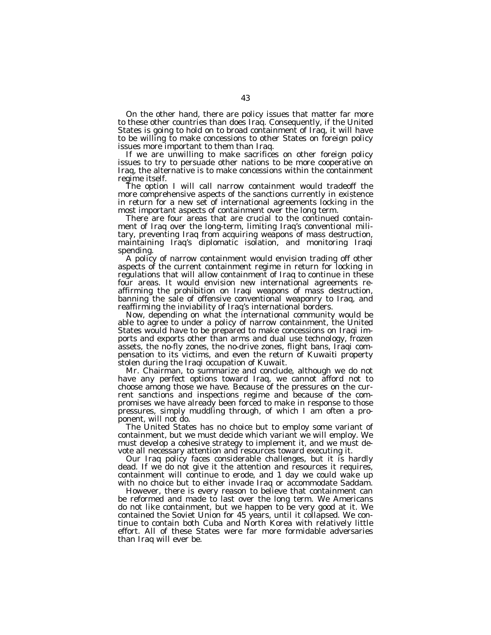On the other hand, there are policy issues that matter far more to these other countries than does Iraq. Consequently, if the United States is going to hold on to broad containment of Iraq, it will have to be willing to make concessions to other States on foreign policy issues more important to them than Iraq.

If we are unwilling to make sacrifices on other foreign policy issues to try to persuade other nations to be more cooperative on Iraq, the alternative is to make concessions within the containment regime itself.

The option I will call narrow containment would tradeoff the more comprehensive aspects of the sanctions currently in existence in return for a new set of international agreements locking in the most important aspects of containment over the long term.

There are four areas that are crucial to the continued containment of Iraq over the long-term, limiting Iraq's conventional military, preventing Iraq from acquiring weapons of mass destruction, maintaining Iraq's diplomatic isolation, and monitoring Iraqi spending.

A policy of narrow containment would envision trading off other aspects of the current containment regime in return for locking in regulations that will allow containment of Iraq to continue in these four areas. It would envision new international agreements reaffirming the prohibition on Iraqi weapons of mass destruction, banning the sale of offensive conventional weaponry to Iraq, and reaffirming the inviability of Iraq's international borders.

Now, depending on what the international community would be able to agree to under a policy of narrow containment, the United States would have to be prepared to make concessions on Iraqi imports and exports other than arms and dual use technology, frozen assets, the no-fly zones, the no-drive zones, flight bans, Iraqi compensation to its victims, and even the return of Kuwaiti property stolen during the Iraqi occupation of Kuwait.

Mr. Chairman, to summarize and conclude, although we do not have any perfect options toward Iraq, we cannot afford not to choose among those we have. Because of the pressures on the current sanctions and inspections regime and because of the compromises we have already been forced to make in response to those pressures, simply muddling through, of which I am often a proponent, will not do.

The United States has no choice but to employ some variant of containment, but we must decide which variant we will employ. We must develop a cohesive strategy to implement it, and we must devote all necessary attention and resources toward executing it.

Our Iraq policy faces considerable challenges, but it is hardly dead. If we do not give it the attention and resources it requires, containment will continue to erode, and 1 day we could wake up with no choice but to either invade Iraq or accommodate Saddam.

However, there is every reason to believe that containment can be reformed and made to last over the long term. We Americans do not like containment, but we happen to be very good at it. We contained the Soviet Union for 45 years, until it collapsed. We continue to contain both Cuba and North Korea with relatively little effort. All of these States were far more formidable adversaries than Iraq will ever be.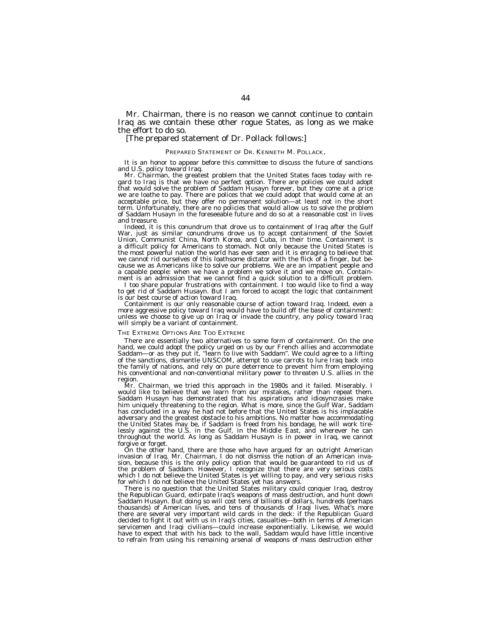Mr. Chairman, there is no reason we cannot continue to contain Iraq as we contain these other rogue States, as long as we make the effort to do so.

#### [The prepared statement of Dr. Pollack follows:]

#### PREPARED STATEMENT OF DR. KENNETH M. POLLACK,

It is an honor to appear before this committee to discuss the future of sanctions and U.S. policy toward Iraq.

Mr. Chairman, the greatest problem that the United States faces today with regard to Iraq is that we have no perfect option. There are policies we could adopt that would solve the problem of Saddam Husayn forever, but they come at a price we are loathe to pay. There are polices that we could adopt that would come at an acceptable price, but they offer no permanent solution—at least not in the short term. Unfortunately, there are no policies that would allow us to solve the problem of Saddam Husayn in the foreseeable future and do so at a reasonable cost in lives and treasure.

Indeed, it is this conundrum that drove us to containment of Iraq after the Gulf War, just as similar conundrums drove us to accept containment of the Soviet Union, Communist China, North Korea, and Cuba, in their time. Containment is a difficult policy for Americans to stomach. Not only because the United States is the most powerful nation the world has ever seen and it is enraging to believe that we cannot rid ourselves of this loathsome dictator with the flick of a finger, but because we as Americans like to solve our problems. We are an impatient people and a capable people: when we have a problem we solve it and we move on. Containment is an admission that we cannot find a quick solution to a difficult problem.

I too share popular frustrations with containment. I too would like to find a way to get rid of Saddam Husayn. But I am forced to accept the logic that containment is our best course of action toward Iraq.

Containment is our *only* reasonable course of action toward Iraq. Indeed, even a more aggressive policy toward Iraq would have to build off the base of containment: unless we choose to give up on Iraq or invade the country, any policy toward Iraq will simply be a variant of containment.

#### THE EXTREME OPTIONS ARE TOO EXTREME

There are essentially two alternatives to some form of containment. On the one hand, we could adopt the policy urged on us by our French allies and accommodate Saddam—or as they put it, ''learn to live with Saddam''. We could agree to a lifting of the sanctions, dismantle UNSCOM, attempt to use carrots to lure Iraq back into the family of nations, and rely on pure deterrence to prevent him from employing his conventional and non-conventional military power to threaten U.S. allies in the region.

Mr. Chairman, we tried this approach in the 1980s and it failed. Miserably. I would like to believe that we learn from our mistakes, rather than repeat them. Saddam Husayn has demonstrated that his aspirations and idiosyncrasies make him uniquely threatening to the region. What is more, since the Gulf War, Saddam has concluded in a way he had not before that the United States is his implacable adversary and the greatest obstacle to his ambitions. No matter how accommodating the United States may be, if Saddam is freed from his bondage, he will work tirelessly against the U.S. in the Gulf, in the Middle East, and wherever he can throughout the world. As long as Saddam Husayn is in power in Iraq, we cannot forgive or forget.

On the other hand, there are those who have argued for an outright American invasion of Iraq. Mr. Chairman, I do not dismiss the notion of an American invasion, because this is the only policy option that would be guaranteed to rid us of the problem of Saddam. However, I recognize that there are very serious costs which I do not believe the United States is yet willing to pay, and very serious risks for which I do not believe the United States yet has answers

There is no question that the United States military could conquer Iraq, destroy the Republican Guard, extirpate Iraq's weapons of mass destruction, and hunt down Saddam Husayn. But doing so will cost tens of billions of dollars, hundreds (perhaps thousands) of American lives, and tens of thousands of Iraqi lives. What's more there are several very important wild cards in the deck: if the Republican Guard decided to fight it out with us in Iraq's cities, casualties—both in terms of American servicemen and Iraqi civilians—could increase exponentially. Likewise, we would have to expect that with his back to the wall, Saddam would have little incentive to refrain from using his remaining arsenal of weapons of mass destruction either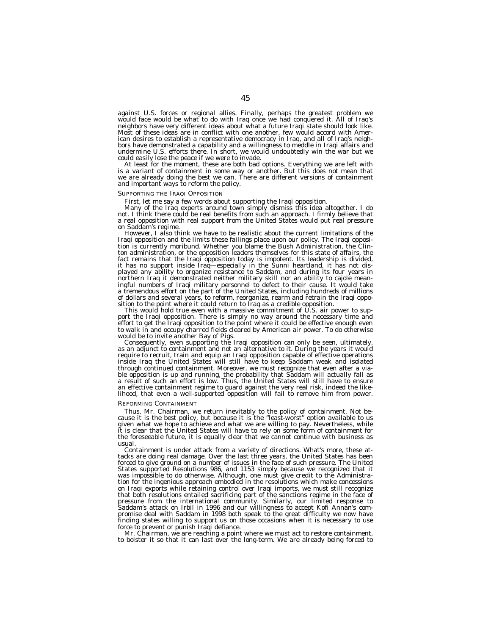against U.S. forces or regional allies. Finally, perhaps the greatest problem we would face would be what to do with Iraq once we had conquered it. All of Iraq's neighbors have very different ideas about what a future Iraqi state should look like. Most of these ideas are in conflict with one another, few would accord with American desires to establish a representative democracy in Iraq, and all of Iraq's neighbors have demonstrated a capability and a willingness to meddle in Iraqi affairs and undermine U.S. efforts there. In short, we would undoubtedly win the war but we could easily lose the peace if we were to invade.

At least for the moment, these are both bad options. Everything we are left with is a variant of containment in some way or another. But this does not mean that we are already doing the best we can. There are different versions of containment and important ways to reform the policy.

#### SUPPORTING THE IRAQI OPPOSITION

First, let me say a few words about supporting the Iraqi opposition.

Many of the Iraq experts around town simply dismiss this idea altogether. I do not. I think there could be real benefits from such an approach. I firmly believe that a real opposition with real support from the United States would put real pressure on Saddam's regime.

However, I also think we have to be realistic about the current limitations of the Iraqi opposition and the limits these failings place upon our policy. The Iraqi opposition is currently moribund. Whether you blame the Bush Administration, the Clinton administration, or the opposition leaders themselves for this state of affairs, the fact remains that the Iraqi opposition today is impotent. Its leadership is divided, it has no support inside Iraq—especially in the Sunni heartland, it has not displayed any ability to organize resistance to Saddam, and during its four years in northern Iraq it demonstrated neither military skill nor an ability to cajole meaningful numbers of Iraqi military personnel to defect to their cause. It would take a tremendous effort on the part of the United States, including hundreds of millions of dollars and several years, to reform, reorganize, rearm and retrain the Iraqi opposition to the point where it could return to Iraq as a credible opposition.

This would hold true even with a massive commitment of U.S. air power to support the Iraqi opposition. There is simply no way around the necessary time and effort to get the Iraqi opposition to the point where it could be effective enough even to walk in and occupy charred fields cleared by American air power. To do otherwise would be to invite another Bay of Pigs.

Consequently, even supporting the Iraqi opposition can only be seen, ultimately, as an adjunct to containment and not an alternative to it. During the years it would require to recruit, train and equip an Iraqi opposition capable of effective operations inside Iraq the United States will still have to keep Saddam weak and isolated through continued containment. Moreover, we must recognize that even after a viable opposition is up and running, the probability that Saddam will actually fall as a result of such an effort is low. Thus, the United States will still have to ensure an effective containment regime to guard against the very real risk, indeed the likelihood, that even a well-supported opposition will fail to remove him from power.

#### REFORMING CONTAINMENT

Thus, Mr. Chairman, we return inevitably to the policy of containment. Not because it is the best policy, but because it is the ''least-worst'' option available to us given what we hope to achieve and what we are willing to pay. Nevertheless, while it is clear that the United States will have to rely on some form of containment for the foreseeable future, it is equally clear that we cannot continue with business as usual.

Containment is under attack from a variety of directions. What's more, these attacks are doing real damage. Over the last three years, the United States has been forced to give ground on a number of issues in the face of such pressure. The United States supported Resolutions 986, and 1153 simply because we recognized that it was impossible to do otherwise. Although, one must give credit to the Administration for the ingenious approach embodied in the resolutions which make concessions on Iraqi exports while retaining control over Iraqi imports, we must still recognize that both resolutions entailed sacrificing part of the sanctions regime in the face of pressure from the international community. Similarly, our limited response to Saddam's attack on Irbil in 1996 and our willingness to accept Kofi Annan's compromise deal with Saddam in 1998 both speak to the great difficulty we now have finding states willing to support us on those occasions when it is necessary to use force to prevent or punish Iraqi defiance.

Mr. Chairman, we are reaching a point where we must act to restore containment, to bolster it so that it can last over the long-term. We are already being forced to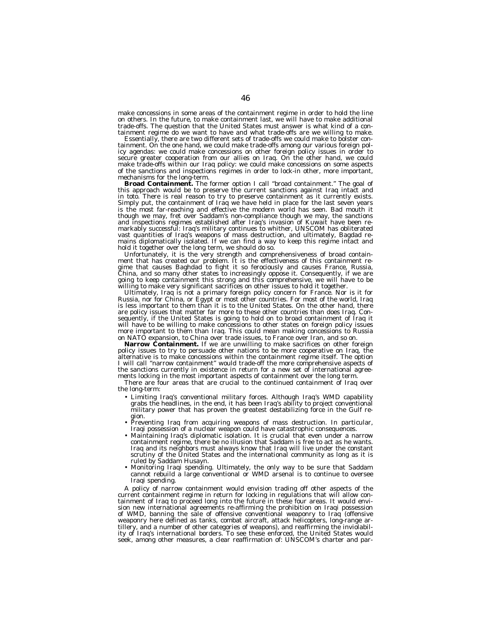make concessions in some areas of the containment regime in order to hold the line on others. In the future, to make containment last, we will have to make additional trade-offs. The question that the United States must answer is what kind of a containment regime do we want to have and what trade-offs are we willing to make.

Essentially, there are two different sets of trade-offs we could make to bolster containment. On the one hand, we could make trade-offs among our various foreign policy agendas: we could make concessions on other foreign policy issues in order to secure greater cooperation from our allies on Iraq. On the other hand, we could make trade-offs within our Iraq policy: we could make concessions on some aspects of the sanctions and inspections regimes in order to lock-in other, more important, mechanisms for the long-term.

**Broad Containment.** The former option I call ''broad containment.'' The goal of this approach would be to preserve the current sanctions against Iraq intact and *in toto.* There is real reason to try to preserve containment as it currently exists. Simply put, the containment of Iraq we have held in place for the last seven years is the most far-reaching and effective the modern world has seen. Bad mouth it though we may, fret over Saddam's non-compliance though we may, the sanctions and inspections regimes established after Iraq's invasion of Kuwait have been remarkably successful: Iraq's military continues to whither, UNSCOM has obliterated vast quantities of Iraq's weapons of mass destruction, and ultimately, Bagdad remains diplomatically isolated. If we can find a way to keep this regime intact and hold it together over the long term, we should do so.

Unfortunately, it is the very strength and comprehensiveness of broad containment that has created our problem. It is the effectiveness of this containment regime that causes Baghdad to fight it so ferociously and causes France, Russia, China, and so many other states to increasingly oppose it. Consequently, if we are going to keep containment this strong and this comprehensive, we will have to be willing to make very significant sacrifices on other issues to hold it together.

Ultimately, Iraq is not a primary foreign policy concern for France. Nor is it for Russia, nor for China, or Egypt or most other countries. For most of the world, Iraq is less important to them than it is to the United States. On the other hand, there are policy issues that matter far more to these other countries than does Iraq. Consequently, if the United States is going to hold on to broad containment of Iraq it will have to be willing to make concessions to other states on foreign policy issues more important to them than Iraq. This could mean making concessions to Russia on NATO expansion, to China over trade issues, to France over Iran, and so on.

**Narrow Containment.** If we are unwilling to make sacrifices on other foreign policy issues to try to persuade other nations to be more cooperative on Iraq, the alternative is to make concessions within the containment regime itself. The option I will call ''narrow containment'' would trade-off the more comprehensive aspects of the sanctions currently in existence in return for a new set of international agreements locking in the most important aspects of containment over the long term.

There are four areas that are crucial to the continued containment of Iraq over the long-term:

- Limiting Iraq's conventional military forces. Although Iraq's WMD capability grabs the headlines, in the end, it has been Iraq's ability to project conventional military power that has proven the greatest destabilizing force in the Gulf region.
- Preventing Iraq from acquiring weapons of mass destruction. In particular, Iraqi possession of a nuclear weapon could have catastrophic consequences.
- Maintaining Iraq's diplomatic isolation. It is crucial that even under a narrow containment regime, there be no illusion that Saddam is free to act as he wants. Iraq and its neighbors must always know that Iraq will live under the constant scrutiny of the United States and the international community as long as it is ruled by Saddam Husayn.
- Monitoring Iraqi spending. Ultimately, the only way to be sure that Saddam cannot rebuild a large conventional or WMD arsenal is to continue to oversee Iraqi spending.

A policy of narrow containment would envision trading off other aspects of the current containment regime in return for locking in regulations that will allow containment of Iraq to proceed long into the future in these four areas. It would envision new international agreements re-affirming the prohibition on Iraqi possession of WMD, banning the sale of offensive conventional weaponry to Iraq (offensive weaponry here defined as tanks, combat aircraft, attack helicopters, long-range artillery, and a number of other categories of weapons), and reaffirming the inviolability of Iraq's international borders. To see these enforced, the United States would seek, among other measures, a clear reaffirmation of: UNSCOM's charter and par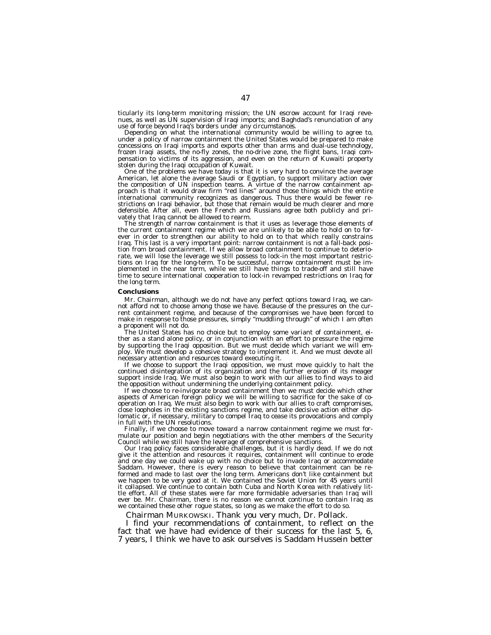ticularly its long-term monitoring mission; the UN escrow account for Iraqi revenues, as well as UN supervision of Iraqi imports; and Baghdad's renunciation of any use of force beyond Iraq's borders *under any circumstances.*

Depending on what the international community would be willing to agree to, under a policy of narrow containment the United States would be prepared to make concessions on Iraqi imports and exports other than arms and dual-use technology, frozen Iraqi assets, the no-fly zones, the no-drive zone, the flight bans, Iraqi compensation to victims of its aggression, and even on the return of Kuwaiti property stolen during the Iraqi occupation of Kuwait.

One of the problems we have today is that it is very hard to convince the average American, let alone the average Saudi or Egyptian, to support military action over the composition of UN inspection teams. A virtue of the narrow containment approach is that it would draw firm ''red lines'' around those things which the entire international community recognizes as dangerous. Thus there would be fewer restrictions on Iraqi behavior, but those that remain would be much clearer and more defensible. After all, even the French and Russians agree both publicly and privately that Iraq cannot be allowed to rearm.

The strength of narrow containment is that it uses as leverage those elements of the current containment regime which we are unlikely to be able to hold on to forever in order to strengthen our ability to hold on to that which really constrains Iraq. This last is a very important point: narrow containment is not a fall-back position from broad containment. If we allow broad containment to continue to deteriorate, we will lose the leverage we still possess to lock-in the most important restrictions on Iraq for the long-term. To be successful, narrow containment must be implemented in the near term, while we still have things to trade-off and still have time to secure international cooperation to lock-in revamped restrictions on Iraq for the long term.

#### **Conclusions**

Mr. Chairman, although we do not have any perfect options toward Iraq, we cannot afford not to choose among those we have. Because of the pressures on the current containment regime, and because of the compromises we have been forced to make in response to those pressures, simply ''muddling through'' of which I am often a proponent will not do.

The United States has no choice but to employ some variant of containment, either as a stand alone policy, or in conjunction with an effort to pressure the regime by supporting the Iraqi opposition. But we must decide which variant we will employ. We must develop a cohesive strategy to implement it. And we must devote all necessary attention and resources toward executing it.

If we choose to support the Iraqi opposition, we must move quickly to halt the continued disintegration of its organization and the further erosion of its meager support inside Iraq. We must also begin to work with our allies to find ways to aid the opposition without undermining the underlying containment policy.

If we choose to re-invigorate broad containment then we must decide which other aspects of American foreign policy we will be willing to sacrifice for the sake of cooperation on Iraq. We must also begin to work with our allies to craft compromises, close loopholes in the existing sanctions regime, and take decisive action either diplomatic or, if necessary, military to compel Iraq to cease its provocations and comply in full with the UN resolutions.

Finally, if we choose to move toward a narrow containment regime we must formulate our position and begin negotiations with the other members of the Security Council while we still have the leverage of comprehensive sanctions.

Our Iraq policy faces considerable challenges, but it is hardly dead. If we do not give it the attention and resources it requires, containment will continue to erode and one day we could wake up with no choice but to invade Iraq or accommodate Saddam. However, there is every reason to believe that containment can be reformed and made to last over the long term. Americans don't like containment but we happen to be very good at it. We contained the Soviet Union for 45 years until it collapsed. We continue to contain both Cuba and North Korea with relatively little effort. All of these states were far more formidable adversaries than Iraq will ever be. Mr. Chairman, there is no reason we cannot continue to contain Iraq as we contained these other rogue states, so long as we make the effort to do so.

Chairman MURKOWSKI. Thank you very much, Dr. Pollack.

I find your recommendations of containment, to reflect on the fact that we have had evidence of their success for the last 5, 6, 7 years, I think we have to ask ourselves is Saddam Hussein better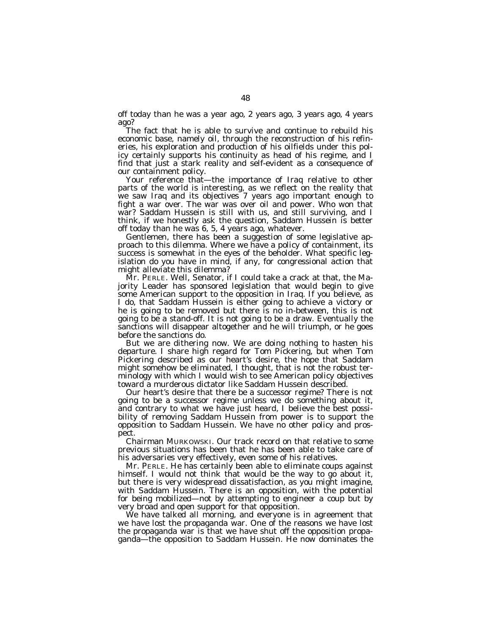off today than he was a year ago, 2 years ago, 3 years ago, 4 years ago?

The fact that he is able to survive and continue to rebuild his economic base, namely oil, through the reconstruction of his refineries, his exploration and production of his oilfields under this policy certainly supports his continuity as head of his regime, and I find that just a stark reality and self-evident as a consequence of our containment policy.

Your reference that—the importance of Iraq relative to other parts of the world is interesting, as we reflect on the reality that we saw Iraq and its objectives 7 years ago important enough to fight a war over. The war was over oil and power. Who won that war? Saddam Hussein is still with us, and still surviving, and I think, if we honestly ask the question, Saddam Hussein is better off today than he was 6, 5, 4 years ago, whatever.

Gentlemen, there has been a suggestion of some legislative approach to this dilemma. Where we have a policy of containment, its success is somewhat in the eyes of the beholder. What specific legislation do you have in mind, if any, for congressional action that might alleviate this dilemma?

Mr. PERLE. Well, Senator, if I could take a crack at that, the Majority Leader has sponsored legislation that would begin to give some American support to the opposition in Iraq. If you believe, as I do, that Saddam Hussein is either going to achieve a victory or he is going to be removed but there is no in-between, this is not going to be a stand-off. It is not going to be a draw. Eventually the sanctions will disappear altogether and he will triumph, or he goes before the sanctions do.

But we are dithering now. We are doing nothing to hasten his departure. I share high regard for Tom Pickering, but when Tom Pickering described as our heart's desire, the hope that Saddam might somehow be eliminated, I thought, that is not the robust terminology with which I would wish to see American policy objectives toward a murderous dictator like Saddam Hussein described.

Our heart's desire that there be a successor regime? There is not going to be a successor regime unless we do something about it, and contrary to what we have just heard, I believe the best possibility of removing Saddam Hussein from power is to support the opposition to Saddam Hussein. We have no other policy and prospect.

Chairman MURKOWSKI. Our track record on that relative to some previous situations has been that he has been able to take care of his adversaries very effectively, even some of his relatives.

Mr. PERLE. He has certainly been able to eliminate coups against himself. I would not think that would be the way to go about it, but there is very widespread dissatisfaction, as you might imagine, with Saddam Hussein. There is an opposition, with the potential for being mobilized—not by attempting to engineer a coup but by very broad and open support for that opposition.

We have talked all morning, and everyone is in agreement that we have lost the propaganda war. One of the reasons we have lost the propaganda war is that we have shut off the opposition propaganda—the opposition to Saddam Hussein. He now dominates the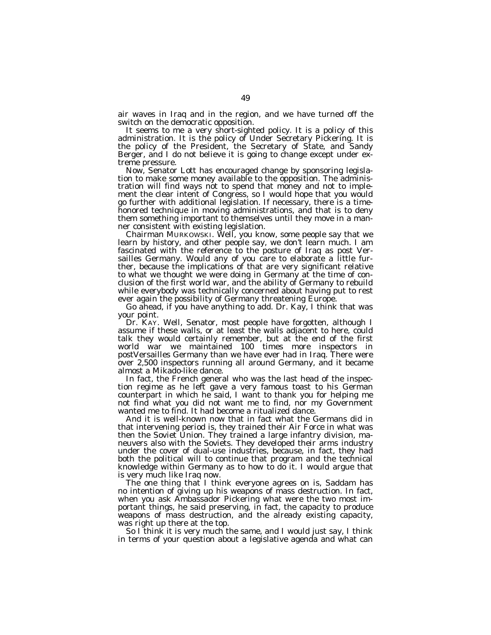air waves in Iraq and in the region, and we have turned off the switch on the democratic opposition.

It seems to me a very short-sighted policy. It is a policy of this administration. It is the policy of Under Secretary Pickering. It is the policy of the President, the Secretary of State, and Sandy Berger, and I do not believe it is going to change except under extreme pressure.

Now, Senator Lott has encouraged change by sponsoring legislation to make some money available to the opposition. The administration will find ways not to spend that money and not to implement the clear intent of Congress, so I would hope that you would go further with additional legislation. If necessary, there is a timehonored technique in moving administrations, and that is to deny them something important to themselves until they move in a manner consistent with existing legislation.

Chairman MURKOWSKI. Well, you know, some people say that we learn by history, and other people say, we don't learn much. I am fascinated with the reference to the posture of Iraq as post Versailles Germany. Would any of you care to elaborate a little further, because the implications of that are very significant relative to what we thought we were doing in Germany at the time of conclusion of the first world war, and the ability of Germany to rebuild while everybody was technically concerned about having put to rest ever again the possibility of Germany threatening Europe.

Go ahead, if you have anything to add. Dr. Kay, I think that was your point.

Dr. KAY. Well, Senator, most people have forgotten, although I assume if these walls, or at least the walls adjacent to here, could talk they would certainly remember, but at the end of the first world war we maintained 100 times more inspectors in postVersailles Germany than we have ever had in Iraq. There were over 2,500 inspectors running all around Germany, and it became almost a Mikado-like dance.

In fact, the French general who was the last head of the inspection regime as he left gave a very famous toast to his German counterpart in which he said, I want to thank you for helping me not find what you did not want me to find, nor my Government wanted me to find. It had become a ritualized dance.

And it is well-known now that in fact what the Germans did in that intervening period is, they trained their Air Force in what was then the Soviet Union. They trained a large infantry division, maneuvers also with the Soviets. They developed their arms industry under the cover of dual-use industries, because, in fact, they had both the political will to continue that program and the technical knowledge within Germany as to how to do it. I would argue that is very much like Iraq now.

The one thing that I think everyone agrees on is, Saddam has no intention of giving up his weapons of mass destruction. In fact, when you ask Ambassador Pickering what were the two most important things, he said preserving, in fact, the capacity to produce weapons of mass destruction, and the already existing capacity, was right up there at the top.

So I think it is very much the same, and I would just say, I think in terms of your question about a legislative agenda and what can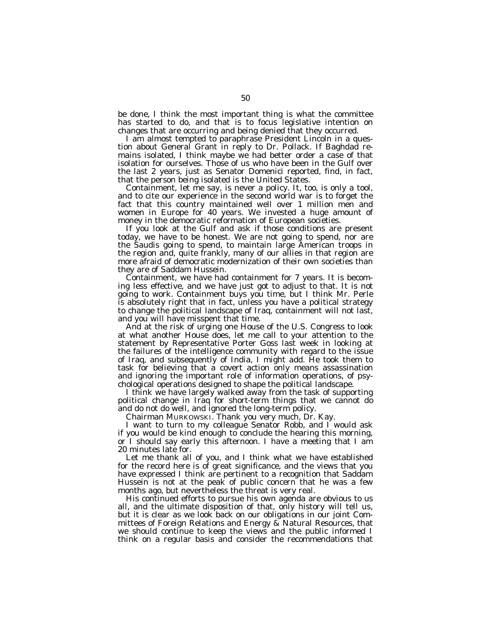be done, I think the most important thing is what the committee has started to do, and that is to focus legislative intention on changes that are occurring and being denied that they occurred.

I am almost tempted to paraphrase President Lincoln in a question about General Grant in reply to Dr. Pollack. If Baghdad remains isolated, I think maybe we had better order a case of that isolation for ourselves. Those of us who have been in the Gulf over the last 2 years, just as Senator Domenici reported, find, in fact, that the person being isolated is the United States.

Containment, let me say, is never a policy. It, too, is only a tool, and to cite our experience in the second world war is to forget the fact that this country maintained well over 1 million men and women in Europe for 40 years. We invested a huge amount of money in the democratic reformation of European societies.

If you look at the Gulf and ask if those conditions are present today, we have to be honest. We are not going to spend, nor are the Saudis going to spend, to maintain large American troops in the region and, quite frankly, many of our allies in that region are more afraid of democratic modernization of their own societies than they are of Saddam Hussein.

Containment, we have had containment for 7 years. It is becoming less effective, and we have just got to adjust to that. It is not going to work. Containment buys you time, but I think Mr. Perle is absolutely right that in fact, unless you have a political strategy to change the political landscape of Iraq, containment will not last, and you will have misspent that time.

And at the risk of urging one House of the U.S. Congress to look at what another House does, let me call to your attention to the statement by Representative Porter Goss last week in looking at the failures of the intelligence community with regard to the issue of Iraq, and subsequently of India, I might add. He took them to task for believing that a covert action only means assassination and ignoring the important role of information operations, of psychological operations designed to shape the political landscape.

I think we have largely walked away from the task of supporting political change in Iraq for short-term things that we cannot do and do not do well, and ignored the long-term policy.

Chairman MURKOWSKI. Thank you very much, Dr. Kay.

I want to turn to my colleague Senator Robb, and I would ask if you would be kind enough to conclude the hearing this morning, or I should say early this afternoon. I have a meeting that I am 20 minutes late for.

Let me thank all of you, and I think what we have established for the record here is of great significance, and the views that you have expressed I think are pertinent to a recognition that Saddam Hussein is not at the peak of public concern that he was a few months ago, but nevertheless the threat is very real.

His continued efforts to pursue his own agenda are obvious to us all, and the ultimate disposition of that, only history will tell us, but it is clear as we look back on our obligations in our joint Committees of Foreign Relations and Energy & Natural Resources, that we should continue to keep the views and the public informed I think on a regular basis and consider the recommendations that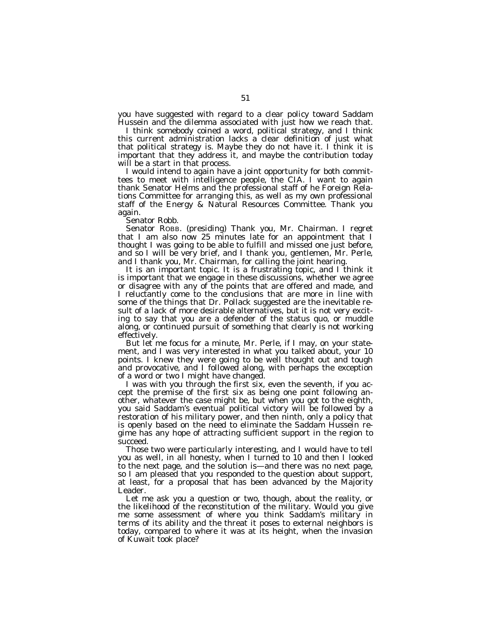you have suggested with regard to a clear policy toward Saddam Hussein and the dilemma associated with just how we reach that.

I think somebody coined a word, political strategy, and I think this current administration lacks a clear definition of just what that political strategy is. Maybe they do not have it. I think it is important that they address it, and maybe the contribution today will be a start in that process.

I would intend to again have a joint opportunity for both committees to meet with intelligence people, the CIA. I want to again thank Senator Helms and the professional staff of he Foreign Relations Committee for arranging this, as well as my own professional staff of the Energy & Natural Resources Committee. Thank you again.

Senator Robb.

Senator ROBB. (presiding) Thank you, Mr. Chairman. I regret that I am also now 25 minutes late for an appointment that I thought I was going to be able to fulfill and missed one just before, and so I will be very brief, and I thank you, gentlemen, Mr. Perle, and I thank you, Mr. Chairman, for calling the joint hearing.

It is an important topic. It is a frustrating topic, and I think it is important that we engage in these discussions, whether we agree or disagree with any of the points that are offered and made, and I reluctantly come to the conclusions that are more in line with some of the things that Dr. Pollack suggested are the inevitable result of a lack of more desirable alternatives, but it is not very exciting to say that you are a defender of the status quo, or muddle along, or continued pursuit of something that clearly is not working effectively.

But let me focus for a minute, Mr. Perle, if I may, on your statement, and I was very interested in what you talked about, your 10 points. I knew they were going to be well thought out and tough and provocative, and I followed along, with perhaps the exception of a word or two I might have changed.

I was with you through the first six, even the seventh, if you accept the premise of the first six as being one point following another, whatever the case might be, but when you got to the eighth, you said Saddam's eventual political victory will be followed by a restoration of his military power, and then ninth, only a policy that is openly based on the need to eliminate the Saddam Hussein regime has any hope of attracting sufficient support in the region to succeed.

Those two were particularly interesting, and I would have to tell you as well, in all honesty, when I turned to 10 and then I looked to the next page, and the solution is—and there was no next page, so I am pleased that you responded to the question about support, at least, for a proposal that has been advanced by the Majority Leader.

Let me ask you a question or two, though, about the reality, or the likelihood of the reconstitution of the military. Would you give me some assessment of where you think Saddam's military in terms of its ability and the threat it poses to external neighbors is today, compared to where it was at its height, when the invasion of Kuwait took place?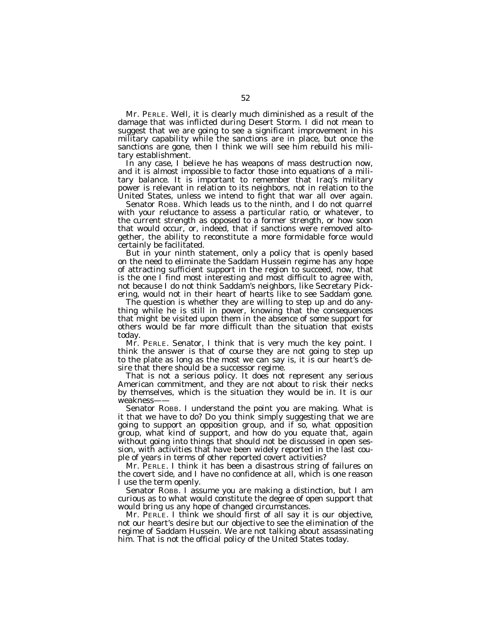Mr. PERLE. Well, it is clearly much diminished as a result of the damage that was inflicted during Desert Storm. I did not mean to suggest that we are going to see a significant improvement in his military capability while the sanctions are in place, but once the sanctions are gone, then I think we will see him rebuild his military establishment.

In any case, I believe he has weapons of mass destruction now, and it is almost impossible to factor those into equations of a military balance. It is important to remember that Iraq's military power is relevant in relation to its neighbors, not in relation to the United States, unless we intend to fight that war all over again.

Senator ROBB. Which leads us to the ninth, and I do not quarrel with your reluctance to assess a particular ratio, or whatever, to the current strength as opposed to a former strength, or how soon that would occur, or, indeed, that if sanctions were removed altogether, the ability to reconstitute a more formidable force would certainly be facilitated.

But in your ninth statement, only a policy that is openly based on the need to eliminate the Saddam Hussein regime has any hope of attracting sufficient support in the region to succeed, now, that is the one I find most interesting and most difficult to agree with, not because I do not think Saddam's neighbors, like Secretary Pickering, would not in their heart of hearts like to see Saddam gone.

The question is whether they are willing to step up and do anything while he is still in power, knowing that the consequences that might be visited upon them in the absence of some support for others would be far more difficult than the situation that exists today.

Mr. PERLE. Senator, I think that is very much the key point. I think the answer is that of course they are not going to step up to the plate as long as the most we can say is, it is our heart's desire that there should be a successor regime.

That is not a serious policy. It does not represent any serious American commitment, and they are not about to risk their necks by themselves, which is the situation they would be in. It is our weakness

Senator ROBB. I understand the point you are making. What is it that we have to do? Do you think simply suggesting that we are going to support an opposition group, and if so, what opposition group, what kind of support, and how do you equate that, again without going into things that should not be discussed in open session, with activities that have been widely reported in the last couple of years in terms of other reported covert activities?

Mr. PERLE. I think it has been a disastrous string of failures on the covert side, and I have no confidence at all, which is one reason I use the term openly.

Senator ROBB. I assume you are making a distinction, but I am curious as to what would constitute the degree of open support that would bring us any hope of changed circumstances.

Mr. PERLE. I think we should first of all say it is our objective, not our heart's desire but our objective to see the elimination of the regime of Saddam Hussein. We are not talking about assassinating him. That is not the official policy of the United States today.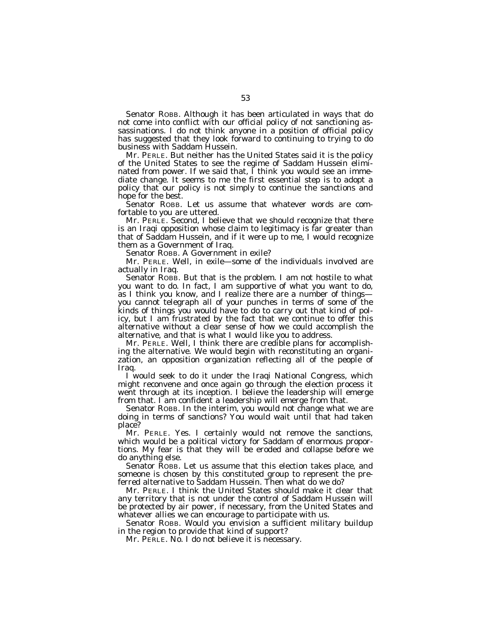Senator ROBB. Although it has been articulated in ways that do not come into conflict with our official policy of not sanctioning assassinations. I do not think anyone in a position of official policy has suggested that they look forward to continuing to trying to do business with Saddam Hussein.

Mr. PERLE. But neither has the United States said it is the policy of the United States to see the regime of Saddam Hussein eliminated from power. If we said that, I think you would see an immediate change. It seems to me the first essential step is to adopt a policy that our policy is not simply to continue the sanctions and hope for the best.

Senator ROBB. Let us assume that whatever words are comfortable to you are uttered.

Mr. PERLE. Second, I believe that we should recognize that there is an Iraqi opposition whose claim to legitimacy is far greater than that of Saddam Hussein, and if it were up to me, I would recognize them as a Government of Iraq.

Senator ROBB. A Government in exile?

Mr. PERLE. Well, in exile—some of the individuals involved are actually in Iraq.

Senator ROBB. But that is the problem. I am not hostile to what you want to do. In fact, I am supportive of what you want to do, as I think you know, and I realize there are a number of things you cannot telegraph all of your punches in terms of some of the kinds of things you would have to do to carry out that kind of policy, but I am frustrated by the fact that we continue to offer this alternative without a clear sense of how we could accomplish the alternative, and that is what I would like you to address.

Mr. PERLE. Well, I think there are credible plans for accomplishing the alternative. We would begin with reconstituting an organization, an opposition organization reflecting all of the people of Iraq.

I would seek to do it under the Iraqi National Congress, which might reconvene and once again go through the election process it went through at its inception. I believe the leadership will emerge from that. I am confident a leadership will emerge from that.

Senator ROBB. In the interim, you would not change what we are doing in terms of sanctions? You would wait until that had taken place?

Mr. PERLE. Yes. I certainly would not remove the sanctions, which would be a political victory for Saddam of enormous proportions. My fear is that they will be eroded and collapse before we do anything else.

Senator ROBB. Let us assume that this election takes place, and someone is chosen by this constituted group to represent the preferred alternative to Saddam Hussein. Then what do we do?

Mr. PERLE. I think the United States should make it clear that any territory that is not under the control of Saddam Hussein will be protected by air power, if necessary, from the United States and whatever allies we can encourage to participate with us.

Senator ROBB. Would you envision a sufficient military buildup in the region to provide that kind of support?

Mr. PERLE. No. I do not believe it is necessary.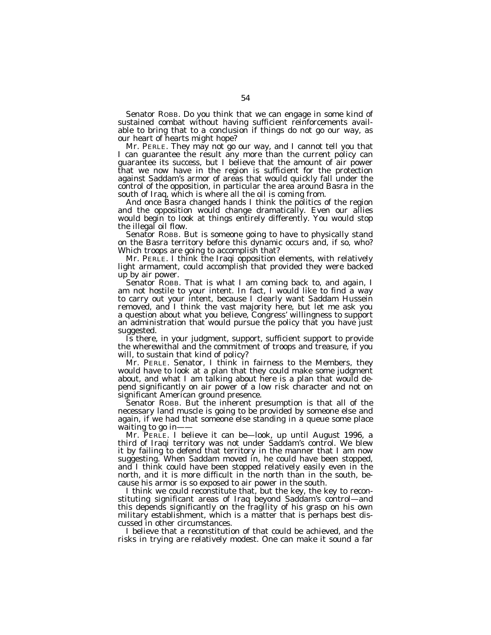Senator ROBB. Do you think that we can engage in some kind of sustained combat without having sufficient reinforcements available to bring that to a conclusion if things do not go our way, as our heart of hearts might hope?

Mr. PERLE. They may not go our way, and I cannot tell you that I can guarantee the result any more than the current policy can guarantee its success, but I believe that the amount of air power that we now have in the region is sufficient for the protection against Saddam's armor of areas that would quickly fall under the control of the opposition, in particular the area around Basra in the south of Iraq, which is where all the oil is coming from.

And once Basra changed hands I think the politics of the region and the opposition would change dramatically. Even our allies would begin to look at things entirely differently. You would stop the illegal oil flow.

Senator ROBB. But is someone going to have to physically stand on the Basra territory before this dynamic occurs and, if so, who? Which troops are going to accomplish that?

Mr. PERLE. I think the Iraqi opposition elements, with relatively light armament, could accomplish that provided they were backed up by air power.

Senator ROBB. That is what I am coming back to, and again, I am not hostile to your intent. In fact, I would like to find a way to carry out your intent, because I clearly want Saddam Hussein removed, and I think the vast majority here, but let me ask you a question about what you believe, Congress' willingness to support an administration that would pursue the policy that you have just suggested.

Is there, in your judgment, support, sufficient support to provide the wherewithal and the commitment of troops and treasure, if you will, to sustain that kind of policy?

Mr. PERLE. Senator, I think in fairness to the Members, they would have to look at a plan that they could make some judgment about, and what I am talking about here is a plan that would depend significantly on air power of a low risk character and not on significant American ground presence.

Senator ROBB. But the inherent presumption is that all of the necessary land muscle is going to be provided by someone else and again, if we had that someone else standing in a queue some place waiting to go in-

Mr. PERLE. I believe it can be—look, up until August 1996, a third of Iraqi territory was not under Saddam's control. We blew it by failing to defend that territory in the manner that I am now suggesting. When Saddam moved in, he could have been stopped, and I think could have been stopped relatively easily even in the north, and it is more difficult in the north than in the south, because his armor is so exposed to air power in the south.

I think we could reconstitute that, but the key, the key to reconstituting significant areas of Iraq beyond Saddam's control—and this depends significantly on the fragility of his grasp on his own military establishment, which is a matter that is perhaps best discussed in other circumstances.

I believe that a reconstitution of that could be achieved, and the risks in trying are relatively modest. One can make it sound a far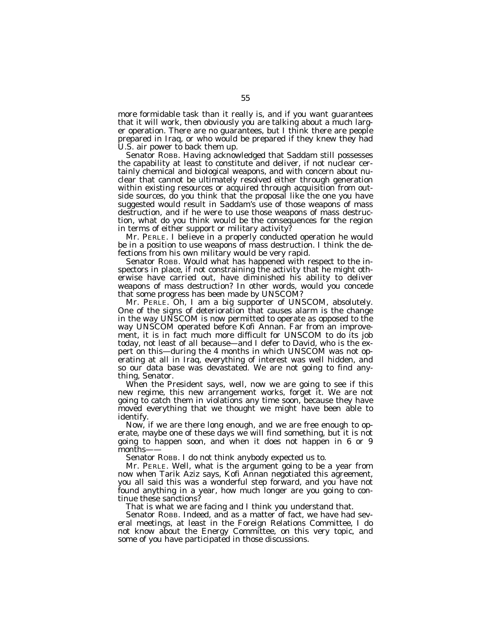more formidable task than it really is, and if you want guarantees that it will work, then obviously you are talking about a much larger operation. There are no guarantees, but I think there are people prepared in Iraq, or who would be prepared if they knew they had U.S. air power to back them up.

Senator ROBB. Having acknowledged that Saddam still possesses the capability at least to constitute and deliver, if not nuclear certainly chemical and biological weapons, and with concern about nuclear that cannot be ultimately resolved either through generation within existing resources or acquired through acquisition from outside sources, do you think that the proposal like the one you have suggested would result in Saddam's use of those weapons of mass destruction, and if he were to use those weapons of mass destruction, what do you think would be the consequences for the region in terms of either support or military activity?

Mr. PERLE. I believe in a properly conducted operation he would be in a position to use weapons of mass destruction. I think the defections from his own military would be very rapid.

Senator ROBB. Would what has happened with respect to the inspectors in place, if not constraining the activity that he might otherwise have carried out, have diminished his ability to deliver weapons of mass destruction? In other words, would you concede that some progress has been made by UNSCOM?

Mr. PERLE. Oh, I am a big supporter of UNSCOM, absolutely. One of the signs of deterioration that causes alarm is the change in the way UNSCOM is now permitted to operate as opposed to the way UNSCOM operated before Kofi Annan. Far from an improvement, it is in fact much more difficult for UNSCOM to do its job today, not least of all because—and I defer to David, who is the expert on this—during the 4 months in which UNSCOM was not operating at all in Iraq, everything of interest was well hidden, and so our data base was devastated. We are not going to find anything, Senator.

When the President says, well, now we are going to see if this new regime, this new arrangement works, forget it. We are not going to catch them in violations any time soon, because they have moved everything that we thought we might have been able to identify.

Now, if we are there long enough, and we are free enough to operate, maybe one of these days we will find something, but it is not going to happen soon, and when it does not happen in 6 or 9 months——

Senator ROBB. I do not think anybody expected us to.

Mr. PERLE. Well, what is the argument going to be a year from now when Tarik Aziz says, Kofi Annan negotiated this agreement, you all said this was a wonderful step forward, and you have not found anything in a year, how much longer are you going to continue these sanctions?

That is what we are facing and I think you understand that.

Senator ROBB. Indeed, and as a matter of fact, we have had several meetings, at least in the Foreign Relations Committee, I do not know about the Energy Committee, on this very topic, and some of you have participated in those discussions.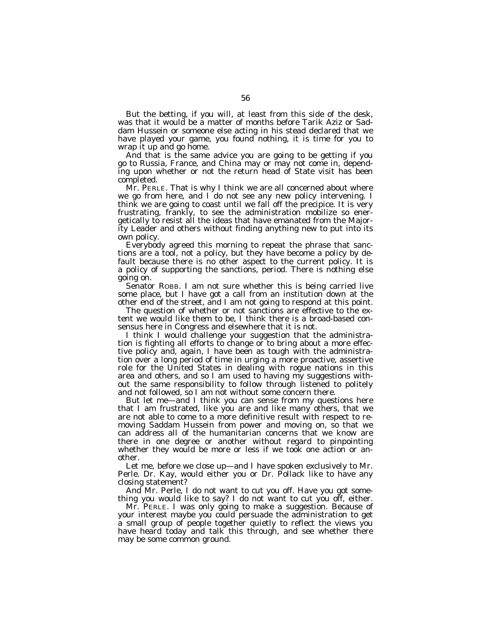But the betting, if you will, at least from this side of the desk, was that it would be a matter of months before Tarik Aziz or Saddam Hussein or someone else acting in his stead declared that we have played your game, you found nothing, it is time for you to wrap it up and go home.

And that is the same advice you are going to be getting if you go to Russia, France, and China may or may not come in, depending upon whether or not the return head of State visit has been completed.

Mr. PERLE. That is why I think we are all concerned about where we go from here, and I do not see any new policy intervening. I think we are going to coast until we fall off the precipice. It is very frustrating, frankly, to see the administration mobilize so energetically to resist all the ideas that have emanated from the Majority Leader and others without finding anything new to put into its own policy.

Everybody agreed this morning to repeat the phrase that sanctions are a tool, not a policy, but they have become a policy by default because there is no other aspect to the current policy. It is a policy of supporting the sanctions, period. There is nothing else going on.

Senator ROBB. I am not sure whether this is being carried live some place, but I have got a call from an institution down at the other end of the street, and I am not going to respond at this point.

The question of whether or not sanctions are effective to the extent we would like them to be, I think there is a broad-based consensus here in Congress and elsewhere that it is not.

I think I would challenge your suggestion that the administration is fighting all efforts to change or to bring about a more effective policy and, again, I have been as tough with the administration over a long period of time in urging a more proactive, assertive role for the United States in dealing with rogue nations in this area and others, and so I am used to having my suggestions without the same responsibility to follow through listened to politely and not followed, so I am not without some concern there.

But let me—and I think you can sense from my questions here that I am frustrated, like you are and like many others, that we are not able to come to a more definitive result with respect to removing Saddam Hussein from power and moving on, so that we can address all of the humanitarian concerns that we know are there in one degree or another without regard to pinpointing whether they would be more or less if we took one action or another.

Let me, before we close up—and I have spoken exclusively to Mr. Perle. Dr. Kay, would either you or Dr. Pollack like to have any closing statement?

And Mr. Perle, I do not want to cut you off. Have you got something you would like to say? I do not want to cut you off, either.

Mr. PERLE. I was only going to make a suggestion. Because of your interest maybe you could persuade the administration to get a small group of people together quietly to reflect the views you have heard today and talk this through, and see whether there may be some common ground.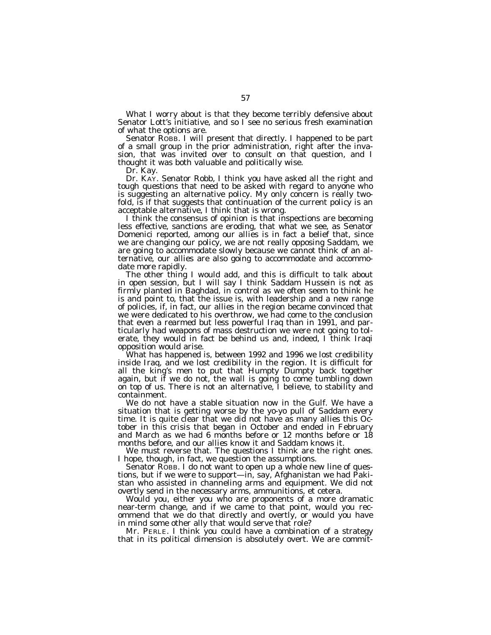What I worry about is that they become terribly defensive about Senator Lott's initiative, and so I see no serious fresh examination of what the options are.

Senator ROBB. I will present that directly. I happened to be part of a small group in the prior administration, right after the invasion, that was invited over to consult on that question, and I thought it was both valuable and politically wise.

Dr. Kay.

Dr. KAY. Senator Robb, I think you have asked all the right and tough questions that need to be asked with regard to anyone who is suggesting an alternative policy. My only concern is really twofold, is if that suggests that continuation of the current policy is an acceptable alternative, I think that is wrong.

I think the consensus of opinion is that inspections are becoming less effective, sanctions are eroding, that what we see, as Senator Domenici reported, among our allies is in fact a belief that, since we are changing our policy, we are not really opposing Saddam, we are going to accommodate slowly because we cannot think of an alternative, our allies are also going to accommodate and accommodate more rapidly.

The other thing I would add, and this is difficult to talk about in open session, but I will say I think Saddam Hussein is not as firmly planted in Baghdad, in control as we often seem to think he is and point to, that the issue is, with leadership and a new range of policies, if, in fact, our allies in the region became convinced that we were dedicated to his overthrow, we had come to the conclusion that even a rearmed but less powerful Iraq than in 1991, and particularly had weapons of mass destruction we were not going to tolerate, they would in fact be behind us and, indeed, I think Iraqi opposition would arise.

What has happened is, between 1992 and 1996 we lost credibility inside Iraq, and we lost credibility in the region. It is difficult for all the king's men to put that Humpty Dumpty back together again, but if we do not, the wall is going to come tumbling down on top of us. There is not an alternative, I believe, to stability and containment.

We do not have a stable situation now in the Gulf. We have a situation that is getting worse by the yo-yo pull of Saddam every time. It is quite clear that we did not have as many allies this October in this crisis that began in October and ended in February and March as we had 6 months before or 12 months before or 18 months before, and our allies know it and Saddam knows it.

We must reverse that. The questions I think are the right ones. I hope, though, in fact, we question the assumptions.

Senator ROBB. I do not want to open up a whole new line of questions, but if we were to support—in, say, Afghanistan we had Pakistan who assisted in channeling arms and equipment. We did not overtly send in the necessary arms, ammunitions, et cetera.

Would you, either you who are proponents of a more dramatic near-term change, and if we came to that point, would you recommend that we do that directly and overtly, or would you have in mind some other ally that would serve that role?

Mr. PERLE. I think you could have a combination of a strategy that in its political dimension is absolutely overt. We are commit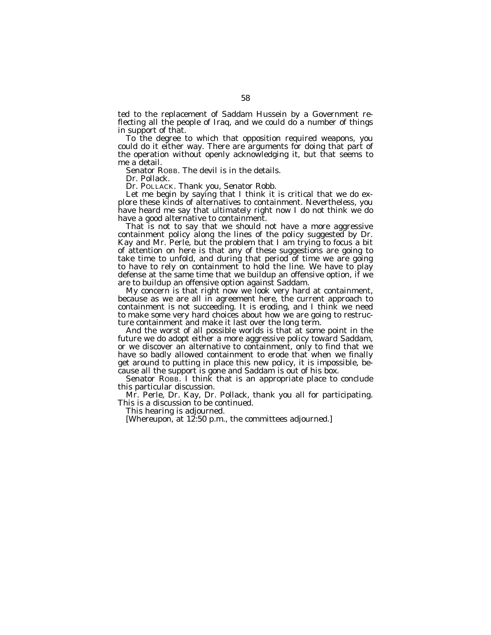ted to the replacement of Saddam Hussein by a Government reflecting all the people of Iraq, and we could do a number of things in support of that.

To the degree to which that opposition required weapons, you could do it either way. There are arguments for doing that part of the operation without openly acknowledging it, but that seems to me a detail.

Senator ROBB. The devil is in the details.

Dr. Pollack.

Dr. POLLACK. Thank you, Senator Robb.

Let me begin by saying that I think it is critical that we do explore these kinds of alternatives to containment. Nevertheless, you have heard me say that ultimately right now I do not think we do have a good alternative to containment.

That is not to say that we should not have a more aggressive containment policy along the lines of the policy suggested by Dr. Kay and Mr. Perle, but the problem that I am trying to focus a bit of attention on here is that any of these suggestions are going to take time to unfold, and during that period of time we are going to have to rely on containment to hold the line. We have to play defense at the same time that we buildup an offensive option, if we are to buildup an offensive option against Saddam.

My concern is that right now we look very hard at containment, because as we are all in agreement here, the current approach to containment is not succeeding. It is eroding, and I think we need to make some very hard choices about how we are going to restructure containment and make it last over the long term.

And the worst of all possible worlds is that at some point in the future we do adopt either a more aggressive policy toward Saddam, or we discover an alternative to containment, only to find that we have so badly allowed containment to erode that when we finally get around to putting in place this new policy, it is impossible, because all the support is gone and Saddam is out of his box.

Senator ROBB. I think that is an appropriate place to conclude this particular discussion.

Mr. Perle, Dr. Kay, Dr. Pollack, thank you all for participating. This is a discussion to be continued.

This hearing is adjourned.

[Whereupon, at 12:50 p.m., the committees adjourned.]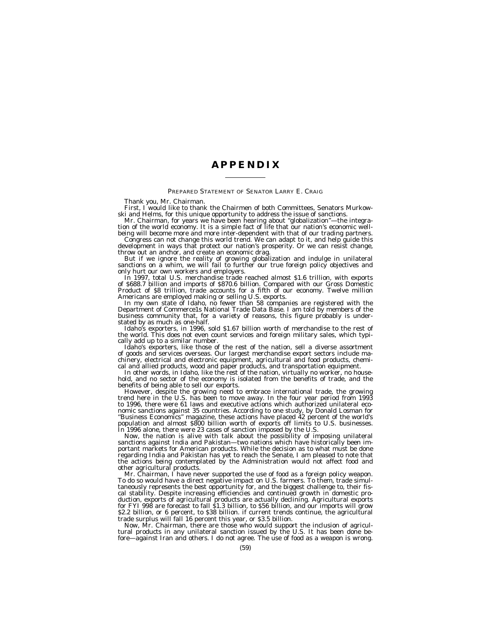# **A P P E N D I X**

PREPARED STATEMENT OF SENATOR LARRY E. CRAIG

Thank you, Mr. Chairman.

First, I would like to thank the Chairmen of both Committees, Senators Murkow-<br>ski and Helms, for this unique opportunity to address the issue of sanctions.

Mr. Chairman, for years we have been hearing about "globalization"—the integra-<br>tion of the world economy. It is a simple fact of life that our nation's economic well-

being will become more and more inter-dependent with that of our trading partners.<br>Congress can not change this world trend. We can adapt to it, and help guide this<br>development in ways that protect our nation's prosperity.

But if we ignore the reality of growing globalization and indulge in unilateral sanctions on a whim, we will fail to further our true foreign policy objectives and only hurt our own workers and employers.

In 1997, total U.S. merchandise trade reached almost \$1.6 trillion, with exports of \$688.7 billion and imports of \$870.6 billion. Compared with our Gross Domestic Product of \$8 trillion, trade accounts for a fifth of our economy. Twelve million

Americans are employed making or selling U.S. exports. In my own state of Idaho, no fewer than 58 companies are registered with the Department of Commerce1s National Trade Data Base. I am told by members of the business community that, for a variety of reasons, this figure probably is under-<br>stated by as much as one-half.

stated by as much as one-half.<br>Idaho's exporters, in 1996, sold \$1.67 billion worth of merchandise to the rest of<br>the world. This does not even count services and foreign military sales, which typi-

cally add up to a similar number.<br>Idaho's exporters, like those of the rest of the nation, sell a diverse assortment<br>of goods and services overseas. Our largest merchandise export sectors include machinery, electrical and electronic equipment, agricultural and food products, chemi-cal and allied products, wood and paper products, and transportation equipment.

In other words, in Idaho, like the rest of the nation, virtually no worker, no house-<br>hold, and no sector of the economy is isolated from the benefits of trade, and the<br>benefits of being able to sell our exports.

benefits of being able to sell our exports.<br>However, despite the growing need to embrace international trade, the growing<br>trend here in the U.S. has been to move away. In the four year period from 1993<br>to 1996, there were nomic sanctions against 35 countries. According to one study, by Donald Losman for ''Business Economics'' magazine, these actions have placed 42 percent of the world's population and almost \$800 billion worth of exports off limits to U.S. businesses.<br>In 1996 alone, there were 23 cases of sanction imposed by the U.S.

Now, the nation is alive with talk about the possibility of imposing unilateral<br>sanctions against India and Pakistan—two nations which have historically been important markets for American products. While the decision as to what must be done regarding India and Pakistan has yet to reach the Senate, I am pleased to note that the actions being contemplated by the Administration would not affect food and

other agricultural products.<br>Mr. Chairman, I have never supported the use of food as a foreign policy weapon.<br>To do so would have a direct negative impact on U.S. farmers. To them, trade simultaneously represents the best opportunity for, and the biggest challenge to, their fiscal stability. Despite increasing efficiencies and continued growth in domestic production, exports of agricultural products are actually declining. Agricultural exports for FYI 998 are forecast to fall \$1.3 billion, to \$56 billion, and our imports will grow \$2.2 billion, or 6 percent, to \$38 billion. if current trends continue, the agricultural trade surplus will fall 16 percent this year, or \$3.5 billion.

Now, Mr. Chairman, there are those who would support the inclusion of agricultural products in any unilateral sanction issued by the U.S. It has been done before—against Iran and others. I do not agree. The use of food as a weapon is wrong.